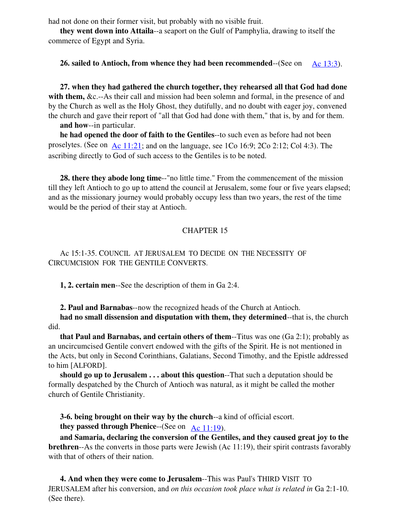had not done on their former visit, but probably with no visible fruit.

 **they went down into Attaila**--a seaport on the Gulf of Pamphylia, drawing to itself the commerce of Egypt and Syria.

Ac 13:3). **26. sailed to Antioch, from whence they had been recommended**--(See on

 **27. when they had gathered the church together, they rehearsed all that God had done with them,** &c.--As their call and mission had been solemn and formal, in the presence of and by the Church as well as the Holy Ghost, they dutifully, and no doubt with eager joy, convened the church and gave their report of "all that God had done with them," that is, by and for them.

**and how**--in particular.

proselytes. (See on  $\overline{Ac 11:21}$ ; and on the language, see 1Co 16:9; 2Co 2:12; Col 4:3). The **he had opened the door of faith to the Gentiles**--to such even as before had not been ascribing directly to God of such access to the Gentiles is to be noted.

 **28. there they abode long time**--"no little time." From the commencement of the mission till they left Antioch to go up to attend the council at Jerusalem, some four or five years elapsed; and as the missionary journey would probably occupy less than two years, the rest of the time would be the period of their stay at Antioch.

### CHAPTER 15

 Ac 15:1-35. COUNCIL AT JERUSALEM TO DECIDE ON THE NECESSITY OF CIRCUMCISION FOR THE GENTILE CONVERTS.

**1, 2. certain men**--See the description of them in Ga 2:4.

**2. Paul and Barnabas**--now the recognized heads of the Church at Antioch.

 **had no small dissension and disputation with them, they determined**--that is, the church did.

 **that Paul and Barnabas, and certain others of them**--Titus was one (Ga 2:1); probably as an uncircumcised Gentile convert endowed with the gifts of the Spirit. He is not mentioned in the Acts, but only in Second Corinthians, Galatians, Second Timothy, and the Epistle addressed to him [ALFORD].

 **should go up to Jerusalem . . . about this question**--That such a deputation should be formally despatched by the Church of Antioch was natural, as it might be called the mother church of Gentile Christianity.

**3-6. being brought on their way by the church**--a kind of official escort.

**they passed through Phenice**--(See on  $\underline{Ac 11:19}$ ).

 **and Samaria, declaring the conversion of the Gentiles, and they caused great joy to the brethren**--As the converts in those parts were Jewish (Ac 11:19), their spirit contrasts favorably with that of others of their nation.

 **4. And when they were come to Jerusalem**--This was Paul's THIRD VISIT TO JERUSALEM after his conversion, and *on this occasion took place what is related in* Ga 2:1-10. (See there).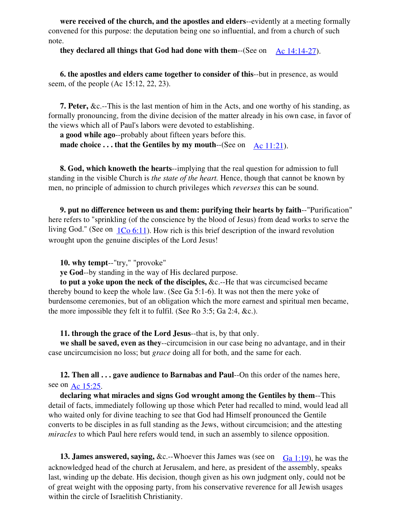**were received of the church, and the apostles and elders**--evidently at a meeting formally convened for this purpose: the deputation being one so influential, and from a church of such note.

**they declared all things that God had done with them--(See on**  $\Delta c$  14:14-27).

 **6. the apostles and elders came together to consider of this**--but in presence, as would seem, of the people (Ac 15:12, 22, 23).

 **7. Peter,** &c.--This is the last mention of him in the Acts, and one worthy of his standing, as formally pronouncing, from the divine decision of the matter already in his own case, in favor of the views which all of Paul's labors were devoted to establishing.

**made choice ... that the Gentiles by my mouth--(See on**  $\overline{Ac}$  11:21). **a good while ago**--probably about fifteen years before this.

 **8. God, which knoweth the hearts**--implying that the real question for admission to full standing in the visible Church is *the state of the heart.* Hence, though that cannot be known by men, no principle of admission to church privileges which *reverses* this can be sound.

living God." (See on  $1\text{Co } 6:11$ ). How rich is this brief description of the inward revolution **9. put no difference between us and them: purifying their hearts by faith**--"Purification" here refers to "sprinkling (of the conscience by the blood of Jesus) from dead works to serve the wrought upon the genuine disciples of the Lord Jesus!

**10. why tempt**--"try," "provoke"

**ye God**--by standing in the way of His declared purpose.

 **to put a yoke upon the neck of the disciples,** &c.--He that was circumcised became thereby bound to keep the whole law. (See Ga 5:1-6). It was not then the mere yoke of burdensome ceremonies, but of an obligation which the more earnest and spiritual men became, the more impossible they felt it to fulfil. (See Ro 3:5; Ga 2:4, &c.).

**11. through the grace of the Lord Jesus**--that is, by that only.

 **we shall be saved, even as they**--circumcision in our case being no advantage, and in their case uncircumcision no loss; but *grace* doing all for both, and the same for each.

see on  $\underline{\text{Ac }15:25}$ . **12. Then all . . . gave audience to Barnabas and Paul**--On this order of the names here,

 **declaring what miracles and signs God wrought among the Gentiles by them**--This detail of facts, immediately following up those which Peter had recalled to mind, would lead all who waited only for divine teaching to see that God had Himself pronounced the Gentile converts to be disciples in as full standing as the Jews, without circumcision; and the attesting *miracles* to which Paul here refers would tend, in such an assembly to silence opposition.

**13. James answered, saying,** &c.--Whoever this James was (see on **Ga** 1:19), he was the acknowledged head of the church at Jerusalem, and here, as president of the assembly, speaks last, winding up the debate. His decision, though given as his own judgment only, could not be of great weight with the opposing party, from his conservative reverence for all Jewish usages within the circle of Israelitish Christianity.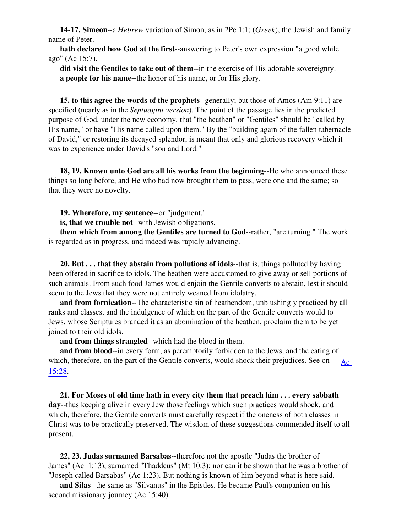**14-17. Simeon**--a *Hebrew* variation of Simon, as in 2Pe 1:1; (*Greek*), the Jewish and family name of Peter.

 **hath declared how God at the first**--answering to Peter's own expression "a good while ago" (Ac 15:7).

 **did visit the Gentiles to take out of them**--in the exercise of His adorable sovereignty. **a people for his name**--the honor of his name, or for His glory.

 **15. to this agree the words of the prophets**--generally; but those of Amos (Am 9:11) are specified (nearly as in the *Septuagint version*). The point of the passage lies in the predicted purpose of God, under the new economy, that "the heathen" or "Gentiles" should be "called by His name," or have "His name called upon them." By the "building again of the fallen tabernacle of David," or restoring its decayed splendor, is meant that only and glorious recovery which it was to experience under David's "son and Lord."

 **18, 19. Known unto God are all his works from the beginning**--He who announced these things so long before, and He who had now brought them to pass, were one and the same; so that they were no novelty.

**19. Wherefore, my sentence**--or "judgment."

**is, that we trouble not**--with Jewish obligations.

 **them which from among the Gentiles are turned to God**--rather, "are turning." The work is regarded as in progress, and indeed was rapidly advancing.

 **20. But . . . that they abstain from pollutions of idols**--that is, things polluted by having been offered in sacrifice to idols. The heathen were accustomed to give away or sell portions of such animals. From such food James would enjoin the Gentile converts to abstain, lest it should seem to the Jews that they were not entirely weaned from idolatry.

 **and from fornication**--The characteristic sin of heathendom, unblushingly practiced by all ranks and classes, and the indulgence of which on the part of the Gentile converts would to Jews, whose Scriptures branded it as an abomination of the heathen, proclaim them to be yet joined to their old idols.

**and from things strangled**--which had the blood in them.

Ac **and from blood**--in every form, as peremptorily forbidden to the Jews, and the eating of which, therefore, on the part of the Gentile converts, would shock their prejudices. See on 15:28.

 **21. For Moses of old time hath in every city them that preach him . . . every sabbath day**--thus keeping alive in every Jew those feelings which such practices would shock, and which, therefore, the Gentile converts must carefully respect if the oneness of both classes in Christ was to be practically preserved. The wisdom of these suggestions commended itself to all present.

 **22, 23. Judas surnamed Barsabas**--therefore not the apostle "Judas the brother of James" (Ac 1:13), surnamed "Thaddeus" (Mt 10:3); nor can it be shown that he was a brother of "Joseph called Barsabas" (Ac 1:23). But nothing is known of him beyond what is here said.

 **and Silas**--the same as "Silvanus" in the Epistles. He became Paul's companion on his second missionary journey (Ac 15:40).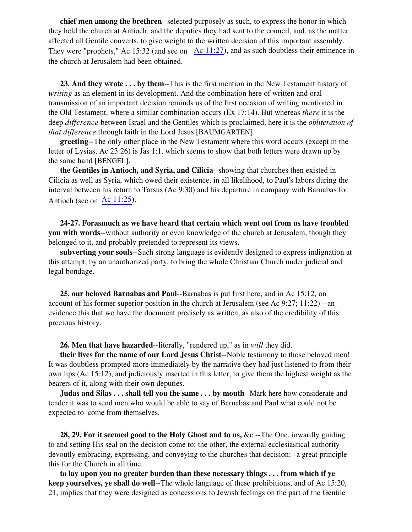They were "prophets," Ac 15:32 (and see on  $\Delta c$  11:27), and as such doubtless their eminence in **chief men among the brethren**--selected purposely as such, to express the honor in which they held the church at Antioch, and the deputies they had sent to the council, and, as the matter affected all Gentile converts, to give weight to the written decision of this important assembly. the church at Jerusalem had been obtained.

**23. And they wrote ... by them--This is the first mention in the New Testament history of** *writing* as an element in its development. And the combination here of written and oral transmission of an important decision reminds us of the first occasion of writing mentioned in the Old Testament, where a similar combination occurs (Ex 17:14). But whereas *there* it is the deep *difference* between Israel and the Gentiles which is proclaimed, here it is the *obliteration of that difference* through faith in the Lord Jesus [BAUMGARTEN].

 **greeting**--The only other place in the New Testament where this word occurs (except in the letter of Lysias, Ac 23:26) is Jas 1:1, which seems to show that both letters were drawn up by the same hand [BENGEL].

Antioch (see on  $\overline{Ac}$  11:25). **the Gentiles in Antioch, and Syria, and Cilicia**--showing that churches then existed in Cilicia as well as Syria, which owed their existence, in all likelihood, to Paul's labors during the interval between his return to Tarsus (Ac 9:30) and his departure in company with Barnabas for

 **24-27. Forasmuch as we have heard that certain which went out from us have troubled you with words**--without authority or even knowledge of the church at Jerusalem, though they belonged to it, and probably pretended to represent its views.

 **subverting your souls**--Such strong language is evidently designed to express indignation at this attempt, by an unauthorized party, to bring the whole Christian Church under judicial and legal bondage.

 **25. our beloved Barnabas and Paul**--Barnabas is put first here, and in Ac 15:12, on account of his former superior position in the church at Jerusalem (see Ac  $9:27$ ; 11:22) --an evidence this that we have the document precisely as written, as also of the credibility of this precious history.

**26. Men that have hazarded**--literally, "rendered up," as in *will* they did.

 **their lives for the name of our Lord Jesus Christ**--Noble testimony to those beloved men! It was doubtless prompted more immediately by the narrative they had just listened to from their own lips (Ac 15:12), and judiciously inserted in this letter, to give them the highest weight as the bearers of it, along with their own deputies.

 **Judas and Silas . . . shall tell you the same . . . by mouth**--Mark here how considerate and tender it was to send men who would be able to say of Barnabas and Paul what could not be expected to come from themselves.

 **28, 29. For it seemed good to the Holy Ghost and to us,** &c.--The One, inwardly guiding to and setting His seal on the decision come to: the other, the external ecclesiastical authority devoutly embracing, expressing, and conveying to the churches that decision:--a great principle this for the Church in all time.

 **to lay upon you no greater burden than these necessary things . . . from which if ye keep yourselves, ye shall do well**--The whole language of these prohibitions, and of Ac 15:20, 21, implies that they were designed as concessions to Jewish feelings on the part of the Gentile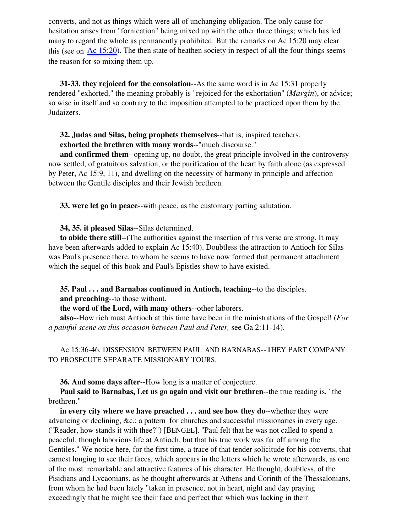this (see on  $\Delta c$  15:20). The then state of heathen society in respect of all the four things seems converts, and not as things which were all of unchanging obligation. The only cause for hesitation arises from "fornication" being mixed up with the other three things; which has led many to regard the whole as permanently prohibited. But the remarks on Ac 15:20 may clear the reason for so mixing them up.

 **31-33. they rejoiced for the consolation**--As the same word is in Ac 15:31 properly rendered "exhorted," the meaning probably is "rejoiced for the exhortation" (*Margin*), or advice; so wise in itself and so contrary to the imposition attempted to be practiced upon them by the Judaizers.

# **32. Judas and Silas, being prophets themselves**--that is, inspired teachers. **exhorted the brethren with many words**--"much discourse."

 **and confirmed them**--opening up, no doubt, the great principle involved in the controversy now settled, of gratuitous salvation, or the purification of the heart by faith alone (as expressed by Peter, Ac 15:9, 11), and dwelling on the necessity of harmony in principle and affection between the Gentile disciples and their Jewish brethren.

**33. were let go in peace**--with peace, as the customary parting salutation.

## **34, 35. it pleased Silas**--Silas determined.

 **to abide there still**--(The authorities against the insertion of this verse are strong. It may have been afterwards added to explain Ac 15:40). Doubtless the attraction to Antioch for Silas was Paul's presence there, to whom he seems to have now formed that permanent attachment which the sequel of this book and Paul's Epistles show to have existed.

 **35. Paul . . . and Barnabas continued in Antioch, teaching**--to the disciples. **and preaching**--to those without.

**the word of the Lord, with many others**--other laborers.

 **also**--How rich must Antioch at this time have been in the ministrations of the Gospel! (*For a painful scene on this occasion between Paul and Peter,* see Ga 2:11-14).

 Ac 15:36-46. DISSENSION BETWEEN PAUL AND BARNABAS--THEY PART COMPANY TO PROSECUTE SEPARATE MISSIONARY TOURS.

**36. And some days after**--How long is a matter of conjecture.

 **Paul said to Barnabas, Let us go again and visit our brethren**--the true reading is, "the brethren."

 **in every city where we have preached . . . and see how they do**--whether they were advancing or declining, &c.: a pattern for churches and successful missionaries in every age. ("Reader, how stands it with thee?") [BENGEL]. "Paul felt that he was not called to spend a peaceful, though laborious life at Antioch, but that his true work was far off among the Gentiles." We notice here, for the first time, a trace of that tender solicitude for his converts, that earnest longing to see their faces, which appears in the letters which he wrote afterwards, as one of the most remarkable and attractive features of his character. He thought, doubtless, of the Pisidians and Lycaonians, as he thought afterwards at Athens and Corinth of the Thessalonians, from whom he had been lately "taken in presence, not in heart, night and day praying exceedingly that he might see their face and perfect that which was lacking in their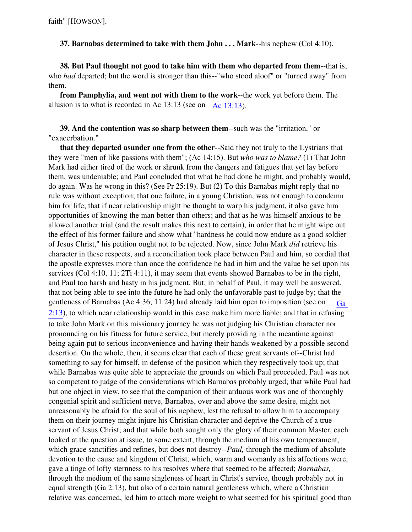### **37. Barnabas determined to take with them John . . . Mark**--his nephew (Col 4:10).

 **38. But Paul thought not good to take him with them who departed from them**--that is, who *had* departed; but the word is stronger than this--"who stood aloof" or "turned away" from them.

allusion is to what is recorded in Ac  $13:13$  (see on  $Ac$   $13:13$ ). **from Pamphylia, and went not with them to the work**--the work yet before them. The

 **39. And the contention was so sharp between them**--such was the "irritation," or "exacerbation."

Ga **that they departed asunder one from the other**--Said they not truly to the Lystrians that they were "men of like passions with them"; (Ac 14:15). But *who was to blame?* (1) That John Mark had either tired of the work or shrunk from the dangers and fatigues that yet lay before them, was undeniable; and Paul concluded that what he had done he might, and probably would, do again. Was he wrong in this? (See Pr 25:19). But (2) To this Barnabas might reply that no rule was without exception; that one failure, in a young Christian, was not enough to condemn him for life; that if near relationship might be thought to warp his judgment, it also gave him opportunities of knowing the man better than others; and that as he was himself anxious to be allowed another trial (and the result makes this next to certain), in order that he might wipe out the effect of his former failure and show what "hardness he could now endure as a good soldier of Jesus Christ," his petition ought not to be rejected. Now, since John Mark *did* retrieve his character in these respects, and a reconciliation took place between Paul and him, so cordial that the apostle expresses more than once the confidence he had in him and the value he set upon his services (Col 4:10, 11; 2Ti 4:11), it may seem that events showed Barnabas to be in the right, and Paul too harsh and hasty in his judgment. But, in behalf of Paul, it may well be answered, that not being able to see into the future he had only the unfavorable past to judge by; that the gentleness of Barnabas (Ac 4:36; 11:24) had already laid him open to imposition (see on 2:13), to which near relationship would in this case make him more liable; and that in refusing to take John Mark on this missionary journey he was not judging his Christian character nor pronouncing on his fitness for future service, but merely providing in the meantime against being again put to serious inconvenience and having their hands weakened by a possible second desertion. On the whole, then, it seems clear that each of these great servants of--Christ had something to say for himself, in defense of the position which they respectively took up; that while Barnabas was quite able to appreciate the grounds on which Paul proceeded, Paul was not so competent to judge of the considerations which Barnabas probably urged; that while Paul had but one object in view, to see that the companion of their arduous work was one of thoroughly congenial spirit and sufficient nerve, Barnabas, over and above the same desire, might not unreasonably be afraid for the soul of his nephew, lest the refusal to allow him to accompany them on their journey might injure his Christian character and deprive the Church of a true servant of Jesus Christ; and that while both sought only the glory of their common Master, each looked at the question at issue, to some extent, through the medium of his own temperament, which grace sanctifies and refines, but does not destroy--*Paul,* through the medium of absolute devotion to the cause and kingdom of Christ, which, warm and womanly as his affections were, gave a tinge of lofty sternness to his resolves where that seemed to be affected; *Barnabas,* through the medium of the same singleness of heart in Christ's service, though probably not in equal strength (Ga 2:13), but also of a certain natural gentleness which, where a Christian relative was concerned, led him to attach more weight to what seemed for his spiritual good than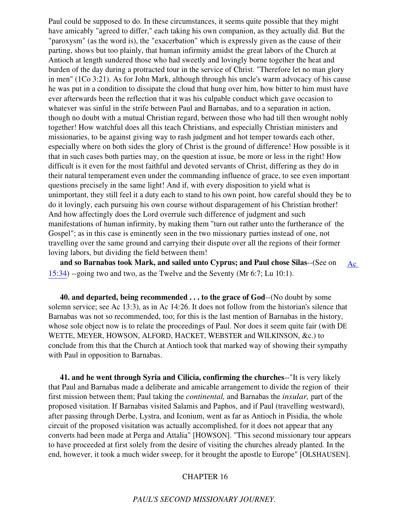Paul could be supposed to do. In these circumstances, it seems quite possible that they might have amicably "agreed to differ," each taking his own companion, as they actually did. But the "paroxysm" (as the word is), the "exacerbation" which is expressly given as the cause of their parting, shows but too plainly, that human infirmity amidst the great labors of the Church at Antioch at length sundered those who had sweetly and lovingly borne together the heat and burden of the day during a protracted tour in the service of Christ. "Therefore let no man glory in men" (1Co 3:21). As for John Mark, although through his uncle's warm advocacy of his cause he was put in a condition to dissipate the cloud that hung over him, how bitter to him must have ever afterwards been the reflection that it was his culpable conduct which gave occasion to whatever was sinful in the strife between Paul and Barnabas, and to a separation in action, though no doubt with a mutual Christian regard, between those who had till then wrought nobly together! How watchful does all this teach Christians, and especially Christian ministers and missionaries, to be against giving way to rash judgment and hot temper towards each other, especially where on both sides the glory of Christ is the ground of difference! How possible is it that in such cases both parties may, on the question at issue, be more or less in the right! How difficult is it even for the most faithful and devoted servants of Christ, differing as they do in their natural temperament even under the commanding influence of grace, to see even important questions precisely in the same light! And if, with every disposition to yield what is unimportant, they still feel it a duty each to stand to his own point, how careful should they be to do it lovingly, each pursuing his own course without disparagement of his Christian brother! And how affectingly does the Lord overrule such difference of judgment and such manifestations of human infirmity, by making them "turn out rather unto the furtherance of the Gospel"; as in this case is eminently seen in the two missionary parties instead of one, not travelling over the same ground and carrying their dispute over all the regions of their former loving labors, but dividing the field between them!

Ac **and so Barnabas took Mark, and sailed unto Cyprus; and Paul chose Silas**--(See on 15:34) --going two and two, as the Twelve and the Seventy (Mr 6:7; Lu 10:1).

 **40. and departed, being recommended . . . to the grace of God**--(No doubt by some solemn service; see Ac 13:3), as in Ac 14:26. It does not follow from the historian's silence that Barnabas was not so recommended, too; for this is the last mention of Barnabas in the history, whose sole object now is to relate the proceedings of Paul. Nor does it seem quite fair (with DE WETTE, MEYER, HOWSON, ALFORD, HACKET, WEBSTER and WILKINSON, &c.) to conclude from this that the Church at Antioch took that marked way of showing their sympathy with Paul in opposition to Barnabas.

 **41. and he went through Syria and Cilicia, confirming the churches**--"It is very likely that Paul and Barnabas made a deliberate and amicable arrangement to divide the region of their first mission between them; Paul taking the *continental,* and Barnabas the *insular,* part of the proposed visitation. If Barnabas visited Salamis and Paphos, and if Paul (travelling westward), after passing through Derbe, Lystra, and Iconium, went as far as Antioch in Pisidia, the whole circuit of the proposed visitation was actually accomplished, for it does not appear that any converts had been made at Perga and Attalia" [HOWSON]. "This second missionary tour appears to have proceeded at first solely from the desire of visiting the churches already planted. In the end, however, it took a much wider sweep, for it brought the apostle to Europe" [OLSHAUSEN].

## CHAPTER 16

*PAUL'S SECOND MISSIONARY JOURNEY.*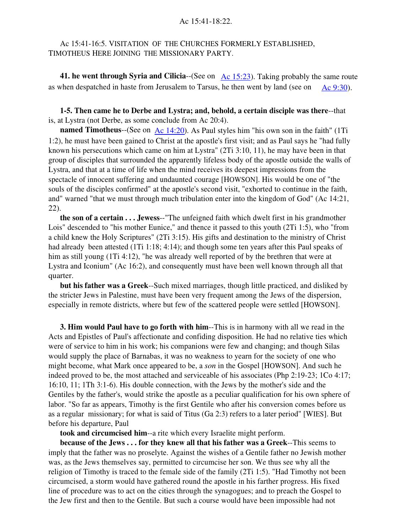Ac 15:41-16:5. VISITATION OF THE CHURCHES FORMERLY ESTABLISHED, TIMOTHEUS HERE JOINING THE MISSIONARY PARTY.

**41. he went through Syria and Cilicia--**(See on **Ac 15:23**). Taking probably the same route Ac 9:30). as when despatched in haste from Jerusalem to Tarsus, he then went by land (see on

## **1-5. Then came he to Derbe and Lystra; and, behold, a certain disciple was there**--that is, at Lystra (not Derbe, as some conclude from Ac 20:4).

**named Timotheus--**(See on  $\underline{Ac}$  14:20). As Paul styles him "his own son in the faith" (1Ti 1:2), he must have been gained to Christ at the apostle's first visit; and as Paul says he "had fully known his persecutions which came on him at Lystra" (2Ti 3:10, 11), he may have been in that group of disciples that surrounded the apparently lifeless body of the apostle outside the walls of Lystra, and that at a time of life when the mind receives its deepest impressions from the spectacle of innocent suffering and undaunted courage [HOWSON]. His would be one of "the souls of the disciples confirmed" at the apostle's second visit, "exhorted to continue in the faith, and" warned "that we must through much tribulation enter into the kingdom of God" (Ac 14:21, 22).

 **the son of a certain . . . Jewess**--"The unfeigned faith which dwelt first in his grandmother Lois" descended to "his mother Eunice," and thence it passed to this youth (2Ti 1:5), who "from a child knew the Holy Scriptures" (2Ti 3:15). His gifts and destination to the ministry of Christ had already been attested (1Ti 1:18; 4:14); and though some ten years after this Paul speaks of him as still young (1Ti 4:12), "he was already well reported of by the brethren that were at Lystra and Iconium" (Ac 16:2), and consequently must have been well known through all that quarter.

 **but his father was a Greek**--Such mixed marriages, though little practiced, and disliked by the stricter Jews in Palestine, must have been very frequent among the Jews of the dispersion, especially in remote districts, where but few of the scattered people were settled [HOWSON].

 **3. Him would Paul have to go forth with him**--This is in harmony with all we read in the Acts and Epistles of Paul's affectionate and confiding disposition. He had no relative ties which were of service to him in his work; his companions were few and changing; and though Silas would supply the place of Barnabas, it was no weakness to yearn for the society of one who might become, what Mark once appeared to be, a *son* in the Gospel [HOWSON]. And such he indeed proved to be, the most attached and serviceable of his associates (Php 2:19-23; 1Co 4:17; 16:10, 11; 1Th 3:1-6). His double connection, with the Jews by the mother's side and the Gentiles by the father's, would strike the apostle as a peculiar qualification for his own sphere of labor. "So far as appears, Timothy is the first Gentile who after his conversion comes before us as a regular missionary; for what is said of Titus (Ga 2:3) refers to a later period" [WIES]. But before his departure, Paul

**took and circumcised him**--a rite which every Israelite might perform.

 **because of the Jews . . . for they knew all that his father was a Greek**--This seems to imply that the father was no proselyte. Against the wishes of a Gentile father no Jewish mother was, as the Jews themselves say, permitted to circumcise her son. We thus see why all the religion of Timothy is traced to the female side of the family (2Ti 1:5). "Had Timothy not been circumcised, a storm would have gathered round the apostle in his farther progress. His fixed line of procedure was to act on the cities through the synagogues; and to preach the Gospel to the Jew first and then to the Gentile. But such a course would have been impossible had not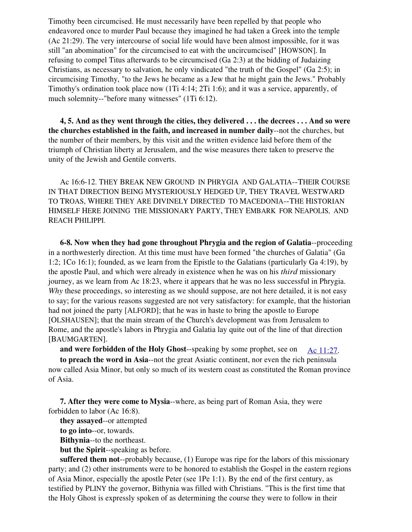Timothy been circumcised. He must necessarily have been repelled by that people who endeavored once to murder Paul because they imagined he had taken a Greek into the temple (Ac 21:29). The very intercourse of social life would have been almost impossible, for it was still "an abomination" for the circumcised to eat with the uncircumcised" [HOWSON]. In refusing to compel Titus afterwards to be circumcised (Ga 2:3) at the bidding of Judaizing Christians, as necessary to salvation, he only vindicated "the truth of the Gospel" (Ga 2:5); in circumcising Timothy, "to the Jews he became as a Jew that he might gain the Jews." Probably Timothy's ordination took place now (1Ti 4:14; 2Ti 1:6); and it was a service, apparently, of much solemnity--"before many witnesses" (1Ti 6:12).

 **4, 5. And as they went through the cities, they delivered . . . the decrees . . . And so were the churches established in the faith, and increased in number daily**--not the churches, but the number of their members, by this visit and the written evidence laid before them of the triumph of Christian liberty at Jerusalem, and the wise measures there taken to preserve the unity of the Jewish and Gentile converts.

 Ac 16:6-12. THEY BREAK NEW GROUND IN PHRYGIA AND GALATIA--THEIR COURSE IN THAT DIRECTION BEING MYSTERIOUSLY HEDGED UP, THEY TRAVEL WESTWARD TO TROAS, WHERE THEY ARE DIVINELY DIRECTED TO MACEDONIA--THE HISTORIAN HIMSELF HERE JOINING THE MISSIONARY PARTY, THEY EMBARK FOR NEAPOLIS, AND REACH PHILIPPI.

 **6-8. Now when they had gone throughout Phrygia and the region of Galatia**--proceeding in a northwesterly direction. At this time must have been formed "the churches of Galatia" (Ga 1:2; 1Co 16:1); founded, as we learn from the Epistle to the Galatians (particularly Ga 4:19), by the apostle Paul, and which were already in existence when he was on his *third* missionary journey, as we learn from Ac 18:23, where it appears that he was no less successful in Phrygia. *Why* these proceedings, so interesting as we should suppose, are not here detailed, it is not easy to say; for the various reasons suggested are not very satisfactory: for example, that the historian had not joined the party [ALFORD]; that he was in haste to bring the apostle to Europe [OLSHAUSEN]; that the main stream of the Church's development was from Jerusalem to Rome, and the apostle's labors in Phrygia and Galatia lay quite out of the line of that direction [BAUMGARTEN].

Ac 11:27. **and were forbidden of the Holy Ghost**--speaking by some prophet, see on **to preach the word in Asia**--not the great Asiatic continent, nor even the rich peninsula now called Asia Minor, but only so much of its western coast as constituted the Roman province of Asia.

 **7. After they were come to Mysia**--where, as being part of Roman Asia, they were forbidden to labor (Ac 16:8).

**they assayed**--or attempted

**to go into**--or, towards.

**Bithynia**--to the northeast.

**but the Spirit**--speaking as before.

 **suffered them not**--probably because, (1) Europe was ripe for the labors of this missionary party; and (2) other instruments were to be honored to establish the Gospel in the eastern regions of Asia Minor, especially the apostle Peter (see 1Pe 1:1). By the end of the first century, as testified by PLINY the governor, Bithynia was filled with Christians. "This is the first time that the Holy Ghost is expressly spoken of as determining the course they were to follow in their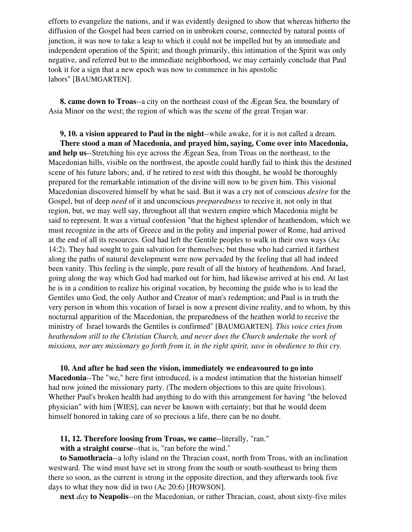efforts to evangelize the nations, and it was evidently designed to show that whereas hitherto the diffusion of the Gospel had been carried on in unbroken course, connected by natural points of junction, it was now to take a leap to which it could not be impelled but by an immediate and independent operation of the Spirit; and though primarily, this intimation of the Spirit was only negative, and referred but to the immediate neighborhood, we may certainly conclude that Paul took it for a sign that a new epoch was now to commence in his apostolic labors" [BAUMGARTEN].

 **8. came down to Troas**--a city on the northeast coast of the Ægean Sea, the boundary of Asia Minor on the west; the region of which was the scene of the great Trojan war.

 **9, 10. a vision appeared to Paul in the night**--while awake, for it is not called a dream. **There stood a man of Macedonia, and prayed him, saying, Come over into Macedonia, and help us**--Stretching his eye across the Ægean Sea, from Troas on the northeast, to the Macedonian hills, visible on the northwest, the apostle could hardly fail to think this the destined scene of his future labors; and, if he retired to rest with this thought, he would be thoroughly prepared for the remarkable intimation of the divine will now to be given him. This visional Macedonian discovered himself by what he said. But it was a cry not of conscious *desire* for the Gospel, but of deep *need* of it and unconscious *preparedness* to receive it, not only in that region, but, we may well say, throughout all that western empire which Macedonia might be said to represent. It was a virtual confession "that the highest splendor of heathendom, which we must recognize in the arts of Greece and in the polity and imperial power of Rome, had arrived at the end of all its resources. God had left the Gentile peoples to walk in their own ways (Ac 14:2). They had sought to gain salvation for themselves; but those who had carried it farthest along the paths of natural development were now pervaded by the feeling that all had indeed been vanity. This feeling is the simple, pure result of all the history of heathendom. And Israel, going along the way which God had marked out for him, had likewise arrived at his end. At last he is in a condition to realize his original vocation, by becoming the guide who is to lead the Gentiles unto God, the only Author and Creator of man's redemption; and Paul is in truth the very person in whom this vocation of Israel is now a present divine reality, and to whom, by this nocturnal apparition of the Macedonian, the preparedness of the heathen world to receive the ministry of Israel towards the Gentiles is confirmed" [BAUMGARTEN]. *This voice cries from heathendom still to the Christian Church, and never does the Church undertake the work of missions, nor any missionary go forth from it, in the right spirit, save in obedience to this cry.*

 **10. And after he had seen the vision, immediately we endeavoured to go into Macedonia**--The "we," here first introduced, is a modest intimation that the historian himself had now joined the missionary party. (The modern objections to this are quite frivolous). Whether Paul's broken health had anything to do with this arrangement for having "the beloved physician" with him [WIES], can never be known with certainty; but that he would deem himself honored in taking care of so precious a life, there can be no doubt.

#### **11, 12. Therefore loosing from Troas, we came**--literally, "ran."

**with a straight course**--that is, "ran before the wind."

 **to Samothracia**--a lofty island on the Thracian coast, north from Troas, with an inclination westward. The wind must have set in strong from the south or south-southeast to bring them there so soon, as the current is strong in the opposite direction, and they afterwards took five days to what they now did in two (Ac 20:6) [HOWSON].

**next** *day* **to Neapolis**--on the Macedonian, or rather Thracian, coast, about sixty-five miles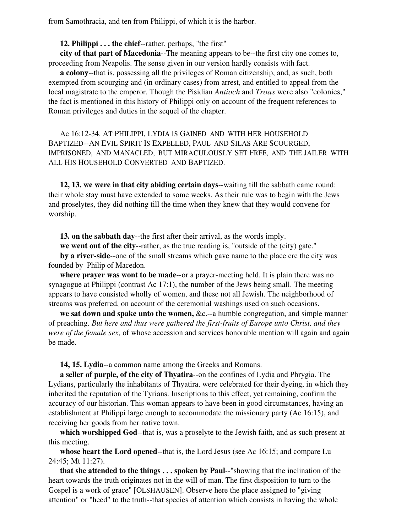from Samothracia, and ten from Philippi, of which it is the harbor.

**12. Philippi . . . the chief**--rather, perhaps, "the first"

 **city of that part of Macedonia**--The meaning appears to be--the first city one comes to, proceeding from Neapolis. The sense given in our version hardly consists with fact.

 **a colony**--that is, possessing all the privileges of Roman citizenship, and, as such, both exempted from scourging and (in ordinary cases) from arrest, and entitled to appeal from the local magistrate to the emperor. Though the Pisidian *Antioch* and *Troas* were also "colonies," the fact is mentioned in this history of Philippi only on account of the frequent references to Roman privileges and duties in the sequel of the chapter.

 Ac 16:12-34. AT PHILIPPI, LYDIA IS GAINED AND WITH HER HOUSEHOLD BAPTIZED--AN EVIL SPIRIT IS EXPELLED, PAUL AND SILAS ARE SCOURGED, IMPRISONED, AND MANACLED, BUT MIRACULOUSLY SET FREE, AND THE JAILER WITH ALL HIS HOUSEHOLD CONVERTED AND BAPTIZED.

 **12, 13. we were in that city abiding certain days**--waiting till the sabbath came round: their whole stay must have extended to some weeks. As their rule was to begin with the Jews and proselytes, they did nothing till the time when they knew that they would convene for worship.

**13. on the sabbath day**--the first after their arrival, as the words imply.

**we went out of the city**--rather, as the true reading is, "outside of the (city) gate."

 **by a river-side**--one of the small streams which gave name to the place ere the city was founded by Philip of Macedon.

 **where prayer was wont to be made**--or a prayer-meeting held. It is plain there was no synagogue at Philippi (contrast Ac 17:1), the number of the Jews being small. The meeting appears to have consisted wholly of women, and these not all Jewish. The neighborhood of streams was preferred, on account of the ceremonial washings used on such occasions.

 **we sat down and spake unto the women,** &c.--a humble congregation, and simple manner of preaching. *But here and thus were gathered the first-fruits of Europe unto Christ, and they were of the female sex,* of whose accession and services honorable mention will again and again be made.

**14, 15. Lydia**--a common name among the Greeks and Romans.

 **a seller of purple, of the city of Thyatira**--on the confines of Lydia and Phrygia. The Lydians, particularly the inhabitants of Thyatira, were celebrated for their dyeing, in which they inherited the reputation of the Tyrians. Inscriptions to this effect, yet remaining, confirm the accuracy of our historian. This woman appears to have been in good circumstances, having an establishment at Philippi large enough to accommodate the missionary party (Ac 16:15), and receiving her goods from her native town.

 **which worshipped God**--that is, was a proselyte to the Jewish faith, and as such present at this meeting.

 **whose heart the Lord opened**--that is, the Lord Jesus (see Ac 16:15; and compare Lu 24:45; Mt 11:27).

 **that she attended to the things . . . spoken by Paul**--"showing that the inclination of the heart towards the truth originates not in the will of man. The first disposition to turn to the Gospel is a work of grace" [OLSHAUSEN]. Observe here the place assigned to "giving attention" or "heed" to the truth--that species of attention which consists in having the whole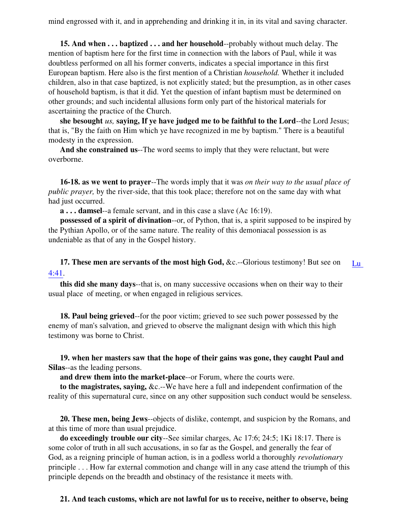mind engrossed with it, and in apprehending and drinking it in, in its vital and saving character.

 **15. And when . . . baptized . . . and her household**--probably without much delay. The mention of baptism here for the first time in connection with the labors of Paul, while it was doubtless performed on all his former converts, indicates a special importance in this first European baptism. Here also is the first mention of a Christian *household.* Whether it included children, also in that case baptized, is not explicitly stated; but the presumption, as in other cases of household baptism, is that it did. Yet the question of infant baptism must be determined on other grounds; and such incidental allusions form only part of the historical materials for ascertaining the practice of the Church.

 **she besought** *us,* **saying, If ye have judged me to be faithful to the Lord**--the Lord Jesus; that is, "By the faith on Him which ye have recognized in me by baptism." There is a beautiful modesty in the expression.

 **And she constrained us**--The word seems to imply that they were reluctant, but were overborne.

 **16-18. as we went to prayer**--The words imply that it was *on their way to the usual place of public prayer,* by the river-side, that this took place; therefore not on the same day with what had just occurred.

**a . . . damsel**--a female servant, and in this case a slave (Ac 16:19).

 **possessed of a spirit of divination**--or, of Python, that is, a spirit supposed to be inspired by the Pythian Apollo, or of the same nature. The reality of this demoniacal possession is as undeniable as that of any in the Gospel history.

Lu **17. These men are servants of the most high God,** &c.--Glorious testimony! But see on 4:41.

 **this did she many days**--that is, on many successive occasions when on their way to their usual place of meeting, or when engaged in religious services.

 **18. Paul being grieved**--for the poor victim; grieved to see such power possessed by the enemy of man's salvation, and grieved to observe the malignant design with which this high testimony was borne to Christ.

 **19. when her masters saw that the hope of their gains was gone, they caught Paul and Silas**--as the leading persons.

**and drew them into the market-place**--or Forum, where the courts were.

 **to the magistrates, saying,** &c.--We have here a full and independent confirmation of the reality of this supernatural cure, since on any other supposition such conduct would be senseless.

 **20. These men, being Jews**--objects of dislike, contempt, and suspicion by the Romans, and at this time of more than usual prejudice.

 **do exceedingly trouble our city**--See similar charges, Ac 17:6; 24:5; 1Ki 18:17. There is some color of truth in all such accusations, in so far as the Gospel, and generally the fear of God, as a reigning principle of human action, is in a godless world a thoroughly *revolutionary* principle . . . How far external commotion and change will in any case attend the triumph of this principle depends on the breadth and obstinacy of the resistance it meets with.

#### **21. And teach customs, which are not lawful for us to receive, neither to observe, being**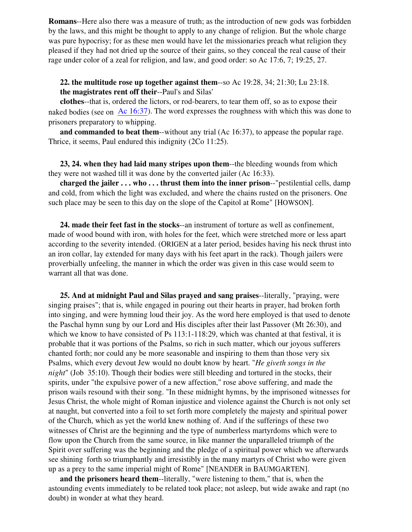**Romans**--Here also there was a measure of truth; as the introduction of new gods was forbidden by the laws, and this might be thought to apply to any change of religion. But the whole charge was pure hypocrisy; for as these men would have let the missionaries preach what religion they pleased if they had not dried up the source of their gains, so they conceal the real cause of their rage under color of a zeal for religion, and law, and good order: so Ac 17:6, 7; 19:25, 27.

## **22. the multitude rose up together against them**--so Ac 19:28, 34; 21:30; Lu 23:18. **the magistrates rent off their**--Paul's and Silas'

naked bodies (see on  $\underline{Ac 16:37}$ ). The word expresses the roughness with which this was done to **clothes**--that is, ordered the lictors, or rod-bearers, to tear them off, so as to expose their prisoners preparatory to whipping.

**and commanded to beat them**--without any trial (Ac 16:37), to appease the popular rage. Thrice, it seems, Paul endured this indignity (2Co 11:25).

 **23, 24. when they had laid many stripes upon them**--the bleeding wounds from which they were not washed till it was done by the converted jailer (Ac 16:33).

 **charged the jailer . . . who . . . thrust them into the inner prison**--"pestilential cells, damp and cold, from which the light was excluded, and where the chains rusted on the prisoners. One such place may be seen to this day on the slope of the Capitol at Rome" [HOWSON].

 **24. made their feet fast in the stocks**--an instrument of torture as well as confinement, made of wood bound with iron, with holes for the feet, which were stretched more or less apart according to the severity intended. (ORIGEN at a later period, besides having his neck thrust into an iron collar, lay extended for many days with his feet apart in the rack). Though jailers were proverbially unfeeling, the manner in which the order was given in this case would seem to warrant all that was done.

 **25. And at midnight Paul and Silas prayed and sang praises**--literally, "praying, were singing praises"; that is, while engaged in pouring out their hearts in prayer, had broken forth into singing, and were hymning loud their joy. As the word here employed is that used to denote the Paschal hymn sung by our Lord and His disciples after their last Passover (Mt 26:30), and which we know to have consisted of Ps 113:1-118:29, which was chanted at that festival, it is probable that it was portions of the Psalms, so rich in such matter, which our joyous sufferers chanted forth; nor could any be more seasonable and inspiring to them than those very six Psalms, which every devout Jew would no doubt know by heart. "*He giveth songs in the night*" (Job 35:10). Though their bodies were still bleeding and tortured in the stocks, their spirits, under "the expulsive power of a new affection," rose above suffering, and made the prison wails resound with their song. "In these midnight hymns, by the imprisoned witnesses for Jesus Christ, the whole might of Roman injustice and violence against the Church is not only set at naught, but converted into a foil to set forth more completely the majesty and spiritual power of the Church, which as yet the world knew nothing of. And if the sufferings of these two witnesses of Christ are the beginning and the type of numberless martyrdoms which were to flow upon the Church from the same source, in like manner the unparalleled triumph of the Spirit over suffering was the beginning and the pledge of a spiritual power which we afterwards see shining forth so triumphantly and irresistibly in the many martyrs of Christ who were given up as a prey to the same imperial might of Rome" [NEANDER in BAUMGARTEN].

 **and the prisoners heard them**--literally, "were listening to them," that is, when the astounding events immediately to be related took place; not asleep, but wide awake and rapt (no doubt) in wonder at what they heard.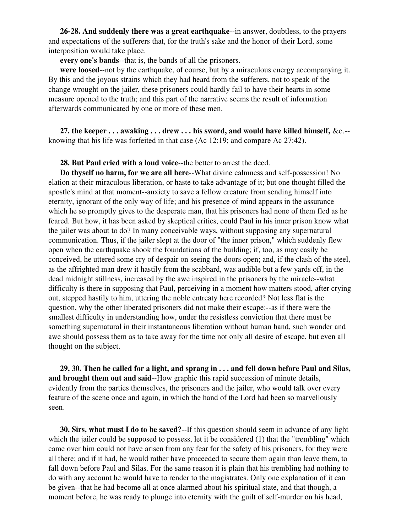**26-28. And suddenly there was a great earthquake**--in answer, doubtless, to the prayers and expectations of the sufferers that, for the truth's sake and the honor of their Lord, some interposition would take place.

**every one's bands**--that is, the bands of all the prisoners.

 **were loosed**--not by the earthquake, of course, but by a miraculous energy accompanying it. By this and the joyous strains which they had heard from the sufferers, not to speak of the change wrought on the jailer, these prisoners could hardly fail to have their hearts in some measure opened to the truth; and this part of the narrative seems the result of information afterwards communicated by one or more of these men.

 **27. the keeper . . . awaking . . . drew . . . his sword, and would have killed himself,** &c.- knowing that his life was forfeited in that case (Ac 12:19; and compare Ac 27:42).

**28. But Paul cried with a loud voice**--the better to arrest the deed.

 **Do thyself no harm, for we are all here**--What divine calmness and self-possession! No elation at their miraculous liberation, or haste to take advantage of it; but one thought filled the apostle's mind at that moment--anxiety to save a fellow creature from sending himself into eternity, ignorant of the only way of life; and his presence of mind appears in the assurance which he so promptly gives to the desperate man, that his prisoners had none of them fled as he feared. But how, it has been asked by skeptical critics, could Paul in his inner prison know what the jailer was about to do? In many conceivable ways, without supposing any supernatural communication. Thus, if the jailer slept at the door of "the inner prison," which suddenly flew open when the earthquake shook the foundations of the building; if, too, as may easily be conceived, he uttered some cry of despair on seeing the doors open; and, if the clash of the steel, as the affrighted man drew it hastily from the scabbard, was audible but a few yards off, in the dead midnight stillness, increased by the awe inspired in the prisoners by the miracle--what difficulty is there in supposing that Paul, perceiving in a moment how matters stood, after crying out, stepped hastily to him, uttering the noble entreaty here recorded? Not less flat is the question, why the other liberated prisoners did not make their escape:--as if there were the smallest difficulty in understanding how, under the resistless conviction that there must be something supernatural in their instantaneous liberation without human hand, such wonder and awe should possess them as to take away for the time not only all desire of escape, but even all thought on the subject.

 **29, 30. Then he called for a light, and sprang in . . . and fell down before Paul and Silas, and brought them out and said**--How graphic this rapid succession of minute details, evidently from the parties themselves, the prisoners and the jailer, who would talk over every feature of the scene once and again, in which the hand of the Lord had been so marvellously seen.

 **30. Sirs, what must I do to be saved?**--If this question should seem in advance of any light which the jailer could be supposed to possess, let it be considered (1) that the "trembling" which came over him could not have arisen from any fear for the safety of his prisoners, for they were all there; and if it had, he would rather have proceeded to secure them again than leave them, to fall down before Paul and Silas. For the same reason it is plain that his trembling had nothing to do with any account he would have to render to the magistrates. Only one explanation of it can be given--that he had become all at once alarmed about his spiritual state, and that though, a moment before, he was ready to plunge into eternity with the guilt of self-murder on his head,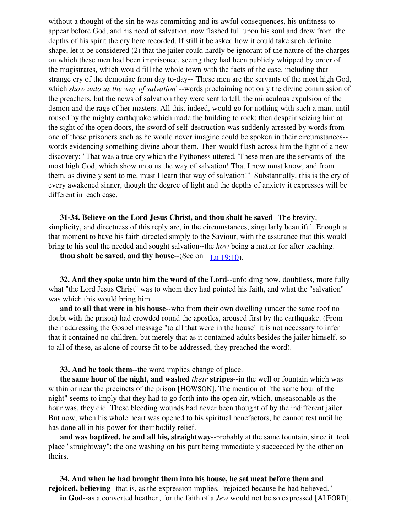without a thought of the sin he was committing and its awful consequences, his unfitness to appear before God, and his need of salvation, now flashed full upon his soul and drew from the depths of his spirit the cry here recorded. If still it be asked how it could take such definite shape, let it be considered (2) that the jailer could hardly be ignorant of the nature of the charges on which these men had been imprisoned, seeing they had been publicly whipped by order of the magistrates, which would fill the whole town with the facts of the case, including that strange cry of the demoniac from day to-day--"These men are the servants of the most high God, which *show unto us the way of salvation*"--words proclaiming not only the divine commission of the preachers, but the news of salvation they were sent to tell, the miraculous expulsion of the demon and the rage of her masters. All this, indeed, would go for nothing with such a man, until roused by the mighty earthquake which made the building to rock; then despair seizing him at the sight of the open doors, the sword of self-destruction was suddenly arrested by words from one of those prisoners such as he would never imagine could be spoken in their circumstances- words evidencing something divine about them. Then would flash across him the light of a new discovery; "That was a true cry which the Pythoness uttered, 'These men are the servants of the most high God, which show unto us the way of salvation! That I now must know, and from them, as divinely sent to me, must I learn that way of salvation!'" Substantially, this is the cry of every awakened sinner, though the degree of light and the depths of anxiety it expresses will be different in each case.

 **31-34. Believe on the Lord Jesus Christ, and thou shalt be saved**--The brevity, simplicity, and directness of this reply are, in the circumstances, singularly beautiful. Enough at that moment to have his faith directed simply to the Saviour, with the assurance that this would bring to his soul the needed and sought salvation--the *how* being a matter for after teaching.

**thou shalt be saved, and thy house**--(See on  $\mu$   $\mu$  19:10).

 **32. And they spake unto him the word of the Lord**--unfolding now, doubtless, more fully what "the Lord Jesus Christ" was to whom they had pointed his faith, and what the "salvation" was which this would bring him.

 **and to all that were in his house**--who from their own dwelling (under the same roof no doubt with the prison) had crowded round the apostles, aroused first by the earthquake. (From their addressing the Gospel message "to all that were in the house" it is not necessary to infer that it contained no children, but merely that as it contained adults besides the jailer himself, so to all of these, as alone of course fit to be addressed, they preached the word).

**33. And he took them**--the word implies change of place.

 **the same hour of the night, and washed** *their* **stripes**--in the well or fountain which was within or near the precincts of the prison [HOWSON]. The mention of "the same hour of the night" seems to imply that they had to go forth into the open air, which, unseasonable as the hour was, they did. These bleeding wounds had never been thought of by the indifferent jailer. But now, when his whole heart was opened to his spiritual benefactors, he cannot rest until he has done all in his power for their bodily relief.

 **and was baptized, he and all his, straightway**--probably at the same fountain, since it took place "straightway"; the one washing on his part being immediately succeeded by the other on theirs.

 **34. And when he had brought them into his house, he set meat before them and rejoiced, believing**--that is, as the expression implies, "rejoiced because he had believed." **in God**--as a converted heathen, for the faith of a *Jew* would not be so expressed [ALFORD].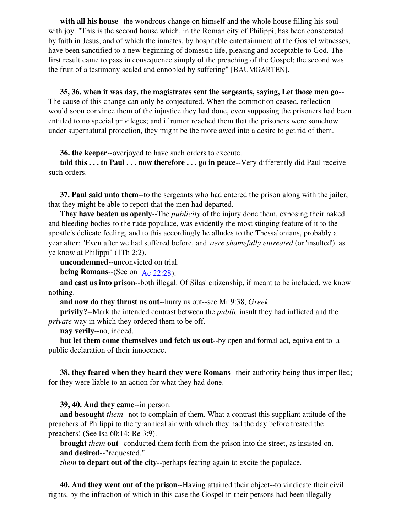**with all his house**--the wondrous change on himself and the whole house filling his soul with joy. "This is the second house which, in the Roman city of Philippi, has been consecrated by faith in Jesus, and of which the inmates, by hospitable entertainment of the Gospel witnesses, have been sanctified to a new beginning of domestic life, pleasing and acceptable to God. The first result came to pass in consequence simply of the preaching of the Gospel; the second was the fruit of a testimony sealed and ennobled by suffering" [BAUMGARTEN].

# **35, 36. when it was day, the magistrates sent the sergeants, saying, Let those men go**--

The cause of this change can only be conjectured. When the commotion ceased, reflection would soon convince them of the injustice they had done, even supposing the prisoners had been entitled to no special privileges; and if rumor reached them that the prisoners were somehow under supernatural protection, they might be the more awed into a desire to get rid of them.

**36. the keeper**--overjoyed to have such orders to execute.

 **told this . . . to Paul . . . now therefore . . . go in peace**--Very differently did Paul receive such orders.

 **37. Paul said unto them**--to the sergeants who had entered the prison along with the jailer, that they might be able to report that the men had departed.

 **They have beaten us openly**--The *publicity* of the injury done them, exposing their naked and bleeding bodies to the rude populace, was evidently the most stinging feature of it to the apostle's delicate feeling, and to this accordingly he alludes to the Thessalonians, probably a year after: "Even after we had suffered before, and *were shamefully entreated* (or 'insulted') as ye know at Philippi" (1Th 2:2).

**uncondemned**--unconvicted on trial.

**being Romans**--(See on  $\underline{Ac}$  22:28).

 **and cast us into prison**--both illegal. Of Silas' citizenship, if meant to be included, we know nothing.

**and now do they thrust us out**--hurry us out--see Mr 9:38, *Greek.*

 **privily?**--Mark the intended contrast between the *public* insult they had inflicted and the *private* way in which they ordered them to be off.

**nay verily**--no, indeed.

 **but let them come themselves and fetch us out**--by open and formal act, equivalent to a public declaration of their innocence.

 **38. they feared when they heard they were Romans**--their authority being thus imperilled; for they were liable to an action for what they had done.

### **39, 40. And they came**--in person.

 **and besought** *them*--not to complain of them. What a contrast this suppliant attitude of the preachers of Philippi to the tyrannical air with which they had the day before treated the preachers! (See Isa 60:14; Re 3:9).

 **brought** *them* **out**--conducted them forth from the prison into the street, as insisted on. **and desired**--"requested."

*them* **to depart out of the city**--perhaps fearing again to excite the populace.

 **40. And they went out of the prison**--Having attained their object--to vindicate their civil rights, by the infraction of which in this case the Gospel in their persons had been illegally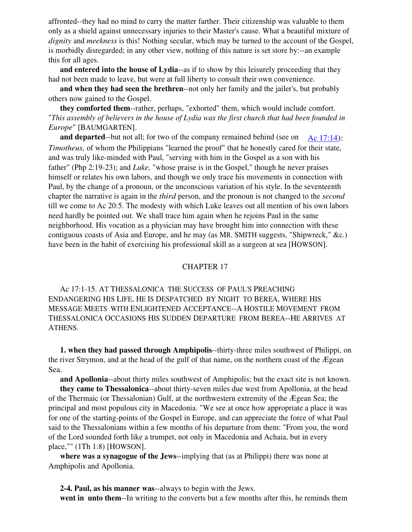affronted--they had no mind to carry the matter farther. Their citizenship was valuable to them only as a shield against unnecessary injuries to their Master's cause. What a beautiful mixture of *dignity* and *meekness* is this! Nothing secular, which may be turned to the account of the Gospel, is morbidly disregarded; in any other view, nothing of this nature is set store by:--an example this for all ages.

 **and entered into the house of Lydia**--as if to show by this leisurely proceeding that they had not been made to leave, but were at full liberty to consult their own convenience.

 **and when they had seen the brethren**--not only her family and the jailer's, but probably others now gained to the Gospel.

 **they comforted them**--rather, perhaps, "exhorted" them, which would include comfort. "*This assembly of believers in the house of Lydia was the first church that had been founded in Europe*" [BAUMGARTEN].

**and departed**--but not all; for two of the company remained behind (see on  $\underline{Ac 17:14}$ ): *Timotheus,* of whom the Philippians "learned the proof" that he honestly cared for their state, and was truly like-minded with Paul, "serving with him in the Gospel as a son with his father" (Php 2:19-23); and *Luke,* "whose praise is in the Gospel," though he never praises himself or relates his own labors, and though we only trace his movements in connection with Paul, by the change of a pronoun, or the unconscious variation of his style. In the seventeenth chapter the narrative is again in the *third* person, and the pronoun is not changed to the *second* till we come to Ac 20:5. The modesty with which Luke leaves out all mention of his own labors need hardly be pointed out. We shall trace him again when he rejoins Paul in the same neighborhood. His vocation as a physician may have brought him into connection with these contiguous coasts of Asia and Europe, and he may (as MR. SMITH suggests, "Shipwreck," &c.) have been in the habit of exercising his professional skill as a surgeon at sea [HOWSON].

#### CHAPTER 17

 Ac 17:1-15. AT THESSALONICA THE SUCCESS OF PAUL'S PREACHING ENDANGERING HIS LIFE, HE IS DESPATCHED BY NIGHT TO BEREA, WHERE HIS MESSAGE MEETS WITH ENLIGHTENED ACCEPTANCE--A HOSTILE MOVEMENT FROM THESSALONICA OCCASIONS HIS SUDDEN DEPARTURE FROM BEREA--HE ARRIVES AT ATHENS.

 **1. when they had passed through Amphipolis**--thirty-three miles southwest of Philippi, on the river Strymon, and at the head of the gulf of that name, on the northern coast of the Ægean Sea.

**and Apollonia**--about thirty miles southwest of Amphipolis; but the exact site is not known.

 **they came to Thessalonica**--about thirty-seven miles due west from Apollonia, at the head of the Thermaic (or Thessalonian) Gulf, at the northwestern extremity of the Ægean Sea; the principal and most populous city in Macedonia. "We see at once how appropriate a place it was for one of the starting-points of the Gospel in Europe, and can appreciate the force of what Paul said to the Thessalonians within a few months of his departure from them: "From you, the word of the Lord sounded forth like a trumpet, not only in Macedonia and Achaia, but in every place,"" (1Th 1:8) [HOWSON].

 **where was a synagogue of the Jews**--implying that (as at Philippi) there was none at Amphipolis and Apollonia.

 **2-4. Paul, as his manner was**--always to begin with the Jews. **went in unto them**--In writing to the converts but a few months after this, he reminds them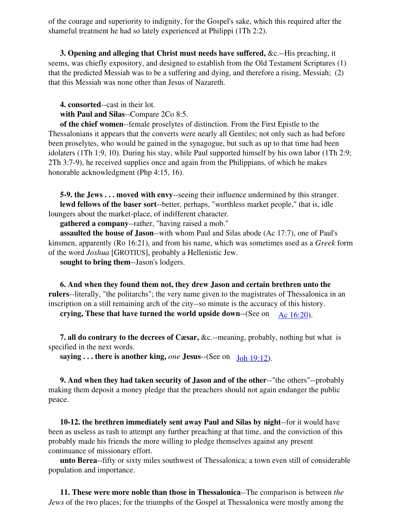of the courage and superiority to indignity, for the Gospel's sake, which this required after the shameful treatment he had so lately experienced at Philippi (1Th 2:2).

 **3. Opening and alleging that Christ must needs have suffered,** &c.--His preaching, it seems, was chiefly expository, and designed to establish from the Old Testament Scriptures (1) that the predicted Messiah was to be a suffering and dying, and therefore a rising, Messiah; (2) that this Messiah was none other than Jesus of Nazareth.

**4. consorted**--cast in their lot.

**with Paul and Silas**--Compare 2Co 8:5.

 **of the chief women**--female proselytes of distinction. From the First Epistle to the Thessalonians it appears that the converts were nearly all Gentiles; not only such as had before been proselytes, who would be gained in the synagogue, but such as up to that time had been idolaters (1Th 1:9, 10). During his stay, while Paul supported himself by his own labor (1Th 2:9; 2Th 3:7-9), he received supplies once and again from the Philippians, of which he makes honorable acknowledgment (Php 4:15, 16).

 **5-9. the Jews . . . moved with envy**--seeing their influence undermined by this stranger. **lewd fellows of the baser sort**--better, perhaps, "worthless market people," that is, idle loungers about the market-place, of indifferent character.

**gathered a company**--rather, "having raised a mob."

 **assaulted the house of Jason**--with whom Paul and Silas abode (Ac 17:7), one of Paul's kinsmen, apparently (Ro 16:21), and from his name, which was sometimes used as a *Greek* form of the word *Joshua* [GROTIUS], probably a Hellenistic Jew.

**sought to bring them**--Jason's lodgers.

 **6. And when they found them not, they drew Jason and certain brethren unto the rulers**--literally, "the politarchs"; the very name given to the magistrates of Thessalonica in an inscription on a still remaining arch of the city--so minute is the accuracy of this history.

Ac 16:20). **crying, These that have turned the world upside down**--(See on

 **7. all do contrary to the decrees of Cæsar,** &c.--meaning, probably, nothing but what is specified in the next words.

saying . . . there is another king, one Jesus--(See on  $\frac{\text{Joh }19:12}{\text{Joh }19:12}$ ).

 **9. And when they had taken security of Jason and of the other**--"the others"--probably making them deposit a money pledge that the preachers should not again endanger the public peace.

 **10-12. the brethren immediately sent away Paul and Silas by night**--for it would have been as useless as rash to attempt any further preaching at that time, and the conviction of this probably made his friends the more willing to pledge themselves against any present continuance of missionary effort.

 **unto Berea**--fifty or sixty miles southwest of Thessalonica; a town even still of considerable population and importance.

 **11. These were more noble than those in Thessalonica**--The comparison is between *the Jews* of the two places; for the triumphs of the Gospel at Thessalonica were mostly among the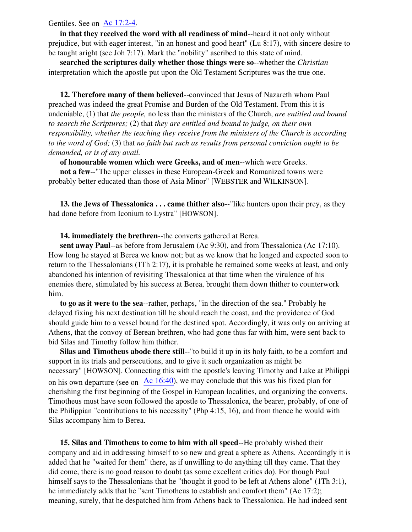Gentiles. See on Ac 17:2-4.

 **in that they received the word with all readiness of mind**--heard it not only without prejudice, but with eager interest, "in an honest and good heart" (Lu 8:17), with sincere desire to be taught aright (see Joh 7:17). Mark the "nobility" ascribed to this state of mind.

 **searched the scriptures daily whether those things were so**--whether the *Christian* interpretation which the apostle put upon the Old Testament Scriptures was the true one.

 **12. Therefore many of them believed**--convinced that Jesus of Nazareth whom Paul preached was indeed the great Promise and Burden of the Old Testament. From this it is undeniable, (1) that *the people,* no less than the ministers of the Church, *are entitled and bound to search the Scriptures;* (2) that *they are entitled and bound to judge, on their own responsibility, whether the teaching they receive from the ministers of the Church is according to the word of God;* (3) that *no faith but such as results from personal conviction ought to be demanded, or is of any avail.*

**of honourable women which were Greeks, and of men**--which were Greeks.

 **not a few**--"The upper classes in these European-Greek and Romanized towns were probably better educated than those of Asia Minor" [WEBSTER and WILKINSON].

 **13. the Jews of Thessalonica . . . came thither also**--"like hunters upon their prey, as they had done before from Iconium to Lystra" [HOWSON].

**14. immediately the brethren**--the converts gathered at Berea.

 **sent away Paul**--as before from Jerusalem (Ac 9:30), and from Thessalonica (Ac 17:10). How long he stayed at Berea we know not; but as we know that he longed and expected soon to return to the Thessalonians (1Th 2:17), it is probable he remained some weeks at least, and only abandoned his intention of revisiting Thessalonica at that time when the virulence of his enemies there, stimulated by his success at Berea, brought them down thither to counterwork him.

 **to go as it were to the sea**--rather, perhaps, "in the direction of the sea." Probably he delayed fixing his next destination till he should reach the coast, and the providence of God should guide him to a vessel bound for the destined spot. Accordingly, it was only on arriving at Athens, that the convoy of Berean brethren, who had gone thus far with him, were sent back to bid Silas and Timothy follow him thither.

on his own departure (see on  $\frac{\text{Ac }16:40}{\text{Ac }16:40}$ ), we may conclude that this was his fixed plan for **Silas and Timotheus abode there still**--"to build it up in its holy faith, to be a comfort and support in its trials and persecutions, and to give it such organization as might be necessary" [HOWSON]. Connecting this with the apostle's leaving Timothy and Luke at Philippi cherishing the first beginning of the Gospel in European localities, and organizing the converts. Timotheus must have soon followed the apostle to Thessalonica, the bearer, probably, of one of the Philippian "contributions to his necessity" (Php 4:15, 16), and from thence he would with Silas accompany him to Berea.

 **15. Silas and Timotheus to come to him with all speed**--He probably wished their company and aid in addressing himself to so new and great a sphere as Athens. Accordingly it is added that he "waited for them" there, as if unwilling to do anything till they came. That they did come, there is no good reason to doubt (as some excellent critics do). For though Paul himself says to the Thessalonians that he "thought it good to be left at Athens alone" (1Th 3:1), he immediately adds that he "sent Timotheus to establish and comfort them" (Ac 17:2); meaning, surely, that he despatched him from Athens back to Thessalonica. He had indeed sent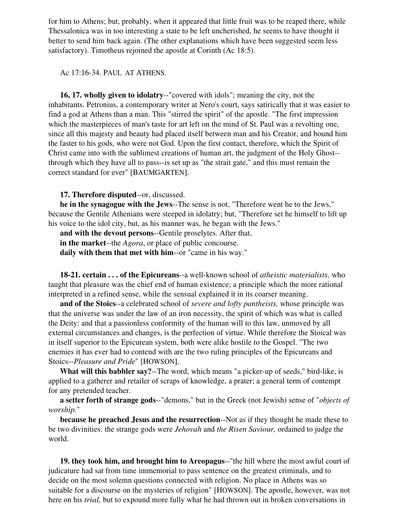for him to Athens; but, probably, when it appeared that little fruit was to be reaped there, while Thessalonica was in too interesting a state to be left uncherished, he seems to have thought it better to send him back again. (The other explanations which have been suggested seem less satisfactory). Timotheus rejoined the apostle at Corinth (Ac 18:5).

Ac 17:16-34. PAUL AT ATHENS.

 **16, 17. wholly given to idolatry**--"covered with idols"; meaning the city, not the inhabitants. Petronius, a contemporary writer at Nero's court, says satirically that it was easier to find a god at Athens than a man. This "stirred the spirit" of the apostle. "The first impression which the masterpieces of man's taste for art left on the mind of St. Paul was a revolting one, since all this majesty and beauty had placed itself between man and his Creator, and bound him the faster to his gods, who were not God. Upon the first contact, therefore, which the Spirit of Christ came into with the sublimest creations of human art, the judgment of the Holy Ghost- through which they have all to pass--is set up as "the strait gate," and this must remain the correct standard for ever" [BAUMGARTEN].

**17. Therefore disputed**--or, discussed.

 **he in the synagogue with the Jews**--The sense is not, "Therefore went he to the Jews," because the Gentile Athenians were steeped in idolatry; but, "Therefore set he himself to lift up his voice to the idol city, but, as his manner was, he began with the Jews."

 **and with the devout persons**--Gentile proselytes. After that, **in the market**--the *Agora*, or place of public concourse. **daily with them that met with him**--or "came in his way."

 **18-21. certain . . . of the Epicureans**--a well-known school of *atheistic materialists,* who taught that pleasure was the chief end of human existence; a principle which the more rational interpreted in a refined sense, while the sensual explained it in its coarser meaning.

 **and of the Stoics**--a celebrated school of *severe and lofty pantheists,* whose principle was that the universe was under the law of an iron necessity, the spirit of which was what is called the Deity: and that a passionless conformity of the human will to this law, unmoved by all external circumstances and changes, is the perfection of virtue. While therefore the Stoical was in itself superior to the Epicurean system, both were alike hostile to the Gospel. "The two enemies it has ever had to contend with are the two ruling principles of the Epicureans and Stoics--*Pleasure and Pride*" [HOWSON].

 **What will this babbler say?**--The word, which means "a picker-up of seeds," bird-like, is applied to a gatherer and retailer of scraps of knowledge, a prater; a general term of contempt for any pretended teacher.

 **a setter forth of strange gods**--"demons," but in the Greek (not Jewish) sense of "*objects of worship.*"

 **because he preached Jesus and the resurrection**--Not as if they thought he made these to be two divinities: the strange gods were *Jehovah* and *the Risen Saviour,* ordained to judge the world.

 **19. they took him, and brought him to Areopagus**--"the hill where the most awful court of judicature had sat from time immemorial to pass sentence on the greatest criminals, and to decide on the most solemn questions connected with religion. No place in Athens was so suitable for a discourse on the mysteries of religion" [HOWSON]. The apostle, however, was not here on his *trial,* but to expound more fully what he had thrown out in broken conversations in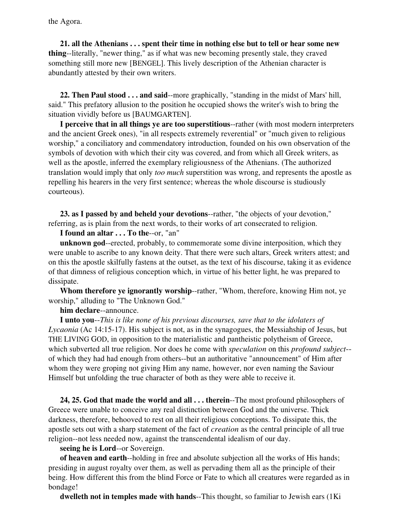the Agora.

 **21. all the Athenians . . . spent their time in nothing else but to tell or hear some new thing**--literally, "newer thing," as if what was new becoming presently stale, they craved something still more new [BENGEL]. This lively description of the Athenian character is abundantly attested by their own writers.

 **22. Then Paul stood . . . and said**--more graphically, "standing in the midst of Mars' hill, said." This prefatory allusion to the position he occupied shows the writer's wish to bring the situation vividly before us [BAUMGARTEN].

 **I perceive that in all things ye are too superstitious**--rather (with most modern interpreters and the ancient Greek ones), "in all respects extremely reverential" or "much given to religious worship," a conciliatory and commendatory introduction, founded on his own observation of the symbols of devotion with which their city was covered, and from which all Greek writers, as well as the apostle, inferred the exemplary religiousness of the Athenians. (The authorized translation would imply that only *too much* superstition was wrong, and represents the apostle as repelling his hearers in the very first sentence; whereas the whole discourse is studiously courteous).

 **23. as I passed by and beheld your devotions**--rather, "the objects of your devotion," referring, as is plain from the next words, to their works of art consecrated to religion.

**I found an altar . . . To the**--or, "an"

 **unknown god**--erected, probably, to commemorate some divine interposition, which they were unable to ascribe to any known deity. That there were such altars, Greek writers attest; and on this the apostle skilfully fastens at the outset, as the text of his discourse, taking it as evidence of that dimness of religious conception which, in virtue of his better light, he was prepared to dissipate.

 **Whom therefore ye ignorantly worship**--rather, "Whom, therefore, knowing Him not, ye worship," alluding to "The Unknown God."

**him declare**--announce.

 **I unto you**--*This is like none of his previous discourses, save that to the idolaters of Lycaonia* (Ac 14:15-17). His subject is not, as in the synagogues, the Messiahship of Jesus, but THE LIVING GOD, in opposition to the materialistic and pantheistic polytheism of Greece, which subverted all true religion. Nor does he come with *speculation* on this *profound subject*- of which they had had enough from others--but an authoritative "announcement" of Him after whom they were groping not giving Him any name, however, nor even naming the Saviour Himself but unfolding the true character of both as they were able to receive it.

 **24, 25. God that made the world and all . . . therein**--The most profound philosophers of Greece were unable to conceive any real distinction between God and the universe. Thick darkness, therefore, behooved to rest on all their religious conceptions. To dissipate this, the apostle sets out with a sharp statement of the fact of *creation* as the central principle of all true religion--not less needed now, against the transcendental idealism of our day.

**seeing he is Lord**--or Sovereign.

 **of heaven and earth**--holding in free and absolute subjection all the works of His hands; presiding in august royalty over them, as well as pervading them all as the principle of their being. How different this from the blind Force or Fate to which all creatures were regarded as in bondage!

**dwelleth not in temples made with hands**--This thought, so familiar to Jewish ears (1Ki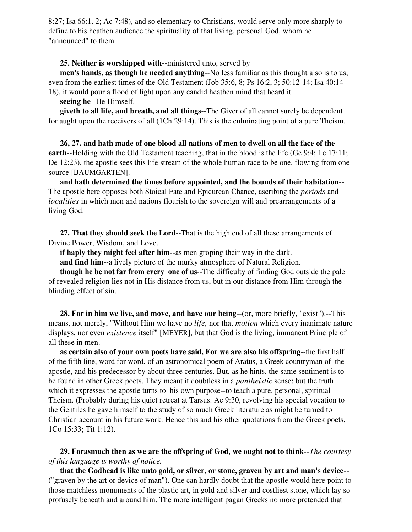8:27; Isa 66:1, 2; Ac 7:48), and so elementary to Christians, would serve only more sharply to define to his heathen audience the spirituality of that living, personal God, whom he "announced" to them.

**25. Neither is worshipped with**--ministered unto, served by

 **men's hands, as though he needed anything**--No less familiar as this thought also is to us, even from the earliest times of the Old Testament (Job 35:6, 8; Ps 16:2, 3; 50:12-14; Isa 40:14- 18), it would pour a flood of light upon any candid heathen mind that heard it.

**seeing he**--He Himself.

 **giveth to all life, and breath, and all things**--The Giver of all cannot surely be dependent for aught upon the receivers of all (1Ch 29:14). This is the culminating point of a pure Theism.

 **26, 27. and hath made of one blood all nations of men to dwell on all the face of the earth**--Holding with the Old Testament teaching, that in the blood is the life (Ge 9:4; Le 17:11; De 12:23), the apostle sees this life stream of the whole human race to be one, flowing from one source [BAUMGARTEN].

 **and hath determined the times before appointed, and the bounds of their habitation**-- The apostle here opposes both Stoical Fate and Epicurean Chance, ascribing the *periods* and *localities* in which men and nations flourish to the sovereign will and prearrangements of a living God.

 **27. That they should seek the Lord**--That is the high end of all these arrangements of Divine Power, Wisdom, and Love.

**if haply they might feel after him--as men groping their way in the dark.** 

**and find him**--a lively picture of the murky atmosphere of Natural Religion.

 **though he be not far from every one of us**--The difficulty of finding God outside the pale of revealed religion lies not in His distance from us, but in our distance from Him through the blinding effect of sin.

 **28. For in him we live, and move, and have our being**--(or, more briefly, "exist").--This means, not merely, "Without Him we have no *life,* nor that *motion* which every inanimate nature displays, nor even *existence* itself" [MEYER], but that God is the living, immanent Principle of all these in men.

 **as certain also of your own poets have said, For we are also his offspring**--the first half of the fifth line, word for word, of an astronomical poem of Aratus, a Greek countryman of the apostle, and his predecessor by about three centuries. But, as he hints, the same sentiment is to be found in other Greek poets. They meant it doubtless in a *pantheistic* sense; but the truth which it expresses the apostle turns to his own purpose-to teach a pure, personal, spiritual Theism. (Probably during his quiet retreat at Tarsus. Ac 9:30, revolving his special vocation to the Gentiles he gave himself to the study of so much Greek literature as might be turned to Christian account in his future work. Hence this and his other quotations from the Greek poets, 1Co 15:33; Tit 1:12).

 **29. Forasmuch then as we are the offspring of God, we ought not to think**--*The courtesy of this language is worthy of notice.*

 **that the Godhead is like unto gold, or silver, or stone, graven by art and man's device**-- ("graven by the art or device of man"). One can hardly doubt that the apostle would here point to those matchless monuments of the plastic art, in gold and silver and costliest stone, which lay so profusely beneath and around him. The more intelligent pagan Greeks no more pretended that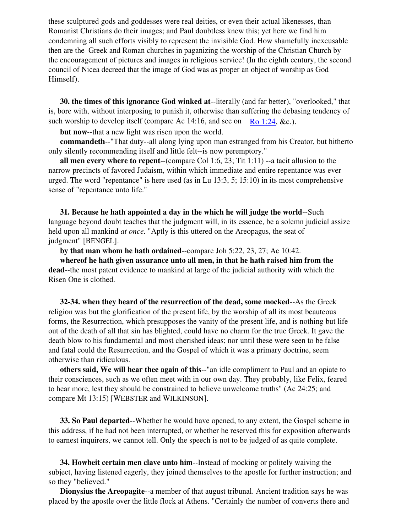these sculptured gods and goddesses were real deities, or even their actual likenesses, than Romanist Christians do their images; and Paul doubtless knew this; yet here we find him condemning all such efforts visibly to represent the invisible God. How shamefully inexcusable then are the Greek and Roman churches in paganizing the worship of the Christian Church by the encouragement of pictures and images in religious service! (In the eighth century, the second council of Nicea decreed that the image of God was as proper an object of worship as God Himself).

such worship to develop itself (compare Ac  $14:16$ , and see on  $\frac{Ro}{1:24}$ , &c.). **30. the times of this ignorance God winked at**--literally (and far better), "overlooked," that is, bore with, without interposing to punish it, otherwise than suffering the debasing tendency of

**but now**--that a new light was risen upon the world.

 **commandeth**--"That duty--all along lying upon man estranged from his Creator, but hitherto only silently recommending itself and little felt--is now peremptory."

 **all men every where to repent**--(compare Col 1:6, 23; Tit 1:11) --a tacit allusion to the narrow precincts of favored Judaism, within which immediate and entire repentance was ever urged. The word "repentance" is here used (as in Lu 13:3, 5; 15:10) in its most comprehensive sense of "repentance unto life."

 **31. Because he hath appointed a day in the which he will judge the world**--Such language beyond doubt teaches that the judgment will, in its essence, be a solemn judicial assize held upon all mankind *at once.* "Aptly is this uttered on the Areopagus, the seat of judgment" [BENGEL].

**by that man whom he hath ordained**--compare Joh 5:22, 23, 27; Ac 10:42.

 **whereof he hath given assurance unto all men, in that he hath raised him from the dead**--the most patent evidence to mankind at large of the judicial authority with which the Risen One is clothed.

 **32-34. when they heard of the resurrection of the dead, some mocked**--As the Greek religion was but the glorification of the present life, by the worship of all its most beauteous forms, the Resurrection, which presupposes the vanity of the present life, and is nothing but life out of the death of all that sin has blighted, could have no charm for the true Greek. It gave the death blow to his fundamental and most cherished ideas; nor until these were seen to be false and fatal could the Resurrection, and the Gospel of which it was a primary doctrine, seem otherwise than ridiculous.

 **others said, We will hear thee again of this**--"an idle compliment to Paul and an opiate to their consciences, such as we often meet with in our own day. They probably, like Felix, feared to hear more, lest they should be constrained to believe unwelcome truths" (Ac 24:25; and compare Mt 13:15) [WEBSTER and WILKINSON].

 **33. So Paul departed**--Whether he would have opened, to any extent, the Gospel scheme in this address, if he had not been interrupted, or whether he reserved this for exposition afterwards to earnest inquirers, we cannot tell. Only the speech is not to be judged of as quite complete.

 **34. Howbeit certain men clave unto him**--Instead of mocking or politely waiving the subject, having listened eagerly, they joined themselves to the apostle for further instruction; and so they "believed."

 **Dionysius the Areopagite**--a member of that august tribunal. Ancient tradition says he was placed by the apostle over the little flock at Athens. "Certainly the number of converts there and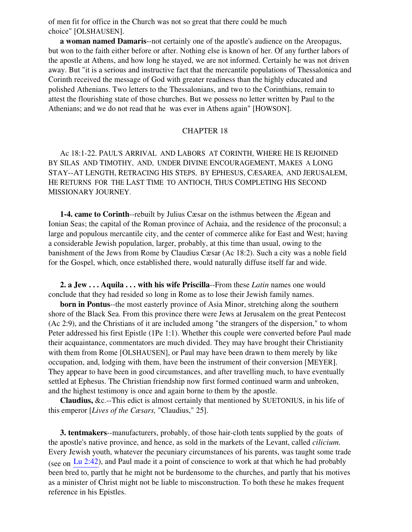of men fit for office in the Church was not so great that there could be much choice" [OLSHAUSEN].

 **a woman named Damaris**--not certainly one of the apostle's audience on the Areopagus, but won to the faith either before or after. Nothing else is known of her. Of any further labors of the apostle at Athens, and how long he stayed, we are not informed. Certainly he was not driven away. But "it is a serious and instructive fact that the mercantile populations of Thessalonica and Corinth received the message of God with greater readiness than the highly educated and polished Athenians. Two letters to the Thessalonians, and two to the Corinthians, remain to attest the flourishing state of those churches. But we possess no letter written by Paul to the Athenians; and we do not read that he was ever in Athens again" [HOWSON].

## CHAPTER 18

 Ac 18:1-22. PAUL'S ARRIVAL AND LABORS AT CORINTH, WHERE HE IS REJOINED BY SILAS AND TIMOTHY, AND, UNDER DIVINE ENCOURAGEMENT, MAKES A LONG STAY--AT LENGTH, RETRACING HIS STEPS, BY EPHESUS, CÆSAREA, AND JERUSALEM, HE RETURNS FOR THE LAST TIME TO ANTIOCH, THUS COMPLETING HIS SECOND MISSIONARY JOURNEY.

 **1-4. came to Corinth**--rebuilt by Julius Cæsar on the isthmus between the Ægean and Ionian Seas; the capital of the Roman province of Achaia, and the residence of the proconsul; a large and populous mercantile city, and the center of commerce alike for East and West; having a considerable Jewish population, larger, probably, at this time than usual, owing to the banishment of the Jews from Rome by Claudius Cæsar (Ac 18:2). Such a city was a noble field for the Gospel, which, once established there, would naturally diffuse itself far and wide.

 **2. a Jew . . . Aquila . . . with his wife Priscilla**--From these *Latin* names one would conclude that they had resided so long in Rome as to lose their Jewish family names.

 **born in Pontus**--the most easterly province of Asia Minor, stretching along the southern shore of the Black Sea. From this province there were Jews at Jerusalem on the great Pentecost (Ac 2:9), and the Christians of it are included among "the strangers of the dispersion," to whom Peter addressed his first Epistle (1Pe 1:1). Whether this couple were converted before Paul made their acquaintance, commentators are much divided. They may have brought their Christianity with them from Rome [OLSHAUSEN], or Paul may have been drawn to them merely by like occupation, and, lodging with them, have been the instrument of their conversion [MEYER]. They appear to have been in good circumstances, and after travelling much, to have eventually settled at Ephesus. The Christian friendship now first formed continued warm and unbroken, and the highest testimony is once and again borne to them by the apostle.

 **Claudius,** &c.--This edict is almost certainly that mentioned by SUETONIUS, in his life of this emperor [*Lives of the Cæsars,* "Claudius," 25].

(see on  $\frac{\text{Lu } 2:42}{\text{Cu } 2:42}$ ), and Paul made it a point of conscience to work at that which he had probably **3. tentmakers**--manufacturers, probably, of those hair-cloth tents supplied by the goats of the apostle's native province, and hence, as sold in the markets of the Levant, called *cilicium.* Every Jewish youth, whatever the pecuniary circumstances of his parents, was taught some trade been bred to, partly that he might not be burdensome to the churches, and partly that his motives as a minister of Christ might not be liable to misconstruction. To both these he makes frequent reference in his Epistles.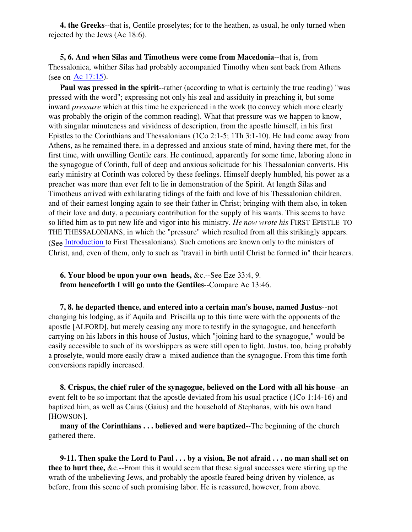**4. the Greeks**--that is, Gentile proselytes; for to the heathen, as usual, he only turned when rejected by the Jews (Ac 18:6).

(see on <u>Ac 17:15</u>). **5, 6. And when Silas and Timotheus were come from Macedonia**--that is, from Thessalonica, whither Silas had probably accompanied Timothy when sent back from Athens

(See Introduction to First Thessalonians). Such emotions are known only to the ministers of **Paul was pressed in the spirit--rather (according to what is certainly the true reading)** "was pressed with the word"; expressing not only his zeal and assiduity in preaching it, but some inward *pressure* which at this time he experienced in the work (to convey which more clearly was probably the origin of the common reading). What that pressure was we happen to know, with singular minuteness and vividness of description, from the apostle himself, in his first Epistles to the Corinthians and Thessalonians (1Co 2:1-5; 1Th 3:1-10). He had come away from Athens, as he remained there, in a depressed and anxious state of mind, having there met, for the first time, with unwilling Gentile ears. He continued, apparently for some time, laboring alone in the synagogue of Corinth, full of deep and anxious solicitude for his Thessalonian converts. His early ministry at Corinth was colored by these feelings. Himself deeply humbled, his power as a preacher was more than ever felt to lie in demonstration of the Spirit. At length Silas and Timotheus arrived with exhilarating tidings of the faith and love of his Thessalonian children, and of their earnest longing again to see their father in Christ; bringing with them also, in token of their love and duty, a pecuniary contribution for the supply of his wants. This seems to have so lifted him as to put new life and vigor into his ministry. *He now wrote his* FIRST EPISTLE TO THE THESSALONIANS, in which the "pressure" which resulted from all this strikingly appears. Christ, and, even of them, only to such as "travail in birth until Christ be formed in" their hearers.

 **6. Your blood be upon your own heads,** &c.--See Eze 33:4, 9. **from henceforth I will go unto the Gentiles**--Compare Ac 13:46.

 **7, 8. he departed thence, and entered into a certain man's house, named Justus**--not changing his lodging, as if Aquila and Priscilla up to this time were with the opponents of the apostle [ALFORD], but merely ceasing any more to testify in the synagogue, and henceforth carrying on his labors in this house of Justus, which "joining hard to the synagogue," would be easily accessible to such of its worshippers as were still open to light. Justus, too, being probably a proselyte, would more easily draw a mixed audience than the synagogue. From this time forth conversions rapidly increased.

 **8. Crispus, the chief ruler of the synagogue, believed on the Lord with all his house**--an event felt to be so important that the apostle deviated from his usual practice (1Co 1:14-16) and baptized him, as well as Caius (Gaius) and the household of Stephanas, with his own hand [HOWSON].

 **many of the Corinthians . . . believed and were baptized**--The beginning of the church gathered there.

 **9-11. Then spake the Lord to Paul . . . by a vision, Be not afraid . . . no man shall set on thee to hurt thee,** &c.--From this it would seem that these signal successes were stirring up the wrath of the unbelieving Jews, and probably the apostle feared being driven by violence, as before, from this scene of such promising labor. He is reassured, however, from above.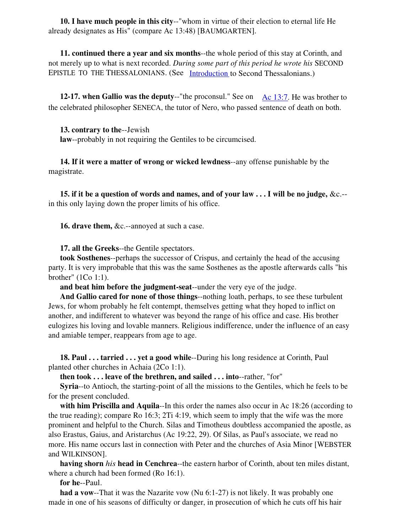**10. I have much people in this city**--"whom in virtue of their election to eternal life He already designates as His" (compare Ac 13:48) [BAUMGARTEN].

EPISTLE TO THE THESSALONIANS. (See Introduction to Second Thessalonians.) **11. continued there a year and six months**--the whole period of this stay at Corinth, and not merely up to what is next recorded. *During some part of this period he wrote his* SECOND

**12-17. when Gallio was the deputy--**"the proconsul." See on **Ac 13:7.** He was brother to the celebrated philosopher SENECA, the tutor of Nero, who passed sentence of death on both.

#### **13. contrary to the**--Jewish

**law**--probably in not requiring the Gentiles to be circumcised.

 **14. If it were a matter of wrong or wicked lewdness**--any offense punishable by the magistrate.

 **15. if it be a question of words and names, and of your law . . . I will be no judge,** &c.- in this only laying down the proper limits of his office.

**16. drave them,** &c.--annoyed at such a case.

**17. all the Greeks**--the Gentile spectators.

 **took Sosthenes**--perhaps the successor of Crispus, and certainly the head of the accusing party. It is very improbable that this was the same Sosthenes as the apostle afterwards calls "his brother" (1Co 1:1).

**and beat him before the judgment-seat**--under the very eye of the judge.

 **And Gallio cared for none of those things**--nothing loath, perhaps, to see these turbulent Jews, for whom probably he felt contempt, themselves getting what they hoped to inflict on another, and indifferent to whatever was beyond the range of his office and case. His brother eulogizes his loving and lovable manners. Religious indifference, under the influence of an easy and amiable temper, reappears from age to age.

 **18. Paul . . . tarried . . . yet a good while**--During his long residence at Corinth, Paul planted other churches in Achaia (2Co 1:1).

**then took . . . leave of the brethren, and sailed . . . into**--rather, "for"

 **Syria**--to Antioch, the starting-point of all the missions to the Gentiles, which he feels to be for the present concluded.

 **with him Priscilla and Aquila**--In this order the names also occur in Ac 18:26 (according to the true reading); compare Ro 16:3; 2Ti 4:19, which seem to imply that the wife was the more prominent and helpful to the Church. Silas and Timotheus doubtless accompanied the apostle, as also Erastus, Gaius, and Aristarchus (Ac 19:22, 29). Of Silas, as Paul's associate, we read no more. His name occurs last in connection with Peter and the churches of Asia Minor [WEBSTER and WILKINSON].

 **having shorn** *his* **head in Cenchrea**--the eastern harbor of Corinth, about ten miles distant, where a church had been formed (Ro 16:1).

**for he**--Paul.

 **had a vow**--That it was the Nazarite vow (Nu 6:1-27) is not likely. It was probably one made in one of his seasons of difficulty or danger, in prosecution of which he cuts off his hair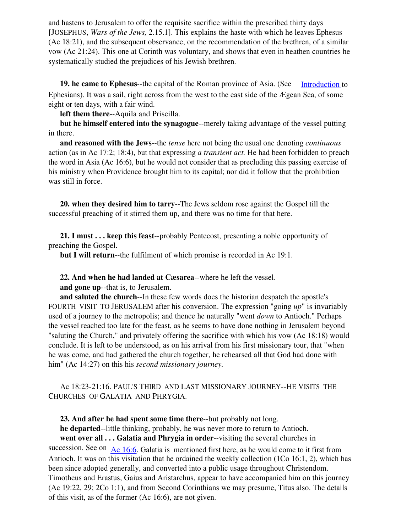and hastens to Jerusalem to offer the requisite sacrifice within the prescribed thirty days [JOSEPHUS, *Wars of the Jews,* 2.15.1]. This explains the haste with which he leaves Ephesus (Ac 18:21), and the subsequent observance, on the recommendation of the brethren, of a similar vow (Ac 21:24). This one at Corinth was voluntary, and shows that even in heathen countries he systematically studied the prejudices of his Jewish brethren.

**19. he came to Ephesus**--the capital of the Roman province of Asia. (See **Introduction** to Ephesians). It was a sail, right across from the west to the east side of the Ægean Sea, of some eight or ten days, with a fair wind.

**left them there**--Aquila and Priscilla.

 **but he himself entered into the synagogue**--merely taking advantage of the vessel putting in there.

 **and reasoned with the Jews**--the *tense* here not being the usual one denoting *continuous* action (as in Ac 17:2; 18:4), but that expressing *a transient act.* He had been forbidden to preach the word in Asia (Ac 16:6), but he would not consider that as precluding this passing exercise of his ministry when Providence brought him to its capital; nor did it follow that the prohibition was still in force.

 **20. when they desired him to tarry**--The Jews seldom rose against the Gospel till the successful preaching of it stirred them up, and there was no time for that here.

 **21. I must . . . keep this feast**--probably Pentecost, presenting a noble opportunity of preaching the Gospel.

**but I will return**--the fulfilment of which promise is recorded in Ac 19:1.

**22. And when he had landed at Cæsarea**--where he left the vessel.

**and gone up**--that is, to Jerusalem.

 **and saluted the church**--In these few words does the historian despatch the apostle's FOURTH VISIT TO JERUSALEM after his conversion. The expression "going *up*" is invariably used of a journey to the metropolis; and thence he naturally "went *down* to Antioch." Perhaps the vessel reached too late for the feast, as he seems to have done nothing in Jerusalem beyond "saluting the Church," and privately offering the sacrifice with which his vow (Ac 18:18) would conclude. It is left to be understood, as on his arrival from his first missionary tour, that "when he was come, and had gathered the church together, he rehearsed all that God had done with him" (Ac 14:27) on this his *second missionary journey.*

 Ac 18:23-21:16. PAUL'S THIRD AND LAST MISSIONARY JOURNEY--HE VISITS THE CHURCHES OF GALATIA AND PHRYGIA.

**23. And after he had spent some time there**--but probably not long.

succession. See on  $\underline{Ac 16:6}$ . Galatia is mentioned first here, as he would come to it first from **he departed**--little thinking, probably, he was never more to return to Antioch. **went over all . . . Galatia and Phrygia in order**--visiting the several churches in Antioch. It was on this visitation that he ordained the weekly collection (1Co 16:1, 2), which has been since adopted generally, and converted into a public usage throughout Christendom. Timotheus and Erastus, Gaius and Aristarchus, appear to have accompanied him on this journey (Ac 19:22, 29; 2Co 1:1), and from Second Corinthians we may presume, Titus also. The details of this visit, as of the former (Ac 16:6), are not given.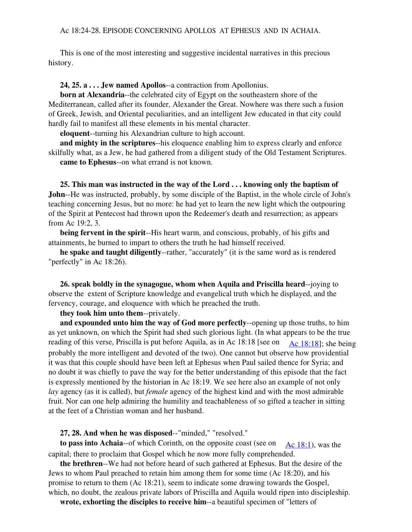#### Ac 18:24-28. EPISODE CONCERNING APOLLOS AT EPHESUS AND IN ACHAIA.

 This is one of the most interesting and suggestive incidental narratives in this precious history.

**24, 25. a . . . Jew named Apollos**--a contraction from Apollonius.

**born at Alexandria--the celebrated city of Egypt on the southeastern shore of the** Mediterranean, called after its founder, Alexander the Great. Nowhere was there such a fusion of Greek, Jewish, and Oriental peculiarities, and an intelligent Jew educated in that city could hardly fail to manifest all these elements in his mental character.

**eloquent**--turning his Alexandrian culture to high account.

 **and mighty in the scriptures**--his eloquence enabling him to express clearly and enforce skilfully what, as a Jew, he had gathered from a diligent study of the Old Testament Scriptures. **came to Ephesus**--on what errand is not known.

 **25. This man was instructed in the way of the Lord . . . knowing only the baptism of John**--He was instructed, probably, by some disciple of the Baptist, in the whole circle of John's teaching concerning Jesus, but no more: he had yet to learn the new light which the outpouring of the Spirit at Pentecost had thrown upon the Redeemer's death and resurrection; as appears from Ac 19:2, 3.

 **being fervent in the spirit**--His heart warm, and conscious, probably, of his gifts and attainments, he burned to impart to others the truth he had himself received.

 **he spake and taught diligently**--rather, "accurately" (it is the same word as is rendered "perfectly" in Ac 18:26).

 **26. speak boldly in the synagogue, whom when Aquila and Priscilla heard**--joying to observe the extent of Scripture knowledge and evangelical truth which he displayed, and the fervency, courage, and eloquence with which he preached the truth.

**they took him unto them**--privately.

Ac 18:18]; she being **and expounded unto him the way of God more perfectly**--opening up those truths, to him as yet unknown, on which the Spirit had shed such glorious light. (In what appears to be the true reading of this verse, Priscilla is put before Aquila, as in Ac 18:18 [see on probably the more intelligent and devoted of the two). One cannot but observe how providential it was that this couple should have been left at Ephesus when Paul sailed thence for Syria; and no doubt it was chiefly to pave the way for the better understanding of this episode that the fact is expressly mentioned by the historian in Ac 18:19. We see here also an example of not only *lay* agency (as it is called), but *female* agency of the highest kind and with the most admirable fruit. Nor can one help admiring the humility and teachableness of so gifted a teacher in sitting at the feet of a Christian woman and her husband.

#### **27, 28. And when he was disposed**--"minded," "resolved."

Ac 18:1), was the **to pass into Achaia**--of which Corinth, on the opposite coast (see on capital; there to proclaim that Gospel which he now more fully comprehended.

 **the brethren**--We had not before heard of such gathered at Ephesus. But the desire of the Jews to whom Paul preached to retain him among them for some time (Ac 18:20), and his promise to return to them (Ac 18:21), seem to indicate some drawing towards the Gospel, which, no doubt, the zealous private labors of Priscilla and Aquila would ripen into discipleship.

**wrote, exhorting the disciples to receive him**--a beautiful specimen of "letters of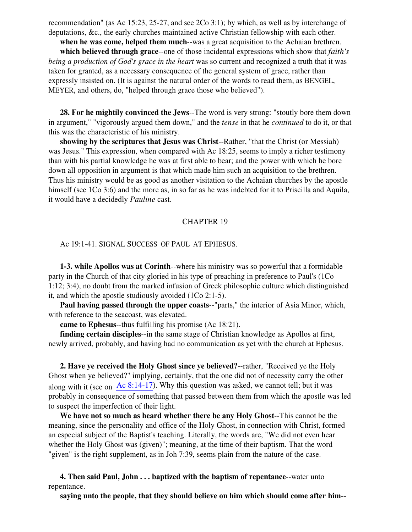recommendation" (as Ac 15:23, 25-27, and see 2Co 3:1); by which, as well as by interchange of deputations, &c., the early churches maintained active Christian fellowship with each other.

**when he was come, helped them much**--was a great acquisition to the Achaian brethren.

 **which believed through grace**--one of those incidental expressions which show that *faith's being a production of God's grace in the heart* was so current and recognized a truth that it was taken for granted, as a necessary consequence of the general system of grace, rather than expressly insisted on. (It is against the natural order of the words to read them, as BENGEL, MEYER, and others, do, "helped through grace those who believed").

 **28. For he mightily convinced the Jews**--The word is very strong: "stoutly bore them down in argument," "vigorously argued them down," and the *tense* in that he *continued* to do it, or that this was the characteristic of his ministry.

 **showing by the scriptures that Jesus was Christ**--Rather, "that the Christ (or Messiah) was Jesus." This expression, when compared with Ac 18:25, seems to imply a richer testimony than with his partial knowledge he was at first able to bear; and the power with which he bore down all opposition in argument is that which made him such an acquisition to the brethren. Thus his ministry would be as good as another visitation to the Achaian churches by the apostle himself (see 1Co 3:6) and the more as, in so far as he was indebted for it to Priscilla and Aquila, it would have a decidedly *Pauline* cast.

### CHAPTER 19

Ac 19:1-41. SIGNAL SUCCESS OF PAUL AT EPHESUS.

 **1-3. while Apollos was at Corinth**--where his ministry was so powerful that a formidable party in the Church of that city gloried in his type of preaching in preference to Paul's (1Co 1:12; 3:4), no doubt from the marked infusion of Greek philosophic culture which distinguished it, and which the apostle studiously avoided (1Co 2:1-5).

 **Paul having passed through the upper coasts**--"parts," the interior of Asia Minor, which, with reference to the seacoast, was elevated.

**came to Ephesus**--thus fulfilling his promise (Ac 18:21).

 **finding certain disciples**--in the same stage of Christian knowledge as Apollos at first, newly arrived, probably, and having had no communication as yet with the church at Ephesus.

along with it (see on  $\frac{\text{Ac } 8:14-17}{\text{A}}$ ). Why this question was asked, we cannot tell; but it was **2. Have ye received the Holy Ghost since ye believed?**--rather, "Received ye the Holy Ghost when ye believed?" implying, certainly, that the one did not of necessity carry the other probably in consequence of something that passed between them from which the apostle was led to suspect the imperfection of their light.

 **We have not so much as heard whether there be any Holy Ghost**--This cannot be the meaning, since the personality and office of the Holy Ghost, in connection with Christ, formed an especial subject of the Baptist's teaching. Literally, the words are, "We did not even hear whether the Holy Ghost was (given)"; meaning, at the time of their baptism. That the word "given" is the right supplement, as in Joh 7:39, seems plain from the nature of the case.

 **4. Then said Paul, John . . . baptized with the baptism of repentance**--water unto repentance.

**saying unto the people, that they should believe on him which should come after him**--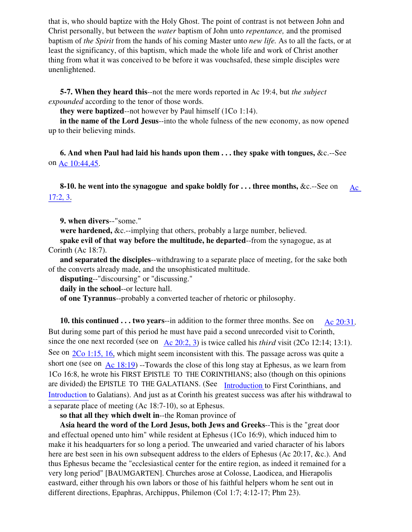that is, who should baptize with the Holy Ghost. The point of contrast is not between John and Christ personally, but between the *water* baptism of John unto *repentance,* and the promised baptism of *the Spirit* from the hands of his coming Master unto *new life.* As to all the facts, or at least the significancy, of this baptism, which made the whole life and work of Christ another thing from what it was conceived to be before it was vouchsafed, these simple disciples were unenlightened.

 **5-7. When they heard this**--not the mere words reported in Ac 19:4, but *the subject expounded* according to the tenor of those words.

**they were baptized**--not however by Paul himself (1Co 1:14).

 **in the name of the Lord Jesus**--into the whole fulness of the new economy, as now opened up to their believing minds.

on <u>Ac 10:44,45</u>. **6. And when Paul had laid his hands upon them . . . they spake with tongues,** &c.--See

Ac **8-10. he went into the synagogue and spake boldly for . . . three months,** &c.--See on 17:2, 3.

**9. when divers**--"some."

 **were hardened,** &c.--implying that others, probably a large number, believed. **spake evil of that way before the multitude, he departed**--from the synagogue, as at Corinth (Ac 18:7).

 **and separated the disciples**--withdrawing to a separate place of meeting, for the sake both of the converts already made, and the unsophisticated multitude.

**disputing**--"discoursing" or "discussing."

**daily in the school**--or lecture hall.

**of one Tyrannus**--probably a converted teacher of rhetoric or philosophy.

Ac 20:31. since the one next recorded (see on  $\underline{\text{Ac } 20:2, 3}$ ) is twice called his *third* visit (2Co 12:14; 13:1). See on  $2\text{Co } 1:15$ , 16, which might seem inconsistent with this. The passage across was quite a short one (see on  $\underline{Ac}$  18:19) --Towards the close of this long stay at Ephesus, as we learn from are divided) the EPISTLE TO THE GALATIANS. (See Introduction to First Corinthians, and **10. this continued . . . two years**--in addition to the former three months. See on But during some part of this period he must have paid a second unrecorded visit to Corinth, 1Co 16:8, he wrote his FIRST EPISTLE TO THE CORINTHIANS; also (though on this opinions Introduction to Galatians). And just as at Corinth his greatest success was after his withdrawal to a separate place of meeting (Ac 18:7-10), so at Ephesus.

**so that all they which dwelt in**--the Roman province of

 **Asia heard the word of the Lord Jesus, both Jews and Greeks**--This is the "great door and effectual opened unto him" while resident at Ephesus (1Co 16:9), which induced him to make it his headquarters for so long a period. The unwearied and varied character of his labors here are best seen in his own subsequent address to the elders of Ephesus (Ac 20:17, &c.). And thus Ephesus became the "ecclesiastical center for the entire region, as indeed it remained for a very long period" [BAUMGARTEN]. Churches arose at Colosse, Laodicea, and Hierapolis eastward, either through his own labors or those of his faithful helpers whom he sent out in different directions, Epaphras, Archippus, Philemon (Col 1:7; 4:12-17; Phm 23).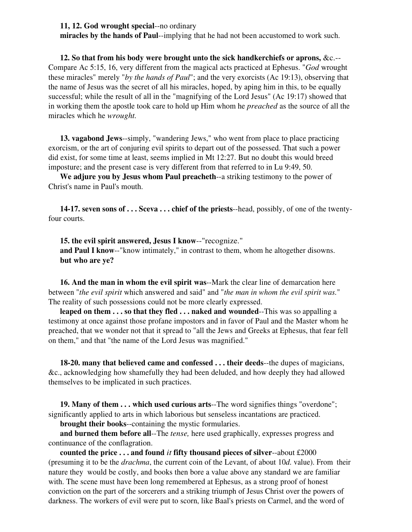#### **11, 12. God wrought special**--no ordinary

**miracles by the hands of Paul**--implying that he had not been accustomed to work such.

 **12. So that from his body were brought unto the sick handkerchiefs or aprons,** &c.-- Compare Ac 5:15, 16, very different from the magical acts practiced at Ephesus. "*God* wrought these miracles" merely "*by the hands of Paul*"; and the very exorcists (Ac 19:13), observing that the name of Jesus was the secret of all his miracles, hoped, by aping him in this, to be equally successful; while the result of all in the "magnifying of the Lord Jesus" (Ac 19:17) showed that in working them the apostle took care to hold up Him whom he *preached* as the source of all the miracles which he *wrought.* 

 **13. vagabond Jews**--simply, "wandering Jews," who went from place to place practicing exorcism, or the art of conjuring evil spirits to depart out of the possessed. That such a power did exist, for some time at least, seems implied in Mt 12:27. But no doubt this would breed imposture; and the present case is very different from that referred to in Lu 9:49, 50.

 **We adjure you by Jesus whom Paul preacheth**--a striking testimony to the power of Christ's name in Paul's mouth.

 **14-17. seven sons of . . . Sceva . . . chief of the priests**--head, possibly, of one of the twentyfour courts.

 **15. the evil spirit answered, Jesus I know**--"recognize." **and Paul I know**--"know intimately," in contrast to them, whom he altogether disowns. **but who are ye?**

 **16. And the man in whom the evil spirit was**--Mark the clear line of demarcation here between "*the evil spirit* which answered and said" and "*the man in whom the evil spirit was.*" The reality of such possessions could not be more clearly expressed.

 **leaped on them . . . so that they fled . . . naked and wounded**--This was so appalling a testimony at once against those profane impostors and in favor of Paul and the Master whom he preached, that we wonder not that it spread to "all the Jews and Greeks at Ephesus, that fear fell on them," and that "the name of the Lord Jesus was magnified."

 **18-20. many that believed came and confessed . . . their deeds**--the dupes of magicians, &c., acknowledging how shamefully they had been deluded, and how deeply they had allowed themselves to be implicated in such practices.

 **19. Many of them . . . which used curious arts**--The word signifies things "overdone"; significantly applied to arts in which laborious but senseless incantations are practiced.

**brought their books**--containing the mystic formularies.

 **and burned them before all**--The *tense,* here used graphically, expresses progress and continuance of the conflagration.

 **counted the price . . . and found** *it* **fifty thousand pieces of silver**--about £2000 (presuming it to be the *drachma*, the current coin of the Levant, of about 10*d.* value). From their nature they would be costly, and books then bore a value above any standard we are familiar with. The scene must have been long remembered at Ephesus, as a strong proof of honest conviction on the part of the sorcerers and a striking triumph of Jesus Christ over the powers of darkness. The workers of evil were put to scorn, like Baal's priests on Carmel, and the word of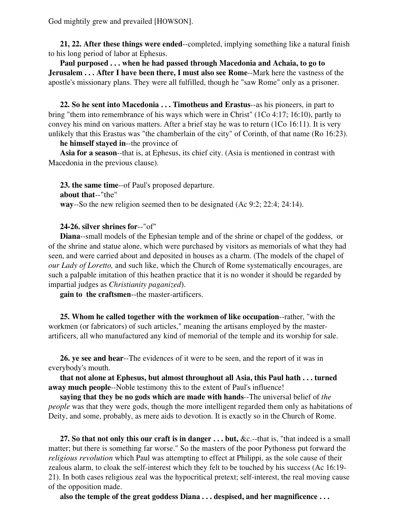God mightily grew and prevailed [HOWSON].

 **21, 22. After these things were ended**--completed, implying something like a natural finish to his long period of labor at Ephesus.

 **Paul purposed . . . when he had passed through Macedonia and Achaia, to go to Jerusalem . . . After I have been there, I must also see Rome**--Mark here the vastness of the apostle's missionary plans. They were all fulfilled, though he "saw Rome" only as a prisoner.

 **22. So he sent into Macedonia . . . Timotheus and Erastus**--as his pioneers, in part to bring "them into remembrance of his ways which were in Christ" (1Co 4:17; 16:10), partly to convey his mind on various matters. After a brief stay he was to return (1Co 16:11). It is very unlikely that this Erastus was "the chamberlain of the city" of Corinth, of that name (Ro 16:23).

**he himself stayed in**--the province of

 **Asia for a season**--that is, at Ephesus, its chief city. (Asia is mentioned in contrast with Macedonia in the previous clause).

 **23. the same time**--of Paul's proposed departure. **about that**--"the" **way**--So the new religion seemed then to be designated (Ac 9:2; 22:4; 24:14).

## **24-26. silver shrines for**--"of"

 **Diana**--small models of the Ephesian temple and of the shrine or chapel of the goddess, or of the shrine and statue alone, which were purchased by visitors as memorials of what they had seen, and were carried about and deposited in houses as a charm. (The models of the chapel of *our Lady of Loretto,* and such like, which the Church of Rome systematically encourages, are such a palpable imitation of this heathen practice that it is no wonder it should be regarded by impartial judges as *Christianity paganized*).

**gain to the craftsmen**--the master-artificers.

 **25. Whom he called together with the workmen of like occupation**--rather, "with the workmen (or fabricators) of such articles," meaning the artisans employed by the masterartificers, all who manufactured any kind of memorial of the temple and its worship for sale.

 **26. ye see and hear**--The evidences of it were to be seen, and the report of it was in everybody's mouth.

 **that not alone at Ephesus, but almost throughout all Asia, this Paul hath . . . turned away much people**--Noble testimony this to the extent of Paul's influence!

 **saying that they be no gods which are made with hands**--The universal belief of *the people* was that they were gods, though the more intelligent regarded them only as habitations of Deity, and some, probably, as mere aids to devotion. It is exactly so in the Church of Rome.

 **27. So that not only this our craft is in danger . . . but,** &c.--that is, "that indeed is a small matter; but there is something far worse." So the masters of the poor Pythoness put forward the *religious revolution* which Paul was attempting to effect at Philippi, as the sole cause of their zealous alarm, to cloak the self-interest which they felt to be touched by his success (Ac 16:19- 21). In both cases religious zeal was the hypocritical pretext; self-interest, the real moving cause of the opposition made.

**also the temple of the great goddess Diana . . . despised, and her magnificence . . .**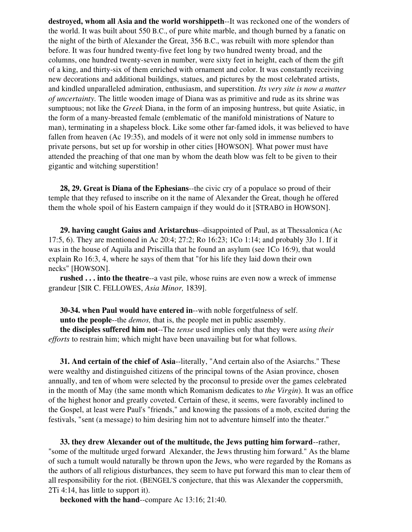**destroyed, whom all Asia and the world worshippeth**--It was reckoned one of the wonders of the world. It was built about 550 B.C., of pure white marble, and though burned by a fanatic on the night of the birth of Alexander the Great, 356 B.C., was rebuilt with more splendor than before. It was four hundred twenty-five feet long by two hundred twenty broad, and the columns, one hundred twenty-seven in number, were sixty feet in height, each of them the gift of a king, and thirty-six of them enriched with ornament and color. It was constantly receiving new decorations and additional buildings, statues, and pictures by the most celebrated artists, and kindled unparalleled admiration, enthusiasm, and superstition. *Its very site is now a matter of uncertainty.* The little wooden image of Diana was as primitive and rude as its shrine was sumptuous; not like the *Greek* Diana, in the form of an imposing huntress, but quite Asiatic, in the form of a many-breasted female (emblematic of the manifold ministrations of Nature to man), terminating in a shapeless block. Like some other far-famed idols, it was believed to have fallen from heaven (Ac 19:35), and models of it were not only sold in immense numbers to private persons, but set up for worship in other cities [HOWSON]. What power must have attended the preaching of that one man by whom the death blow was felt to be given to their gigantic and witching superstition!

 **28, 29. Great is Diana of the Ephesians**--the civic cry of a populace so proud of their temple that they refused to inscribe on it the name of Alexander the Great, though he offered them the whole spoil of his Eastern campaign if they would do it [STRABO in HOWSON].

 **29. having caught Gaius and Aristarchus**--disappointed of Paul, as at Thessalonica (Ac 17:5, 6). They are mentioned in Ac 20:4; 27:2; Ro 16:23; 1Co 1:14; and probably 3Jo 1. If it was in the house of Aquila and Priscilla that he found an asylum (see 1Co 16:9), that would explain Ro 16:3, 4, where he says of them that "for his life they laid down their own necks" [HOWSON].

 **rushed . . . into the theatre**--a vast pile, whose ruins are even now a wreck of immense grandeur [SIR C. FELLOWES, *Asia Minor,* 1839].

 **30-34. when Paul would have entered in**--with noble forgetfulness of self. **unto the people**--the *demos,* that is, the people met in public assembly. **the disciples suffered him not**--The *tense* used implies only that they were *using their efforts* to restrain him; which might have been unavailing but for what follows.

 **31. And certain of the chief of Asia**--literally, "And certain also of the Asiarchs." These were wealthy and distinguished citizens of the principal towns of the Asian province, chosen annually, and ten of whom were selected by the proconsul to preside over the games celebrated in the month of May (the same month which Romanism dedicates to *the Virgin*). It was an office of the highest honor and greatly coveted. Certain of these, it seems, were favorably inclined to the Gospel, at least were Paul's "friends," and knowing the passions of a mob, excited during the festivals, "sent (a message) to him desiring him not to adventure himself into the theater."

 **33. they drew Alexander out of the multitude, the Jews putting him forward**--rather, "some of the multitude urged forward Alexander, the Jews thrusting him forward." As the blame of such a tumult would naturally be thrown upon the Jews, who were regarded by the Romans as the authors of all religious disturbances, they seem to have put forward this man to clear them of all responsibility for the riot. (BENGEL'S conjecture, that this was Alexander the coppersmith, 2Ti 4:14, has little to support it).

**beckoned with the hand**--compare Ac 13:16; 21:40.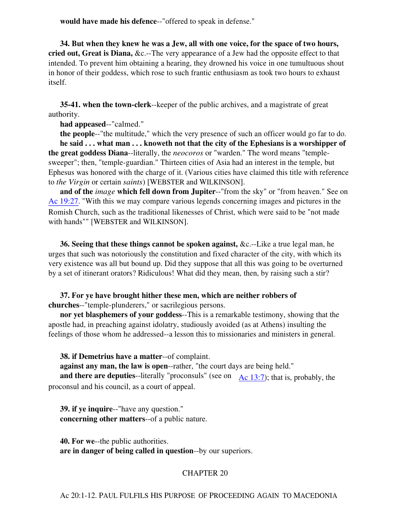**would have made his defence**--"offered to speak in defense."

 **34. But when they knew he was a Jew, all with one voice, for the space of two hours, cried out, Great is Diana,** &c.--The very appearance of a Jew had the opposite effect to that intended. To prevent him obtaining a hearing, they drowned his voice in one tumultuous shout in honor of their goddess, which rose to such frantic enthusiasm as took two hours to exhaust itself.

 **35-41. when the town-clerk**--keeper of the public archives, and a magistrate of great authority.

**had appeased**--"calmed."

 **the people**--"the multitude," which the very presence of such an officer would go far to do. **he said . . . what man . . . knoweth not that the city of the Ephesians is a worshipper of the great goddess Diana**--literally, the *neocoros* or "warden." The word means "templesweeper"; then, "temple-guardian." Thirteen cities of Asia had an interest in the temple, but Ephesus was honored with the charge of it. (Various cities have claimed this title with reference to *the Virgin* or certain *saints*) [WEBSTER and WILKINSON].

 **and of the** *image* **which fell down from Jupiter**--"from the sky" or "from heaven." See on Ac 19:27. "With this we may compare various legends concerning images and pictures in the Romish Church, such as the traditional likenesses of Christ, which were said to be "not made with hands"" [WEBSTER and WILKINSON].

 **36. Seeing that these things cannot be spoken against,** &c.--Like a true legal man, he urges that such was notoriously the constitution and fixed character of the city, with which its very existence was all but bound up. Did they suppose that all this was going to be overturned by a set of itinerant orators? Ridiculous! What did they mean, then, by raising such a stir?

 **37. For ye have brought hither these men, which are neither robbers of churches**--"temple-plunderers," or sacrilegious persons.

 **nor yet blasphemers of your goddess**--This is a remarkable testimony, showing that the apostle had, in preaching against idolatry, studiously avoided (as at Athens) insulting the feelings of those whom he addressed--a lesson this to missionaries and ministers in general.

**38. if Demetrius have a matter**--of complaint.

**against any man, the law is open**--rather, "the court days are being held."

**and there are deputies**--literally "proconsuls" (see on  $\overline{Ac}$  13:7); that is, probably, the proconsul and his council, as a court of appeal.

 **39. if ye inquire**--"have any question." **concerning other matters**--of a public nature.

 **40. For we**--the public authorities. **are in danger of being called in question**--by our superiors.

# CHAPTER 20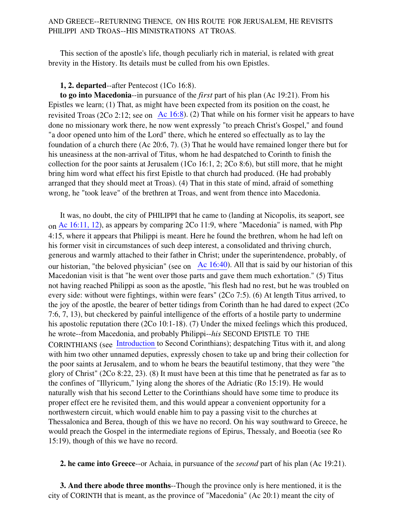## AND GREECE--RETURNING THENCE, ON HIS ROUTE FOR JERUSALEM, HE REVISITS PHILIPPI AND TROAS--HIS MINISTRATIONS AT TROAS.

 This section of the apostle's life, though peculiarly rich in material, is related with great brevity in the History. Its details must be culled from his own Epistles.

**1, 2. departed**--after Pentecost (1Co 16:8).

revisited Troas (2Co 2:12; see on  $\Delta c$  16:8). (2) That while on his former visit he appears to have **to go into Macedonia**--in pursuance of the *first* part of his plan (Ac 19:21). From his Epistles we learn; (1) That, as might have been expected from its position on the coast, he done no missionary work there, he now went expressly "to preach Christ's Gospel," and found "a door opened unto him of the Lord" there, which he entered so effectually as to lay the foundation of a church there (Ac 20:6, 7). (3) That he would have remained longer there but for his uneasiness at the non-arrival of Titus, whom he had despatched to Corinth to finish the collection for the poor saints at Jerusalem (1Co 16:1, 2; 2Co 8:6), but still more, that he might bring him word what effect his first Epistle to that church had produced. (He had probably arranged that they should meet at Troas). (4) That in this state of mind, afraid of something wrong, he "took leave" of the brethren at Troas, and went from thence into Macedonia.

CORINTHIANS (see Introduction to Second Corinthians); despatching Titus with it, and along our historian, "the beloved physician" (see on  $\overline{Ac 16:40}$ ). All that is said by our historian of this on **Ac 16:11, 12**), as appears by comparing 2Co 11:9, where "Macedonia" is named, with Php It was, no doubt, the city of PHILIPPI that he came to (landing at Nicopolis, its seaport, see 4:15, where it appears that Philippi is meant. Here he found the brethren, whom he had left on his former visit in circumstances of such deep interest, a consolidated and thriving church, generous and warmly attached to their father in Christ; under the superintendence, probably, of Macedonian visit is that "he went over those parts and gave them much exhortation." (5) Titus not having reached Philippi as soon as the apostle, "his flesh had no rest, but he was troubled on every side: without were fightings, within were fears" (2Co 7:5). (6) At length Titus arrived, to the joy of the apostle, the bearer of better tidings from Corinth than he had dared to expect (2Co 7:6, 7, 13), but checkered by painful intelligence of the efforts of a hostile party to undermine his apostolic reputation there (2Co 10:1-18). (7) Under the mixed feelings which this produced, he wrote--from Macedonia, and probably Philippi--*his* SECOND EPISTLE TO THE with him two other unnamed deputies, expressly chosen to take up and bring their collection for the poor saints at Jerusalem, and to whom he bears the beautiful testimony, that they were "the glory of Christ" (2Co 8:22, 23). (8) It must have been at this time that he penetrated as far as to the confines of "Illyricum," lying along the shores of the Adriatic (Ro 15:19). He would naturally wish that his second Letter to the Corinthians should have some time to produce its proper effect ere he revisited them, and this would appear a convenient opportunity for a northwestern circuit, which would enable him to pay a passing visit to the churches at Thessalonica and Berea, though of this we have no record. On his way southward to Greece, he would preach the Gospel in the intermediate regions of Epirus, Thessaly, and Boeotia (see Ro 15:19), though of this we have no record.

**2. he came into Greece**--or Achaia, in pursuance of the *second* part of his plan (Ac 19:21).

 **3. And there abode three months**--Though the province only is here mentioned, it is the city of CORINTH that is meant, as the province of "Macedonia" (Ac 20:1) meant the city of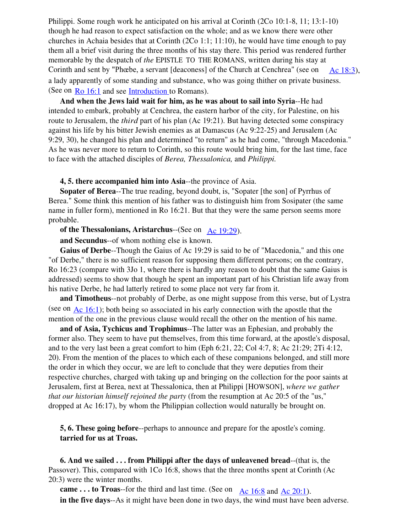(See on  $\underline{\text{Ro } 16:1}$  and see Introduction to Romans). Ac 18:3), Philippi. Some rough work he anticipated on his arrival at Corinth (2Co 10:1-8, 11; 13:1-10) though he had reason to expect satisfaction on the whole; and as we know there were other churches in Achaia besides that at Corinth (2Co 1:1; 11:10), he would have time enough to pay them all a brief visit during the three months of his stay there. This period was rendered further memorable by the despatch of *the* EPISTLE TO THE ROMANS, written during his stay at Corinth and sent by "Phœbe, a servant [deaconess] of the Church at Cenchrea" (see on a lady apparently of some standing and substance, who was going thither on private business.

 **And when the Jews laid wait for him, as he was about to sail into Syria**--He had intended to embark, probably at Cenchrea, the eastern harbor of the city, for Palestine, on his route to Jerusalem, the *third* part of his plan (Ac 19:21). But having detected some conspiracy against his life by his bitter Jewish enemies as at Damascus (Ac 9:22-25) and Jerusalem (Ac 9:29, 30), he changed his plan and determined "to return" as he had come, "through Macedonia." As he was never more to return to Corinth, so this route would bring him, for the last time, face to face with the attached disciples of *Berea, Thessalonica,* and *Philippi.* 

**4, 5. there accompanied him into Asia**--the province of Asia.

**Sopater of Berea--The true reading, beyond doubt, is, "Sopater [the son] of Pyrrhus of** Berea." Some think this mention of his father was to distinguish him from Sosipater (the same name in fuller form), mentioned in Ro 16:21. But that they were the same person seems more probable.

of the Thessalonians, Aristarchus--(See on **Ac** 19:29).

**and Secundus**--of whom nothing else is known.

 **Gaius of Derbe**--Though the Gaius of Ac 19:29 is said to be of "Macedonia," and this one "of Derbe," there is no sufficient reason for supposing them different persons; on the contrary, Ro 16:23 (compare with 3Jo 1, where there is hardly any reason to doubt that the same Gaius is addressed) seems to show that though he spent an important part of his Christian life away from his native Derbe, he had latterly retired to some place not very far from it.

(see on  $\underline{Ac}$  16:1); both being so associated in his early connection with the apostle that the **and Timotheus**--not probably of Derbe, as one might suppose from this verse, but of Lystra mention of the one in the previous clause would recall the other on the mention of his name.

 **and of Asia, Tychicus and Trophimus**--The latter was an Ephesian, and probably the former also. They seem to have put themselves, from this time forward, at the apostle's disposal, and to the very last been a great comfort to him (Eph 6:21, 22; Col 4:7, 8; Ac 21:29; 2Ti 4:12, 20). From the mention of the places to which each of these companions belonged, and still more the order in which they occur, we are left to conclude that they were deputies from their respective churches, charged with taking up and bringing on the collection for the poor saints at Jerusalem, first at Berea, next at Thessalonica, then at Philippi [HOWSON], *where we gather that our historian himself rejoined the party* (from the resumption at Ac 20:5 of the "us," dropped at Ac 16:17), by whom the Philippian collection would naturally be brought on.

 **5, 6. These going before**--perhaps to announce and prepare for the apostle's coming. **tarried for us at Troas.**

 **6. And we sailed . . . from Philippi after the days of unleavened bread**--(that is, the Passover). This, compared with 1Co 16:8, shows that the three months spent at Corinth (Ac 20:3) were the winter months.

**came ... to Troas**--for the third and last time. (See on  $\Delta c$  16:8 and  $\Delta c$  20:1). **in the five days**--As it might have been done in two days, the wind must have been adverse.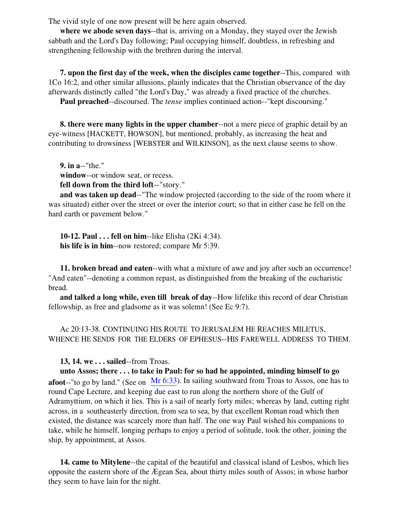The vivid style of one now present will be here again observed.

 **where we abode seven days**--that is, arriving on a Monday, they stayed over the Jewish sabbath and the Lord's Day following; Paul occupying himself, doubtless, in refreshing and strengthening fellowship with the brethren during the interval.

 **7. upon the first day of the week, when the disciples came together**--This, compared with 1Co 16:2, and other similar allusions, plainly indicates that the Christian observance of the day afterwards distinctly called "the Lord's Day," was already a fixed practice of the churches.

**Paul preached**--discoursed. The *tense* implies continued action--"kept discoursing."

 **8. there were many lights in the upper chamber**--not a mere piece of graphic detail by an eye-witness [HACKETT, HOWSON], but mentioned, probably, as increasing the heat and contributing to drowsiness [WEBSTER and WILKINSON], as the next clause seems to show.

**9. in a**--"the."

**window**--or window seat, or recess.

**fell down from the third loft**--"story."

 **and was taken up dead**--"The window projected (according to the side of the room where it was situated) either over the street or over the interior court; so that in either case he fell on the hard earth or pavement below."

 **10-12. Paul . . . fell on him**--like Elisha (2Ki 4:34). **his life is in him**--now restored; compare Mr 5:39.

 **11. broken bread and eaten**--with what a mixture of awe and joy after such an occurrence! "And eaten"--denoting a common repast, as distinguished from the breaking of the eucharistic bread.

 **and talked a long while, even till break of day**--How lifelike this record of dear Christian fellowship, as free and gladsome as it was solemn! (See Ec 9:7).

 Ac 20:13-38. CONTINUING HIS ROUTE TO JERUSALEM HE REACHES MILETUS, WHENCE HE SENDS FOR THE ELDERS OF EPHESUS--HIS FAREWELL ADDRESS TO THEM.

**13, 14. we . . . sailed**--from Troas.

**afoot**--"to go by land." (See on Mr 6:33). In sailing southward from Troas to Assos, one has to **unto Assos; there . . . to take in Paul: for so had he appointed, minding himself to go** round Cape Lecture, and keeping due east to run along the northern shore of the Gulf of Adramyttium, on which it lies. This is a sail of nearly forty miles; whereas by land, cutting right across, in a southeasterly direction, from sea to sea, by that excellent Roman road which then existed, the distance was scarcely more than half. The one way Paul wished his companions to take, while he himself, longing perhaps to enjoy a period of solitude, took the other, joining the ship, by appointment, at Assos.

 **14. came to Mitylene**--the capital of the beautiful and classical island of Lesbos, which lies opposite the eastern shore of the Ægean Sea, about thirty miles south of Assos; in whose harbor they seem to have lain for the night.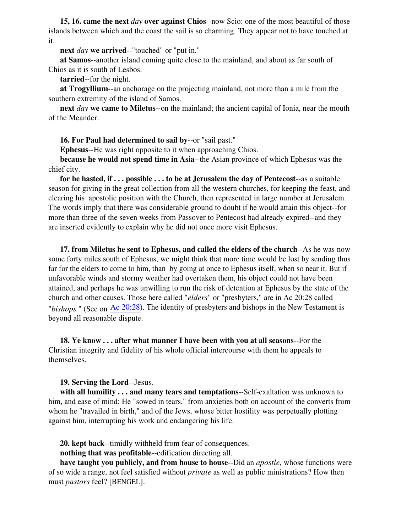**15, 16. came the next** *day* **over against Chios**--now Scio: one of the most beautiful of those islands between which and the coast the sail is so charming. They appear not to have touched at it.

**next** *day* **we arrived**--"touched" or "put in."

 **at Samos**--another island coming quite close to the mainland, and about as far south of Chios as it is south of Lesbos.

**tarried**--for the night.

 **at Trogyllium**--an anchorage on the projecting mainland, not more than a mile from the southern extremity of the island of Samos.

 **next** *day* **we came to Miletus**--on the mainland; the ancient capital of Ionia, near the mouth of the Meander.

**16. For Paul had determined to sail by**--or "sail past."

**Ephesus**--He was right opposite to it when approaching Chios.

 **because he would not spend time in Asia**--the Asian province of which Ephesus was the chief city.

 **for he hasted, if . . . possible . . . to be at Jerusalem the day of Pentecost**--as a suitable season for giving in the great collection from all the western churches, for keeping the feast, and clearing his apostolic position with the Church, then represented in large number at Jerusalem. The words imply that there was considerable ground to doubt if he would attain this object--for more than three of the seven weeks from Passover to Pentecost had already expired--and they are inserted evidently to explain why he did not once more visit Ephesus.

"*bishops*." (See on  $\underline{\text{Ac }20:28}$ ). The identity of presbyters and bishops in the New Testament is **17. from Miletus he sent to Ephesus, and called the elders of the church**--As he was now some forty miles south of Ephesus, we might think that more time would be lost by sending thus far for the elders to come to him, than by going at once to Ephesus itself, when so near it. But if unfavorable winds and stormy weather had overtaken them, his object could not have been attained, and perhaps he was unwilling to run the risk of detention at Ephesus by the state of the church and other causes. Those here called "*elders*" or "presbyters," are in Ac 20:28 called beyond all reasonable dispute.

 **18. Ye know . . . after what manner I have been with you at all seasons**--For the Christian integrity and fidelity of his whole official intercourse with them he appeals to themselves.

#### **19. Serving the Lord**--Jesus.

 **with all humility . . . and many tears and temptations**--Self-exaltation was unknown to him, and ease of mind: He "sowed in tears," from anxieties both on account of the converts from whom he "travailed in birth," and of the Jews, whose bitter hostility was perpetually plotting against him, interrupting his work and endangering his life.

**20. kept back**--timidly withheld from fear of consequences.

**nothing that was profitable**--edification directing all.

 **have taught you publicly, and from house to house**--Did an *apostle,* whose functions were of so wide a range, not feel satisfied without *private* as well as public ministrations? How then must *pastors* feel? [BENGEL].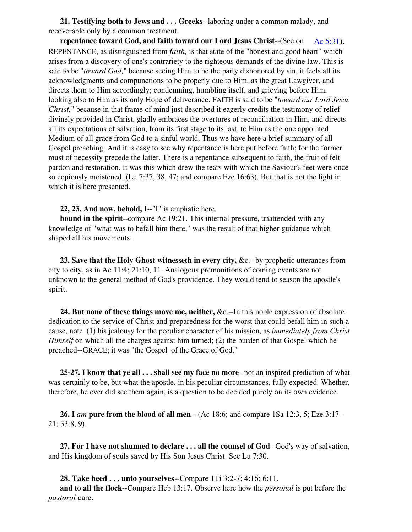**21. Testifying both to Jews and . . . Greeks**--laboring under a common malady, and recoverable only by a common treatment.

**repentance toward God, and faith toward our Lord Jesus Christ--(See on** Ac 5:31). REPENTANCE, as distinguished from *faith,* is that state of the "honest and good heart" which arises from a discovery of one's contrariety to the righteous demands of the divine law. This is said to be "*toward God,*" because seeing Him to be the party dishonored by sin, it feels all its acknowledgments and compunctions to be properly due to Him, as the great Lawgiver, and directs them to Him accordingly; condemning, humbling itself, and grieving before Him, looking also to Him as its only Hope of deliverance. FAITH is said to be "*toward our Lord Jesus Christ,*" because in that frame of mind just described it eagerly credits the testimony of relief divinely provided in Christ, gladly embraces the overtures of reconciliation in Him, and directs all its expectations of salvation, from its first stage to its last, to Him as the one appointed Medium of all grace from God to a sinful world. Thus we have here a brief summary of all Gospel preaching. And it is easy to see why repentance is here put before faith; for the former must of necessity precede the latter. There is a repentance subsequent to faith, the fruit of felt pardon and restoration. It was this which drew the tears with which the Saviour's feet were once so copiously moistened. (Lu 7:37, 38, 47; and compare Eze 16:63). But that is not the light in which it is here presented.

**22, 23. And now, behold, I**--"I" is emphatic here.

 **bound in the spirit**--compare Ac 19:21. This internal pressure, unattended with any knowledge of "what was to befall him there," was the result of that higher guidance which shaped all his movements.

 **23. Save that the Holy Ghost witnesseth in every city,** &c.--by prophetic utterances from city to city, as in Ac 11:4; 21:10, 11. Analogous premonitions of coming events are not unknown to the general method of God's providence. They would tend to season the apostle's spirit.

 **24. But none of these things move me, neither,** &c.--In this noble expression of absolute dedication to the service of Christ and preparedness for the worst that could befall him in such a cause, note (1) his jealousy for the peculiar character of his mission, as *immediately from Christ Himself* on which all the charges against him turned; (2) the burden of that Gospel which he preached--GRACE; it was "the Gospel of the Grace of God."

 **25-27. I know that ye all . . . shall see my face no more**--not an inspired prediction of what was certainly to be, but what the apostle, in his peculiar circumstances, fully expected. Whether, therefore, he ever did see them again, is a question to be decided purely on its own evidence.

 **26. I** *am* **pure from the blood of all men**-- (Ac 18:6; and compare 1Sa 12:3, 5; Eze 3:17- 21; 33:8, 9).

 **27. For I have not shunned to declare . . . all the counsel of God**--God's way of salvation, and His kingdom of souls saved by His Son Jesus Christ. See Lu 7:30.

**28. Take heed . . . unto yourselves**--Compare 1Ti 3:2-7; 4:16; 6:11.

 **and to all the flock**--Compare Heb 13:17. Observe here how the *personal* is put before the *pastoral* care.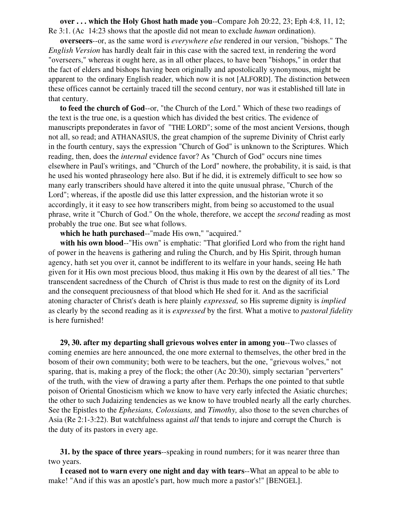**over . . . which the Holy Ghost hath made you**--Compare Joh 20:22, 23; Eph 4:8, 11, 12; Re 3:1. (Ac 14:23 shows that the apostle did not mean to exclude *human* ordination).

 **overseers**--or, as the same word is *everywhere else* rendered in our version, "bishops." The *English Version* has hardly dealt fair in this case with the sacred text, in rendering the word "overseers," whereas it ought here, as in all other places, to have been "bishops," in order that the fact of elders and bishops having been originally and apostolically synonymous, might be apparent to the ordinary English reader, which now it is not [ALFORD]. The distinction between these offices cannot be certainly traced till the second century, nor was it established till late in that century.

 **to feed the church of God**--or, "the Church of the Lord." Which of these two readings of the text is the true one, is a question which has divided the best critics. The evidence of manuscripts preponderates in favor of "THE LORD"; some of the most ancient Versions, though not all, so read; and ATHANASIUS, the great champion of the supreme Divinity of Christ early in the fourth century, says the expression "Church of God" is unknown to the Scriptures. Which reading, then, does the *internal* evidence favor? As "Church of God" occurs nine times elsewhere in Paul's writings, and "Church of the Lord" nowhere, the probability, it is said, is that he used his wonted phraseology here also. But if he did, it is extremely difficult to see how so many early transcribers should have altered it into the quite unusual phrase, "Church of the Lord"; whereas, if the apostle did use this latter expression, and the historian wrote it so accordingly, it it easy to see how transcribers might, from being so accustomed to the usual phrase, write it "Church of God." On the whole, therefore, we accept the *second* reading as most probably the true one. But see what follows.

**which he hath purchased**--"made His own," "acquired."

with his own blood--"His own" is emphatic: "That glorified Lord who from the right hand of power in the heavens is gathering and ruling the Church, and by His Spirit, through human agency, hath set you over it, cannot be indifferent to its welfare in your hands, seeing He hath given for it His own most precious blood, thus making it His own by the dearest of all ties." The transcendent sacredness of the Church of Christ is thus made to rest on the dignity of its Lord and the consequent preciousness of that blood which He shed for it. And as the sacrificial atoning character of Christ's death is here plainly *expressed,* so His supreme dignity is *implied* as clearly by the second reading as it is *expressed* by the first. What a motive to *pastoral fidelity* is here furnished!

 **29, 30. after my departing shall grievous wolves enter in among you**--Two classes of coming enemies are here announced, the one more external to themselves, the other bred in the bosom of their own community; both were to be teachers, but the one, "grievous wolves," not sparing, that is, making a prey of the flock; the other (Ac 20:30), simply sectarian "perverters" of the truth, with the view of drawing a party after them. Perhaps the one pointed to that subtle poison of Oriental Gnosticism which we know to have very early infected the Asiatic churches; the other to such Judaizing tendencies as we know to have troubled nearly all the early churches. See the Epistles to the *Ephesians, Colossians,* and *Timothy,* also those to the seven churches of Asia (Re 2:1-3:22). But watchfulness against *all* that tends to injure and corrupt the Church is the duty of its pastors in every age.

 **31. by the space of three years**--speaking in round numbers; for it was nearer three than two years.

 **I ceased not to warn every one night and day with tears**--What an appeal to be able to make! "And if this was an apostle's part, how much more a pastor's!" [BENGEL].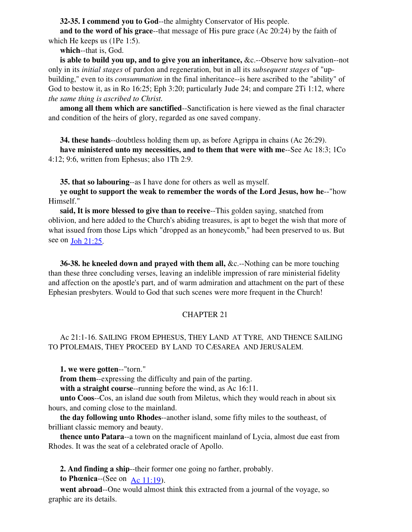**32-35. I commend you to God**--the almighty Conservator of His people.

 **and to the word of his grace**--that message of His pure grace (Ac 20:24) by the faith of which He keeps us (1Pe 1:5).

**which**--that is, God.

 **is able to build you up, and to give you an inheritance,** &c.--Observe how salvation--not only in its *initial stages* of pardon and regeneration, but in all its *subsequent stages* of "upbuilding," even to its *consummation* in the final inheritance--is here ascribed to the "ability" of God to bestow it, as in Ro 16:25; Eph 3:20; particularly Jude 24; and compare 2Ti 1:12, where *the same thing is ascribed to Christ.*

 **among all them which are sanctified**--Sanctification is here viewed as the final character and condition of the heirs of glory, regarded as one saved company.

 **34. these hands**--doubtless holding them up, as before Agrippa in chains (Ac 26:29). **have ministered unto my necessities, and to them that were with me**--See Ac 18:3; 1Co

4:12; 9:6, written from Ephesus; also 1Th 2:9.

**35. that so labouring**--as I have done for others as well as myself.

 **ye ought to support the weak to remember the words of the Lord Jesus, how he**--"how Himself."

see on  $J<sub>oh</sub> 21:25$ . **said, It is more blessed to give than to receive**--This golden saying, snatched from oblivion, and here added to the Church's abiding treasures, is apt to beget the wish that more of what issued from those Lips which "dropped as an honeycomb," had been preserved to us. But

 **36-38. he kneeled down and prayed with them all,** &c.--Nothing can be more touching than these three concluding verses, leaving an indelible impression of rare ministerial fidelity and affection on the apostle's part, and of warm admiration and attachment on the part of these Ephesian presbyters. Would to God that such scenes were more frequent in the Church!

#### CHAPTER 21

# Ac 21:1-16. SAILING FROM EPHESUS, THEY LAND AT TYRE, AND THENCE SAILING TO PTOLEMAIS, THEY PROCEED BY LAND TO CÆSAREA AND JERUSALEM.

**1. we were gotten**--"torn."

**from them**--expressing the difficulty and pain of the parting.

**with a straight course**--running before the wind, as Ac 16:11.

 **unto Coos**--Cos, an island due south from Miletus, which they would reach in about six hours, and coming close to the mainland.

 **the day following unto Rhodes**--another island, some fifty miles to the southeast, of brilliant classic memory and beauty.

 **thence unto Patara**--a town on the magnificent mainland of Lycia, almost due east from Rhodes. It was the seat of a celebrated oracle of Apollo.

**2. And finding a ship**--their former one going no farther, probably.

**to Phœnica--(See on <u>Ac 11:19</u>).** 

 **went abroad**--One would almost think this extracted from a journal of the voyage, so graphic are its details.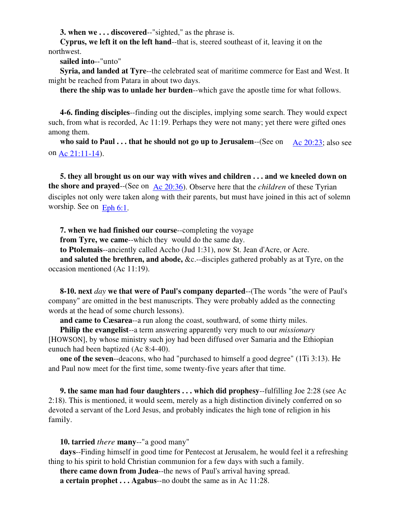**3. when we . . . discovered**--"sighted," as the phrase is.

 **Cyprus, we left it on the left hand**--that is, steered southeast of it, leaving it on the northwest.

**sailed into**--"unto"

 **Syria, and landed at Tyre**--the celebrated seat of maritime commerce for East and West. It might be reached from Patara in about two days.

**there the ship was to unlade her burden**--which gave the apostle time for what follows.

 **4-6. finding disciples**--finding out the disciples, implying some search. They would expect such, from what is recorded, Ac 11:19. Perhaps they were not many; yet there were gifted ones among them.

**who said to Paul . . . that he should not go up to Jerusalem--(See on**  $\frac{\text{Ac }20:23}{\text{Ac }20:23}$ **; also see** on <u>Ac 21:11-14</u>).

**the shore and prayed**--(See on  $\underline{Ac 20:36}$ ). Observe here that the *children* of these Tyrian worship. See on **Eph 6:1**. **5. they all brought us on our way with wives and children . . . and we kneeled down on** disciples not only were taken along with their parents, but must have joined in this act of solemn

**7. when we had finished our course**--completing the voyage

**from Tyre, we came**--which they would do the same day.

**to Ptolemais**--anciently called Accho (Jud 1:31), now St. Jean d'Acre, or Acre.

 **and saluted the brethren, and abode,** &c.--disciples gathered probably as at Tyre, on the occasion mentioned (Ac 11:19).

 **8-10. next** *day* **we that were of Paul's company departed**--(The words "the were of Paul's company" are omitted in the best manuscripts. They were probably added as the connecting words at the head of some church lessons).

**and came to Cæsarea**--a run along the coast, southward, of some thirty miles.

 **Philip the evangelist**--a term answering apparently very much to our *missionary* [HOWSON], by whose ministry such joy had been diffused over Samaria and the Ethiopian eunuch had been baptized (Ac 8:4-40).

 **one of the seven**--deacons, who had "purchased to himself a good degree" (1Ti 3:13). He and Paul now meet for the first time, some twenty-five years after that time.

 **9. the same man had four daughters . . . which did prophesy**--fulfilling Joe 2:28 (see Ac 2:18). This is mentioned, it would seem, merely as a high distinction divinely conferred on so devoted a servant of the Lord Jesus, and probably indicates the high tone of religion in his family.

**10. tarried** *there* **many**--"a good many"

 **days**--Finding himself in good time for Pentecost at Jerusalem, he would feel it a refreshing thing to his spirit to hold Christian communion for a few days with such a family.

**there came down from Judea**--the news of Paul's arrival having spread.

**a certain prophet . . . Agabus**--no doubt the same as in Ac 11:28.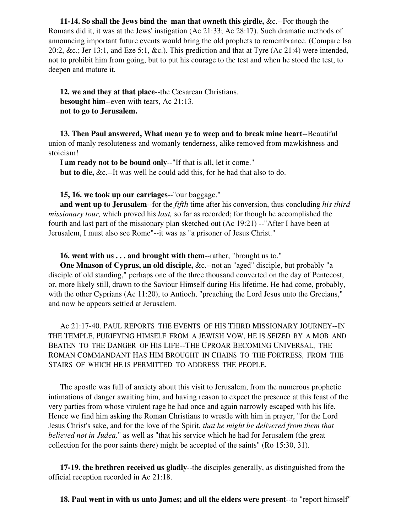**11-14. So shall the Jews bind the man that owneth this girdle,** &c.--For though the Romans did it, it was at the Jews' instigation (Ac 21:33; Ac 28:17). Such dramatic methods of announcing important future events would bring the old prophets to remembrance. (Compare Isa 20:2, &c.; Jer 13:1, and Eze 5:1, &c.). This prediction and that at Tyre (Ac 21:4) were intended, not to prohibit him from going, but to put his courage to the test and when he stood the test, to deepen and mature it.

 **12. we and they at that place**--the Cæsarean Christians. **besought him--even with tears, Ac 21:13. not to go to Jerusalem.**

 **13. Then Paul answered, What mean ye to weep and to break mine heart**--Beautiful union of manly resoluteness and womanly tenderness, alike removed from mawkishness and stoicism!

 **I am ready not to be bound only**--"If that is all, let it come." **but to die,** &c.--It was well he could add this, for he had that also to do.

**15, 16. we took up our carriages**--"our baggage."

 **and went up to Jerusalem**--for the *fifth* time after his conversion, thus concluding *his third missionary tour,* which proved his *last,* so far as recorded; for though he accomplished the fourth and last part of the missionary plan sketched out (Ac 19:21) --"After I have been at Jerusalem, I must also see Rome"--it was as "a prisoner of Jesus Christ."

**16. went with us . . . and brought with them**--rather, "brought us to."

 **One Mnason of Cyprus, an old disciple,** &c.--not an "aged" disciple, but probably "a disciple of old standing," perhaps one of the three thousand converted on the day of Pentecost, or, more likely still, drawn to the Saviour Himself during His lifetime. He had come, probably, with the other Cyprians (Ac 11:20), to Antioch, "preaching the Lord Jesus unto the Grecians," and now he appears settled at Jerusalem.

 Ac 21:17-40. PAUL REPORTS THE EVENTS OF HIS THIRD MISSIONARY JOURNEY--IN THE TEMPLE, PURIFYING HIMSELF FROM A JEWISH VOW, HE IS SEIZED BY A MOB AND BEATEN TO THE DANGER OF HIS LIFE--THE UPROAR BECOMING UNIVERSAL, THE ROMAN COMMANDANT HAS HIM BROUGHT IN CHAINS TO THE FORTRESS, FROM THE STAIRS OF WHICH HE IS PERMITTED TO ADDRESS THE PEOPLE.

 The apostle was full of anxiety about this visit to Jerusalem, from the numerous prophetic intimations of danger awaiting him, and having reason to expect the presence at this feast of the very parties from whose virulent rage he had once and again narrowly escaped with his life. Hence we find him asking the Roman Christians to wrestle with him in prayer, "for the Lord Jesus Christ's sake, and for the love of the Spirit, *that he might be delivered from them that believed not in Judea,*" as well as "that his service which he had for Jerusalem (the great collection for the poor saints there) might be accepted of the saints" (Ro 15:30, 31).

 **17-19. the brethren received us gladly**--the disciples generally, as distinguished from the official reception recorded in Ac 21:18.

**18. Paul went in with us unto James; and all the elders were present**--to "report himself"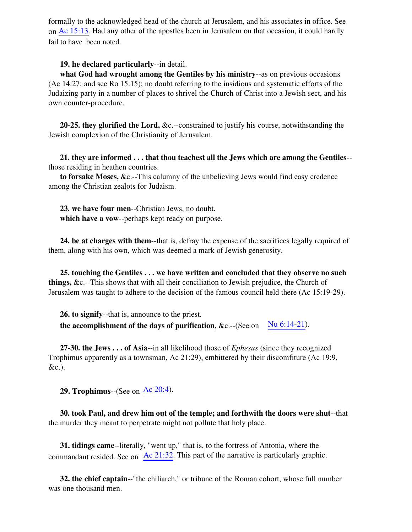on **Ac 15:13**. Had any other of the apostles been in Jerusalem on that occasion, it could hardly formally to the acknowledged head of the church at Jerusalem, and his associates in office. See fail to have been noted.

#### **19. he declared particularly**--in detail.

 **what God had wrought among the Gentiles by his ministry**--as on previous occasions (Ac 14:27; and see Ro 15:15); no doubt referring to the insidious and systematic efforts of the Judaizing party in a number of places to shrivel the Church of Christ into a Jewish sect, and his own counter-procedure.

 **20-25. they glorified the Lord,** &c.--constrained to justify his course, notwithstanding the Jewish complexion of the Christianity of Jerusalem.

 **21. they are informed . . . that thou teachest all the Jews which are among the Gentiles**- those residing in heathen countries.

 **to forsake Moses,** &c.--This calumny of the unbelieving Jews would find easy credence among the Christian zealots for Judaism.

 **23. we have four men**--Christian Jews, no doubt. **which have a vow**--perhaps kept ready on purpose.

 **24. be at charges with them**--that is, defray the expense of the sacrifices legally required of them, along with his own, which was deemed a mark of Jewish generosity.

 **25. touching the Gentiles . . . we have written and concluded that they observe no such things,** &c.--This shows that with all their conciliation to Jewish prejudice, the Church of Jerusalem was taught to adhere to the decision of the famous council held there (Ac 15:19-29).

**the accomplishment of the days of purification,** &c. $-($ See on  $\frac{Nu(6:14-21)}{M}$ . **26. to signify**--that is, announce to the priest.

 **27-30. the Jews . . . of Asia**--in all likelihood those of *Ephesus* (since they recognized Trophimus apparently as a townsman, Ac 21:29), embittered by their discomfiture (Ac 19:9, &c.).

**29. Trophimus**--(See on  $\underline{Ac\ 20:4}$ ).

 **30. took Paul, and drew him out of the temple; and forthwith the doors were shut**--that the murder they meant to perpetrate might not pollute that holy place.

commandant resided. See on  $\frac{\text{Ac }21:32}{\text{Chis part of the narrative is particularly graphic}}$ . **31. tidings came**--literally, "went up," that is, to the fortress of Antonia, where the

 **32. the chief captain**--"the chiliarch," or tribune of the Roman cohort, whose full number was one thousand men.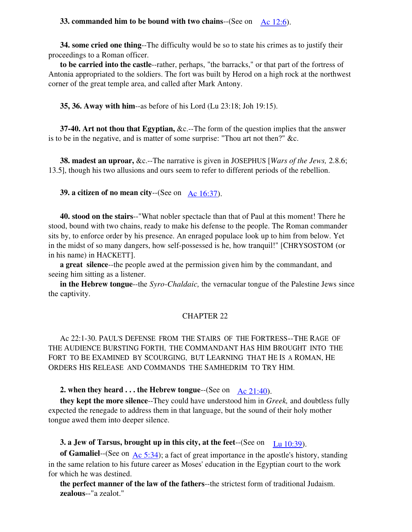## **33. commanded him to be bound with two chains--(See on** Ac 12:6).

**34. some cried one thing--The difficulty would be so to state his crimes as to justify their** proceedings to a Roman officer.

 **to be carried into the castle**--rather, perhaps, "the barracks," or that part of the fortress of Antonia appropriated to the soldiers. The fort was built by Herod on a high rock at the northwest corner of the great temple area, and called after Mark Antony.

**35, 36. Away with him**--as before of his Lord (Lu 23:18; Joh 19:15).

 **37-40. Art not thou that Egyptian,** &c.--The form of the question implies that the answer is to be in the negative, and is matter of some surprise: "Thou art not then?" &c.

 **38. madest an uproar,** &c.--The narrative is given in JOSEPHUS [*Wars of the Jews,* 2.8.6; 13.5], though his two allusions and ours seem to refer to different periods of the rebellion.

# **39. a citizen of no mean city--(See on**  $\overline{Ac}$  16:37).

 **40. stood on the stairs**--"What nobler spectacle than that of Paul at this moment! There he stood, bound with two chains, ready to make his defense to the people. The Roman commander sits by, to enforce order by his presence. An enraged populace look up to him from below. Yet in the midst of so many dangers, how self-possessed is he, how tranquil!" [CHRYSOSTOM (or in his name) in HACKETT].

 **a great silence**--the people awed at the permission given him by the commandant, and seeing him sitting as a listener.

 **in the Hebrew tongue**--the *Syro-Chaldaic,* the vernacular tongue of the Palestine Jews since the captivity.

#### CHAPTER 22

 Ac 22:1-30. PAUL'S DEFENSE FROM THE STAIRS OF THE FORTRESS--THE RAGE OF THE AUDIENCE BURSTING FORTH, THE COMMANDANT HAS HIM BROUGHT INTO THE FORT TO BE EXAMINED BY SCOURGING, BUT LEARNING THAT HE IS A ROMAN, HE ORDERS HIS RELEASE AND COMMANDS THE SAMHEDRIM TO TRY HIM.

**2. when they heard . . . the Hebrew tongue--(See on**  $\underline{Ac 21:40}$ ).

 **they kept the more silence**--They could have understood him in *Greek,* and doubtless fully expected the renegade to address them in that language, but the sound of their holy mother tongue awed them into deeper silence.

# **3. a Jew of Tarsus, brought up in this city, at the feet--(See on**  $\frac{\text{Lu } 10:39}{\text{Lu } 10:39}$ ).

of Gamaliel--(See on  $\underline{Ac}$  5:34); a fact of great importance in the apostle's history, standing in the same relation to his future career as Moses' education in the Egyptian court to the work for which he was destined.

 **the perfect manner of the law of the fathers**--the strictest form of traditional Judaism. **zealous**--"a zealot."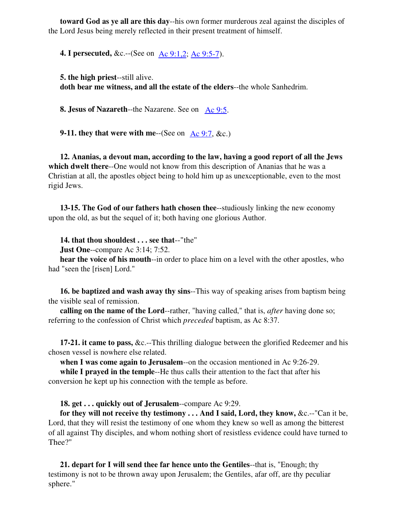**toward God as ye all are this day**--his own former murderous zeal against the disciples of the Lord Jesus being merely reflected in their present treatment of himself.

**4. I persecuted,** &c.--(See on <u>Ac 9:1,2; Ac 9:5-7</u>).

 **5. the high priest**--still alive. **doth bear me witness, and all the estate of the elders**--the whole Sanhedrim.

**8. Jesus of Nazareth--the Nazarene. See on Ac 9:5.** 

**9-11. they that were with me--(See on**  $\underline{Ac}$  9:7, &c.)

 **12. Ananias, a devout man, according to the law, having a good report of all the Jews which dwelt there**--One would not know from this description of Ananias that he was a Christian at all, the apostles object being to hold him up as unexceptionable, even to the most rigid Jews.

 **13-15. The God of our fathers hath chosen thee**--studiously linking the new economy upon the old, as but the sequel of it; both having one glorious Author.

**14. that thou shouldest . . . see that**--"the"

**Just One**--compare Ac 3:14; 7:52.

 **hear the voice of his mouth**--in order to place him on a level with the other apostles, who had "seen the [risen] Lord."

 **16. be baptized and wash away thy sins**--This way of speaking arises from baptism being the visible seal of remission.

 **calling on the name of the Lord**--rather, "having called," that is, *after* having done so; referring to the confession of Christ which *preceded* baptism, as Ac 8:37.

 **17-21. it came to pass,** &c.--This thrilling dialogue between the glorified Redeemer and his chosen vessel is nowhere else related.

**when I was come again to Jerusalem**--on the occasion mentioned in Ac 9:26-29.

 **while I prayed in the temple**--He thus calls their attention to the fact that after his conversion he kept up his connection with the temple as before.

**18. get . . . quickly out of Jerusalem**--compare Ac 9:29.

 **for they will not receive thy testimony . . . And I said, Lord, they know,** &c.--"Can it be, Lord, that they will resist the testimony of one whom they knew so well as among the bitterest of all against Thy disciples, and whom nothing short of resistless evidence could have turned to Thee?"

 **21. depart for I will send thee far hence unto the Gentiles**--that is, "Enough; thy testimony is not to be thrown away upon Jerusalem; the Gentiles, afar off, are thy peculiar sphere."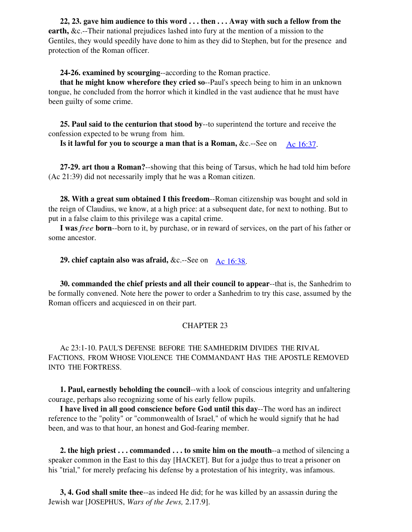**22, 23. gave him audience to this word . . . then . . . Away with such a fellow from the earth,** &c.--Their national prejudices lashed into fury at the mention of a mission to the Gentiles, they would speedily have done to him as they did to Stephen, but for the presence and protection of the Roman officer.

#### **24-26. examined by scourging**--according to the Roman practice.

 **that he might know wherefore they cried so**--Paul's speech being to him in an unknown tongue, he concluded from the horror which it kindled in the vast audience that he must have been guilty of some crime.

 **25. Paul said to the centurion that stood by**--to superintend the torture and receive the confession expected to be wrung from him.

**Is it lawful for you to scourge a man that is a Roman,** &c.--See on **Ac 16:37**.

 **27-29. art thou a Roman?**--showing that this being of Tarsus, which he had told him before (Ac 21:39) did not necessarily imply that he was a Roman citizen.

 **28. With a great sum obtained I this freedom**--Roman citizenship was bought and sold in the reign of Claudius, we know, at a high price: at a subsequent date, for next to nothing. But to put in a false claim to this privilege was a capital crime.

 **I was** *free* **born**--born to it, by purchase, or in reward of services, on the part of his father or some ancestor.

**29. chief captain also was afraid,** &c.--See on **Ac** 16:38.

 **30. commanded the chief priests and all their council to appear**--that is, the Sanhedrim to be formally convened. Note here the power to order a Sanhedrim to try this case, assumed by the Roman officers and acquiesced in on their part.

### CHAPTER 23

 Ac 23:1-10. PAUL'S DEFENSE BEFORE THE SAMHEDRIM DIVIDES THE RIVAL FACTIONS, FROM WHOSE VIOLENCE THE COMMANDANT HAS THE APOSTLE REMOVED INTO THE FORTRESS.

 **1. Paul, earnestly beholding the council**--with a look of conscious integrity and unfaltering courage, perhaps also recognizing some of his early fellow pupils.

 **I have lived in all good conscience before God until this day**--The word has an indirect reference to the "polity" or "commonwealth of Israel," of which he would signify that he had been, and was to that hour, an honest and God-fearing member.

 **2. the high priest . . . commanded . . . to smite him on the mouth**--a method of silencing a speaker common in the East to this day [HACKET]. But for a judge thus to treat a prisoner on his "trial," for merely prefacing his defense by a protestation of his integrity, was infamous.

 **3, 4. God shall smite thee**--as indeed He did; for he was killed by an assassin during the Jewish war [JOSEPHUS, *Wars of the Jews,* 2.17.9].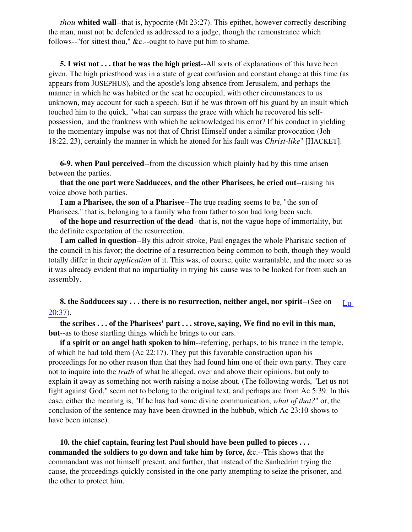*thou* **whited wall**--that is, hypocrite (Mt 23:27). This epithet, however correctly describing the man, must not be defended as addressed to a judge, though the remonstrance which follows--"for sittest thou," &c.--ought to have put him to shame.

 **5. I wist not . . . that he was the high priest**--All sorts of explanations of this have been given. The high priesthood was in a state of great confusion and constant change at this time (as appears from JOSEPHUS), and the apostle's long absence from Jerusalem, and perhaps the manner in which he was habited or the seat he occupied, with other circumstances to us unknown, may account for such a speech. But if he was thrown off his guard by an insult which touched him to the quick, "what can surpass the grace with which he recovered his selfpossession, and the frankness with which he acknowledged his error? If his conduct in yielding to the momentary impulse was not that of Christ Himself under a similar provocation (Joh 18:22, 23), certainly the manner in which he atoned for his fault was *Christ-like*" [HACKET].

 **6-9. when Paul perceived**--from the discussion which plainly had by this time arisen between the parties.

 **that the one part were Sadducees, and the other Pharisees, he cried out**--raising his voice above both parties.

 **I am a Pharisee, the son of a Pharisee**--The true reading seems to be, "the son of Pharisees," that is, belonging to a family who from father to son had long been such.

 **of the hope and resurrection of the dead**--that is, not the vague hope of immortality, but the definite expectation of the resurrection.

 **I am called in question**--By this adroit stroke, Paul engages the whole Pharisaic section of the council in his favor; the doctrine of a resurrection being common to both, though they would totally differ in their *application* of it. This was, of course, quite warrantable, and the more so as it was already evident that no impartiality in trying his cause was to be looked for from such an assembly.

Lu **8. the Sadducees say . . . there is no resurrection, neither angel, nor spirit**--(See on 20:37).

 **the scribes . . . of the Pharisees' part . . . strove, saying, We find no evil in this man, but**--as to those startling things which he brings to our ears.

 **if a spirit or an angel hath spoken to him**--referring, perhaps, to his trance in the temple, of which he had told them (Ac 22:17). They put this favorable construction upon his proceedings for no other reason than that they had found him one of their own party. They care not to inquire into the *truth* of what he alleged, over and above their opinions, but only to explain it away as something not worth raising a noise about. (The following words, "Let us not fight against God," seem not to belong to the original text, and perhaps are from Ac 5:39. In this case, either the meaning is, "If he has had some divine communication, *what of that?*" or, the conclusion of the sentence may have been drowned in the hubbub, which Ac 23:10 shows to have been intense).

 **10. the chief captain, fearing lest Paul should have been pulled to pieces . . . commanded the soldiers to go down and take him by force,** &c.--This shows that the commandant was not himself present, and further, that instead of the Sanhedrim trying the cause, the proceedings quickly consisted in the one party attempting to seize the prisoner, and the other to protect him.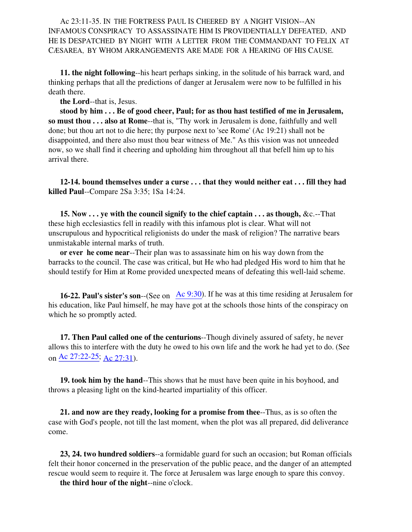Ac 23:11-35. IN THE FORTRESS PAUL IS CHEERED BY A NIGHT VISION--AN INFAMOUS CONSPIRACY TO ASSASSINATE HIM IS PROVIDENTIALLY DEFEATED, AND HE IS DESPATCHED BY NIGHT WITH A LETTER FROM THE COMMANDANT TO FELIX AT CÆSAREA, BY WHOM ARRANGEMENTS ARE MADE FOR A HEARING OF HIS CAUSE.

 **11. the night following**--his heart perhaps sinking, in the solitude of his barrack ward, and thinking perhaps that all the predictions of danger at Jerusalem were now to be fulfilled in his death there.

**the Lord**--that is, Jesus.

 **stood by him . . . Be of good cheer, Paul; for as thou hast testified of me in Jerusalem, so must thou . . . also at Rome**--that is, "Thy work in Jerusalem is done, faithfully and well done; but thou art not to die here; thy purpose next to 'see Rome' (Ac 19:21) shall not be disappointed, and there also must thou bear witness of Me." As this vision was not unneeded now, so we shall find it cheering and upholding him throughout all that befell him up to his arrival there.

 **12-14. bound themselves under a curse . . . that they would neither eat . . . fill they had killed Paul**--Compare 2Sa 3:35; 1Sa 14:24.

 **15. Now . . . ye with the council signify to the chief captain . . . as though,** &c.--That these high ecclesiastics fell in readily with this infamous plot is clear. What will not unscrupulous and hypocritical religionists do under the mask of religion? The narrative bears unmistakable internal marks of truth.

 **or ever he come near**--Their plan was to assassinate him on his way down from the barracks to the council. The case was critical, but He who had pledged His word to him that he should testify for Him at Rome provided unexpected means of defeating this well-laid scheme.

**16-22. Paul's sister's son**--(See on  $\underline{Ac 9:30}$ ). If he was at this time residing at Jerusalem for his education, like Paul himself, he may have got at the schools those hints of the conspiracy on which he so promptly acted.

on <u>Ac 27:22-25; Ac 27:31</u>). **17. Then Paul called one of the centurions**--Though divinely assured of safety, he never allows this to interfere with the duty he owed to his own life and the work he had yet to do. (See

 **19. took him by the hand**--This shows that he must have been quite in his boyhood, and throws a pleasing light on the kind-hearted impartiality of this officer.

 **21. and now are they ready, looking for a promise from thee**--Thus, as is so often the case with God's people, not till the last moment, when the plot was all prepared, did deliverance come.

 **23, 24. two hundred soldiers**--a formidable guard for such an occasion; but Roman officials felt their honor concerned in the preservation of the public peace, and the danger of an attempted rescue would seem to require it. The force at Jerusalem was large enough to spare this convoy.

**the third hour of the night**--nine o'clock.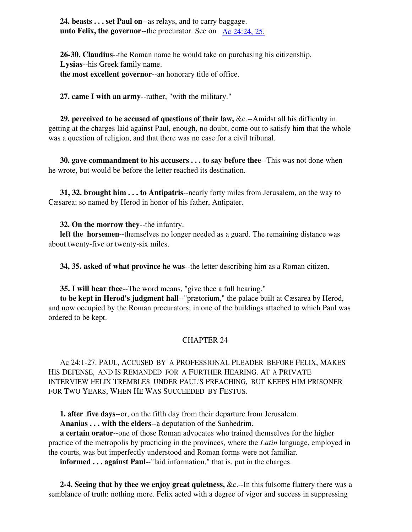**unto Felix, the governor**--the procurator. See on  $\underline{Ac}$  24:24, 25. **24. beasts . . . set Paul on**--as relays, and to carry baggage.

 **26-30. Claudius**--the Roman name he would take on purchasing his citizenship. **Lysias**--his Greek family name. **the most excellent governor**--an honorary title of office.

**27. came I with an army**--rather, "with the military."

 **29. perceived to be accused of questions of their law,** &c.--Amidst all his difficulty in getting at the charges laid against Paul, enough, no doubt, come out to satisfy him that the whole was a question of religion, and that there was no case for a civil tribunal.

 **30. gave commandment to his accusers . . . to say before thee**--This was not done when he wrote, but would be before the letter reached its destination.

 **31, 32. brought him . . . to Antipatris**--nearly forty miles from Jerusalem, on the way to Cæsarea; so named by Herod in honor of his father, Antipater.

#### **32. On the morrow they**--the infantry.

left the horsemen--themselves no longer needed as a guard. The remaining distance was about twenty-five or twenty-six miles.

**34, 35. asked of what province he was**--the letter describing him as a Roman citizen.

**35. I will hear thee**--The word means, "give thee a full hearing."

 **to be kept in Herod's judgment hall**--"prætorium," the palace built at Cæsarea by Herod, and now occupied by the Roman procurators; in one of the buildings attached to which Paul was ordered to be kept.

# CHAPTER 24

 Ac 24:1-27. PAUL, ACCUSED BY A PROFESSIONAL PLEADER BEFORE FELIX, MAKES HIS DEFENSE, AND IS REMANDED FOR A FURTHER HEARING. AT A PRIVATE INTERVIEW FELIX TREMBLES UNDER PAUL'S PREACHING, BUT KEEPS HIM PRISONER FOR TWO YEARS, WHEN HE WAS SUCCEEDED BY FESTUS.

**1. after five days**--or, on the fifth day from their departure from Jerusalem.

**Ananias . . . with the elders**--a deputation of the Sanhedrim.

 **a certain orator**--one of those Roman advocates who trained themselves for the higher practice of the metropolis by practicing in the provinces, where the *Latin* language, employed in the courts, was but imperfectly understood and Roman forms were not familiar.

**informed . . . against Paul**--"laid information," that is, put in the charges.

 **2-4. Seeing that by thee we enjoy great quietness,** &c.--In this fulsome flattery there was a semblance of truth: nothing more. Felix acted with a degree of vigor and success in suppressing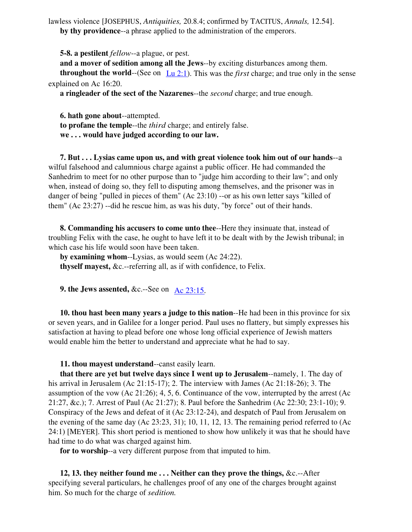lawless violence [JOSEPHUS, *Antiquities,* 20.8.4; confirmed by TACITUS, *Annals,* 12.54]. **by thy providence**--a phrase applied to the administration of the emperors.

**5-8. a pestilent** *fellow*--a plague, or pest.

**throughout the world**--(See on  $\text{Lu}(2:1)$ . This was the *first* charge; and true only in the sense **and a mover of sedition among all the Jews**--by exciting disturbances among them. explained on Ac 16:20.

**a ringleader of the sect of the Nazarenes**--the *second* charge; and true enough.

 **6. hath gone about**--attempted. **to profane the temple**--the *third* charge; and entirely false. **we . . . would have judged according to our law.**

 **7. But . . . Lysias came upon us, and with great violence took him out of our hands**--a wilful falsehood and calumnious charge against a public officer. He had commanded the Sanhedrim to meet for no other purpose than to "judge him according to their law"; and only when, instead of doing so, they fell to disputing among themselves, and the prisoner was in danger of being "pulled in pieces of them" (Ac 23:10) --or as his own letter says "killed of them" (Ac 23:27) --did he rescue him, as was his duty, "by force" out of their hands.

 **8. Commanding his accusers to come unto thee**--Here they insinuate that, instead of troubling Felix with the case, he ought to have left it to be dealt with by the Jewish tribunal; in which case his life would soon have been taken.

 **by examining whom**--Lysias, as would seem (Ac 24:22). **thyself mayest,** &c.--referring all, as if with confidence, to Felix.

**9. the Jews assented,** &c.--See on  $\underline{Ac}$  23:15.

 **10. thou hast been many years a judge to this nation**--He had been in this province for six or seven years, and in Galilee for a longer period. Paul uses no flattery, but simply expresses his satisfaction at having to plead before one whose long official experience of Jewish matters would enable him the better to understand and appreciate what he had to say.

**11. thou mayest understand**--canst easily learn.

 **that there are yet but twelve days since I went up to Jerusalem**--namely, 1. The day of his arrival in Jerusalem (Ac 21:15-17); 2. The interview with James (Ac 21:18-26); 3. The assumption of the vow (Ac 21:26); 4, 5, 6. Continuance of the vow, interrupted by the arrest (Ac 21:27, &c.); 7. Arrest of Paul (Ac 21:27); 8. Paul before the Sanhedrim (Ac 22:30; 23:1-10); 9. Conspiracy of the Jews and defeat of it (Ac 23:12-24), and despatch of Paul from Jerusalem on the evening of the same day (Ac 23:23, 31); 10, 11, 12, 13. The remaining period referred to (Ac 24:1) [MEYER]. This short period is mentioned to show how unlikely it was that he should have had time to do what was charged against him.

for to worship--a very different purpose from that imputed to him.

 **12, 13. they neither found me . . . Neither can they prove the things,** &c.--After specifying several particulars, he challenges proof of any one of the charges brought against him. So much for the charge of *sedition.*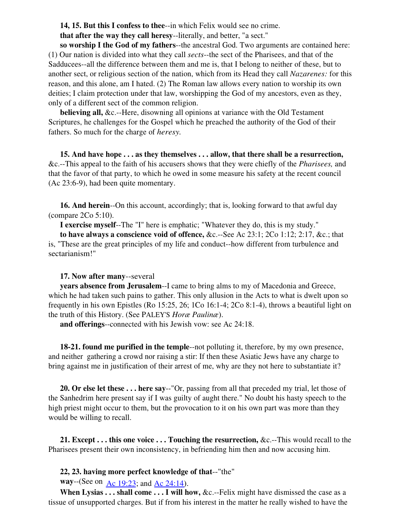**14, 15. But this I confess to thee**--in which Felix would see no crime. **that after the way they call heresy**--literally, and better, "a sect."

 **so worship I the God of my fathers**--the ancestral God. Two arguments are contained here: (1) Our nation is divided into what they call *sects*--the sect of the Pharisees, and that of the Sadducees--all the difference between them and me is, that I belong to neither of these, but to another sect, or religious section of the nation, which from its Head they call *Nazarenes:* for this reason, and this alone, am I hated. (2) The Roman law allows every nation to worship its own deities; I claim protection under that law, worshipping the God of my ancestors, even as they, only of a different sect of the common religion.

 **believing all,** &c.--Here, disowning all opinions at variance with the Old Testament Scriptures, he challenges for the Gospel which he preached the authority of the God of their fathers. So much for the charge of *heresy.*

 **15. And have hope . . . as they themselves . . . allow, that there shall be a resurrection,** &c.--This appeal to the faith of his accusers shows that they were chiefly of the *Pharisees,* and that the favor of that party, to which he owed in some measure his safety at the recent council (Ac 23:6-9), had been quite momentary.

 **16. And herein**--On this account, accordingly; that is, looking forward to that awful day (compare 2Co 5:10).

**I exercise myself**--The "I" here is emphatic; "Whatever they do, this is my study."

 **to have always a conscience void of offence,** &c.--See Ac 23:1; 2Co 1:12; 2:17, &c.; that is, "These are the great principles of my life and conduct--how different from turbulence and sectarianism!"

#### **17. Now after many**--several

 **years absence from Jerusalem**--I came to bring alms to my of Macedonia and Greece, which he had taken such pains to gather. This only allusion in the Acts to what is dwelt upon so frequently in his own Epistles (Ro 15:25, 26; 1Co 16:1-4; 2Co 8:1-4), throws a beautiful light on the truth of this History. (See PALEY'S *Horæ Paulinæ*).

**and offerings**--connected with his Jewish vow: see Ac 24:18.

 **18-21. found me purified in the temple**--not polluting it, therefore, by my own presence, and neither gathering a crowd nor raising a stir: If then these Asiatic Jews have any charge to bring against me in justification of their arrest of me, why are they not here to substantiate it?

 **20. Or else let these . . . here say**--"Or, passing from all that preceded my trial, let those of the Sanhedrim here present say if I was guilty of aught there." No doubt his hasty speech to the high priest might occur to them, but the provocation to it on his own part was more than they would be willing to recall.

 **21. Except . . . this one voice . . . Touching the resurrection,** &c.--This would recall to the Pharisees present their own inconsistency, in befriending him then and now accusing him.

#### **22, 23. having more perfect knowledge of that**--"the"

**way**--(See on  $\underline{Ac}$  19:23; and  $\underline{Ac}$  24:14).

 **When Lysias . . . shall come . . . I will how,** &c.--Felix might have dismissed the case as a tissue of unsupported charges. But if from his interest in the matter he really wished to have the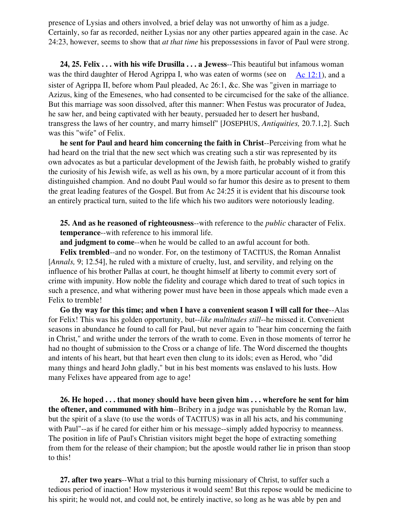presence of Lysias and others involved, a brief delay was not unworthy of him as a judge. Certainly, so far as recorded, neither Lysias nor any other parties appeared again in the case. Ac 24:23, however, seems to show that *at that time* his prepossessions in favor of Paul were strong.

Ac 12:1), and a **24, 25. Felix . . . with his wife Drusilla . . . a Jewess**--This beautiful but infamous woman was the third daughter of Herod Agrippa I, who was eaten of worms (see on sister of Agrippa II, before whom Paul pleaded, Ac 26:1, &c. She was "given in marriage to Azizus, king of the Emesenes, who had consented to be circumcised for the sake of the alliance. But this marriage was soon dissolved, after this manner: When Festus was procurator of Judea, he saw her, and being captivated with her beauty, persuaded her to desert her husband, transgress the laws of her country, and marry himself" [JOSEPHUS, *Antiquities,* 20.7.1,2]. Such was this "wife" of Felix.

 **he sent for Paul and heard him concerning the faith in Christ**--Perceiving from what he had heard on the trial that the new sect which was creating such a stir was represented by its own advocates as but a particular development of the Jewish faith, he probably wished to gratify the curiosity of his Jewish wife, as well as his own, by a more particular account of it from this distinguished champion. And no doubt Paul would so far humor this desire as to present to them the great leading features of the Gospel. But from Ac 24:25 it is evident that his discourse took an entirely practical turn, suited to the life which his two auditors were notoriously leading.

 **25. And as he reasoned of righteousness**--with reference to the *public* character of Felix. **temperance**--with reference to his immoral life.

**and judgment to come**--when he would be called to an awful account for both.

 **Felix trembled**--and no wonder. For, on the testimony of TACITUS, the Roman Annalist [*Annals,* 9; 12.54], he ruled with a mixture of cruelty, lust, and servility, and relying on the influence of his brother Pallas at court, he thought himself at liberty to commit every sort of crime with impunity. How noble the fidelity and courage which dared to treat of such topics in such a presence, and what withering power must have been in those appeals which made even a Felix to tremble!

 **Go thy way for this time; and when I have a convenient season I will call for thee**--Alas for Felix! This was his golden opportunity, but--*like multitudes still*--he missed it. Convenient seasons in abundance he found to call for Paul, but never again to "hear him concerning the faith in Christ," and writhe under the terrors of the wrath to come. Even in those moments of terror he had no thought of submission to the Cross or a change of life. The Word discerned the thoughts and intents of his heart, but that heart even then clung to its idols; even as Herod, who "did many things and heard John gladly," but in his best moments was enslaved to his lusts. How many Felixes have appeared from age to age!

 **26. He hoped . . . that money should have been given him . . . wherefore he sent for him the oftener, and communed with him**--Bribery in a judge was punishable by the Roman law, but the spirit of a slave (to use the words of TACITUS) was in all his acts, and his communing with Paul"--as if he cared for either him or his message--simply added hypocrisy to meanness. The position in life of Paul's Christian visitors might beget the hope of extracting something from them for the release of their champion; but the apostle would rather lie in prison than stoop to this!

 **27. after two years**--What a trial to this burning missionary of Christ, to suffer such a tedious period of inaction! How mysterious it would seem! But this repose would be medicine to his spirit; he would not, and could not, be entirely inactive, so long as he was able by pen and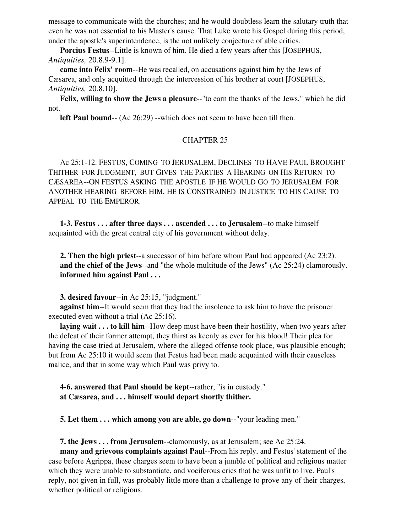message to communicate with the churches; and he would doubtless learn the salutary truth that even he was not essential to his Master's cause. That Luke wrote his Gospel during this period, under the apostle's superintendence, is the not unlikely conjecture of able critics.

 **Porcius Festus**--Little is known of him. He died a few years after this [JOSEPHUS, *Antiquities,* 20.8.9-9.1].

 **came into Felix' room**--He was recalled, on accusations against him by the Jews of Cæsarea, and only acquitted through the intercession of his brother at court [JOSEPHUS, *Antiquities,* 20.8,10].

 **Felix, willing to show the Jews a pleasure**--"to earn the thanks of the Jews," which he did not.

**left Paul bound**-- (Ac 26:29) --which does not seem to have been till then.

## CHAPTER 25

 Ac 25:1-12. FESTUS, COMING TO JERUSALEM, DECLINES TO HAVE PAUL BROUGHT THITHER FOR JUDGMENT, BUT GIVES THE PARTIES A HEARING ON HIS RETURN TO CÆSAREA--ON FESTUS ASKING THE APOSTLE IF HE WOULD GO TO JERUSALEM FOR ANOTHER HEARING BEFORE HIM, HE IS CONSTRAINED IN JUSTICE TO HIS CAUSE TO APPEAL TO THE EMPEROR.

 **1-3. Festus . . . after three days . . . ascended . . . to Jerusalem**--to make himself acquainted with the great central city of his government without delay.

 **2. Then the high priest**--a successor of him before whom Paul had appeared (Ac 23:2). **and the chief of the Jews**--and "the whole multitude of the Jews" (Ac 25:24) clamorously. **informed him against Paul . . .**

**3. desired favour**--in Ac 25:15, "judgment."

**against him**--It would seem that they had the insolence to ask him to have the prisoner executed even without a trial (Ac 25:16).

 **laying wait . . . to kill him**--How deep must have been their hostility, when two years after the defeat of their former attempt, they thirst as keenly as ever for his blood! Their plea for having the case tried at Jerusalem, where the alleged offense took place, was plausible enough; but from Ac 25:10 it would seem that Festus had been made acquainted with their causeless malice, and that in some way which Paul was privy to.

 **4-6. answered that Paul should be kept**--rather, "is in custody." **at Cæsarea, and . . . himself would depart shortly thither.**

**5. Let them . . . which among you are able, go down**--"your leading men."

**7. the Jews . . . from Jerusalem**--clamorously, as at Jerusalem; see Ac 25:24.

 **many and grievous complaints against Paul**--From his reply, and Festus' statement of the case before Agrippa, these charges seem to have been a jumble of political and religious matter which they were unable to substantiate, and vociferous cries that he was unfit to live. Paul's reply, not given in full, was probably little more than a challenge to prove any of their charges, whether political or religious.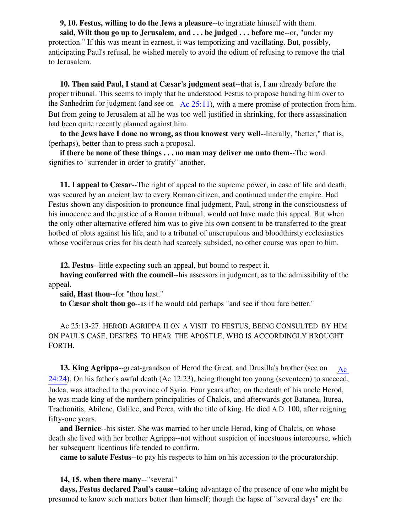**9, 10. Festus, willing to do the Jews a pleasure**--to ingratiate himself with them.

 **said, Wilt thou go up to Jerusalem, and . . . be judged . . . before me**--or, "under my protection." If this was meant in earnest, it was temporizing and vacillating. But, possibly, anticipating Paul's refusal, he wished merely to avoid the odium of refusing to remove the trial to Jerusalem.

the Sanhedrim for judgment (and see on  $Ac$  25:11), with a mere promise of protection from him. **10. Then said Paul, I stand at Cæsar's judgment seat**--that is, I am already before the proper tribunal. This seems to imply that he understood Festus to propose handing him over to But from going to Jerusalem at all he was too well justified in shrinking, for there assassination had been quite recently planned against him.

 **to the Jews have I done no wrong, as thou knowest very well**--literally, "better," that is, (perhaps), better than to press such a proposal.

 **if there be none of these things . . . no man may deliver me unto them**--The word signifies to "surrender in order to gratify" another.

 **11. I appeal to Cæsar**--The right of appeal to the supreme power, in case of life and death, was secured by an ancient law to every Roman citizen, and continued under the empire. Had Festus shown any disposition to pronounce final judgment, Paul, strong in the consciousness of his innocence and the justice of a Roman tribunal, would not have made this appeal. But when the only other alternative offered him was to give his own consent to be transferred to the great hotbed of plots against his life, and to a tribunal of unscrupulous and bloodthirsty ecclesiastics whose vociferous cries for his death had scarcely subsided, no other course was open to him.

**12. Festus**--little expecting such an appeal, but bound to respect it.

 **having conferred with the council**--his assessors in judgment, as to the admissibility of the appeal.

**said, Hast thou**--for "thou hast."

**to Cæsar shalt thou go**--as if he would add perhaps "and see if thou fare better."

 Ac 25:13-27. HEROD AGRIPPA II ON A VISIT TO FESTUS, BEING CONSULTED BY HIM ON PAUL'S CASE, DESIRES TO HEAR THE APOSTLE, WHO IS ACCORDINGLY BROUGHT FORTH.

Ac **13. King Agrippa**--great-grandson of Herod the Great, and Drusilla's brother (see on 24:24). On his father's awful death (Ac 12:23), being thought too young (seventeen) to succeed, Judea, was attached to the province of Syria. Four years after, on the death of his uncle Herod, he was made king of the northern principalities of Chalcis, and afterwards got Batanea, Iturea, Trachonitis, Abilene, Galilee, and Perea, with the title of king. He died A.D. 100, after reigning fifty-one years.

 **and Bernice**--his sister. She was married to her uncle Herod, king of Chalcis, on whose death she lived with her brother Agrippa--not without suspicion of incestuous intercourse, which her subsequent licentious life tended to confirm.

**came to salute Festus**--to pay his respects to him on his accession to the procuratorship.

#### **14, 15. when there many**--"several"

 **days, Festus declared Paul's cause**--taking advantage of the presence of one who might be presumed to know such matters better than himself; though the lapse of "several days" ere the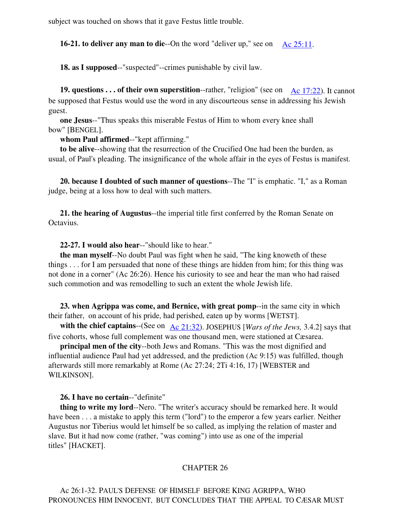subject was touched on shows that it gave Festus little trouble.

**16-21. to deliver any man to die--On** the word "deliver up," see on  $\frac{\text{Ac }25:11}{\text{Ac }25:11}$ .

**18. as I supposed**--"suspected"--crimes punishable by civil law.

**19. questions . . . of their own superstition**--rather, "religion" (see on **Ac** 17:22). It cannot be supposed that Festus would use the word in any discourteous sense in addressing his Jewish guest.

 **one Jesus**--"Thus speaks this miserable Festus of Him to whom every knee shall bow" [BENGEL].

**whom Paul affirmed**--"kept affirming."

 **to be alive**--showing that the resurrection of the Crucified One had been the burden, as usual, of Paul's pleading. The insignificance of the whole affair in the eyes of Festus is manifest.

 **20. because I doubted of such manner of questions**--The "I" is emphatic. "I," as a Roman judge, being at a loss how to deal with such matters.

 **21. the hearing of Augustus**--the imperial title first conferred by the Roman Senate on Octavius.

**22-27. I would also hear**--"should like to hear."

 **the man myself**--No doubt Paul was fight when he said, "The king knoweth of these things . . . for I am persuaded that none of these things are hidden from him; for this thing was not done in a corner" (Ac 26:26). Hence his curiosity to see and hear the man who had raised such commotion and was remodelling to such an extent the whole Jewish life.

 **23. when Agrippa was come, and Bernice, with great pomp**--in the same city in which their father, on account of his pride, had perished, eaten up by worms [WETST].

with the chief captains--(See on  $\underline{Ac 21:32}$ ). JOSEPHUS [*Wars of the Jews*, 3.4.2] says that five cohorts, whose full complement was one thousand men, were stationed at Cæsarea.

 **principal men of the city**--both Jews and Romans. "This was the most dignified and influential audience Paul had yet addressed, and the prediction (Ac 9:15) was fulfilled, though afterwards still more remarkably at Rome (Ac 27:24; 2Ti 4:16, 17) [WEBSTER and WILKINSON].

#### **26. I have no certain**--"definite"

 **thing to write my lord**--Nero. "The writer's accuracy should be remarked here. It would have been . . . a mistake to apply this term ("lord") to the emperor a few years earlier. Neither Augustus nor Tiberius would let himself be so called, as implying the relation of master and slave. But it had now come (rather, "was coming") into use as one of the imperial titles" [HACKET].

#### CHAPTER 26

 Ac 26:1-32. PAUL'S DEFENSE OF HIMSELF BEFORE KING AGRIPPA, WHO PRONOUNCES HIM INNOCENT, BUT CONCLUDES THAT THE APPEAL TO CÆSAR MUST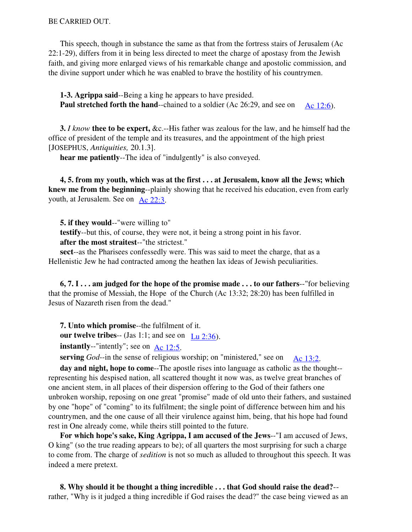#### BE CARRIED OUT.

 This speech, though in substance the same as that from the fortress stairs of Jerusalem (Ac 22:1-29), differs from it in being less directed to meet the charge of apostasy from the Jewish faith, and giving more enlarged views of his remarkable change and apostolic commission, and the divine support under which he was enabled to brave the hostility of his countrymen.

Ac 12:6). **1-3. Agrippa said**--Being a king he appears to have presided. **Paul stretched forth the hand**--chained to a soldier (Ac 26:29, and see on

 **3.** *I know* **thee to be expert,** &c.--His father was zealous for the law, and he himself had the office of president of the temple and its treasures, and the appointment of the high priest [JOSEPHUS, *Antiquities,* 20.1.3].

**hear me patiently**--The idea of "indulgently" is also conveyed.

youth, at Jerusalem. See on Ac 22:3. **4, 5. from my youth, which was at the first . . . at Jerusalem, know all the Jews; which knew me from the beginning**--plainly showing that he received his education, even from early

**5. if they would**--"were willing to"

 **testify**--but this, of course, they were not, it being a strong point in his favor. **after the most straitest**--"the strictest."

 **sect**--as the Pharisees confessedly were. This was said to meet the charge, that as a Hellenistic Jew he had contracted among the heathen lax ideas of Jewish peculiarities.

 **6, 7. I . . . am judged for the hope of the promise made . . . to our fathers**--"for believing that the promise of Messiah, the Hope of the Church (Ac 13:32; 28:20) has been fulfilled in Jesus of Nazareth risen from the dead."

**our twelve tribes**-- (Jas 1:1; and see on  $\text{Lu } 2:36$ ). **instantly**--"intently"; see on  $\overline{Ac}$  12:5. **7. Unto which promise**--the fulfilment of it. **serving** *God*--in the sense of religious worship; on "ministered," see on

 **day and night, hope to come**--The apostle rises into language as catholic as the thought- representing his despised nation, all scattered thought it now was, as twelve great branches of one ancient stem, in all places of their dispersion offering to the God of their fathers one unbroken worship, reposing on one great "promise" made of old unto their fathers, and sustained by one "hope" of "coming" to its fulfilment; the single point of difference between him and his countrymen, and the one cause of all their virulence against him, being, that his hope had found rest in One already come, while theirs still pointed to the future.

Ac 13:2.

 **For which hope's sake, King Agrippa, I am accused of the Jews**--"I am accused of Jews, O king" (so the true reading appears to be); of all quarters the most surprising for such a charge to come from. The charge of *sedition* is not so much as alluded to throughout this speech. It was indeed a mere pretext.

 **8. Why should it be thought a thing incredible . . . that God should raise the dead?**- rather, "Why is it judged a thing incredible if God raises the dead?" the case being viewed as an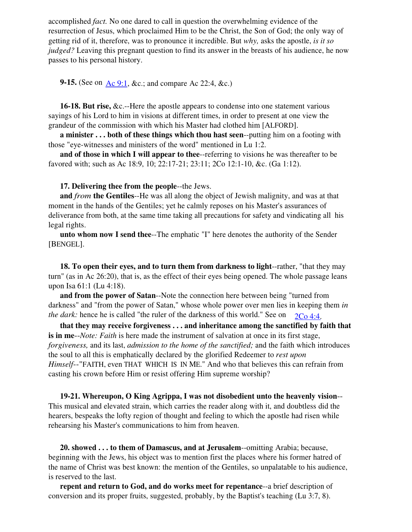accomplished *fact.* No one dared to call in question the overwhelming evidence of the resurrection of Jesus, which proclaimed Him to be the Christ, the Son of God; the only way of getting rid of it, therefore, was to pronounce it incredible. But *why,* asks the apostle, *is it so judged?* Leaving this pregnant question to find its answer in the breasts of his audience, he now passes to his personal history.

**9-15.** (See on <u>Ac 9:1</u>, &c.; and compare Ac 22:4, &c.)

 **16-18. But rise,** &c.--Here the apostle appears to condense into one statement various sayings of his Lord to him in visions at different times, in order to present at one view the grandeur of the commission with which his Master had clothed him [ALFORD].

 **a minister . . . both of these things which thou hast seen**--putting him on a footing with those "eye-witnesses and ministers of the word" mentioned in Lu 1:2.

 **and of those in which I will appear to thee**--referring to visions he was thereafter to be favored with; such as Ac 18:9, 10; 22:17-21; 23:11; 2Co 12:1-10, &c. (Ga 1:12).

**17. Delivering thee from the people**--the Jews.

 **and** *from* **the Gentiles**--He was all along the object of Jewish malignity, and was at that moment in the hands of the Gentiles; yet he calmly reposes on his Master's assurances of deliverance from both, at the same time taking all precautions for safety and vindicating all his legal rights.

 **unto whom now I send thee**--The emphatic "I" here denotes the authority of the Sender [BENGEL].

 **18. To open their eyes, and to turn them from darkness to light**--rather, "that they may turn" (as in Ac 26:20), that is, as the effect of their eyes being opened. The whole passage leans upon Isa 61:1 (Lu 4:18).

 $2C_0$  4:4. **and from the power of Satan**--Note the connection here between being "turned from darkness" and "from the power of Satan," whose whole power over men lies in keeping them *in the dark:* hence he is called "the ruler of the darkness of this world." See on

 **that they may receive forgiveness . . . and inheritance among the sanctified by faith that is in me**--*Note: Faith* is here made the instrument of salvation at once in its first stage, *forgiveness,* and its last, *admission to the home of the sanctified;* and the faith which introduces the soul to all this is emphatically declared by the glorified Redeemer to *rest upon Himself*--"FAITH, even THAT WHICH IS IN ME." And who that believes this can refrain from casting his crown before Him or resist offering Him supreme worship?

 **19-21. Whereupon, O King Agrippa, I was not disobedient unto the heavenly vision**-- This musical and elevated strain, which carries the reader along with it, and doubtless did the hearers, bespeaks the lofty region of thought and feeling to which the apostle had risen while rehearsing his Master's communications to him from heaven.

 **20. showed . . . to them of Damascus, and at Jerusalem**--omitting Arabia; because, beginning with the Jews, his object was to mention first the places where his former hatred of the name of Christ was best known: the mention of the Gentiles, so unpalatable to his audience, is reserved to the last.

 **repent and return to God, and do works meet for repentance**--a brief description of conversion and its proper fruits, suggested, probably, by the Baptist's teaching (Lu 3:7, 8).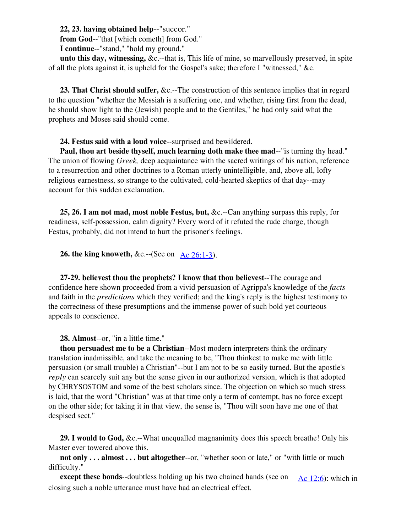**22, 23. having obtained help**--"succor."

**from God**--"that [which cometh] from God."

**I continue**--"stand," "hold my ground."

 **unto this day, witnessing,** &c.--that is, This life of mine, so marvellously preserved, in spite of all the plots against it, is upheld for the Gospel's sake; therefore I "witnessed," &c.

 **23. That Christ should suffer,** &c.--The construction of this sentence implies that in regard to the question "whether the Messiah is a suffering one, and whether, rising first from the dead, he should show light to the (Jewish) people and to the Gentiles," he had only said what the prophets and Moses said should come.

**24. Festus said with a loud voice**--surprised and bewildered.

 **Paul, thou art beside thyself, much learning doth make thee mad**--"is turning thy head." The union of flowing *Greek,* deep acquaintance with the sacred writings of his nation, reference to a resurrection and other doctrines to a Roman utterly unintelligible, and, above all, lofty religious earnestness, so strange to the cultivated, cold-hearted skeptics of that day--may account for this sudden exclamation.

 **25, 26. I am not mad, most noble Festus, but,** &c.--Can anything surpass this reply, for readiness, self-possession, calm dignity? Every word of it refuted the rude charge, though Festus, probably, did not intend to hurt the prisoner's feelings.

**26. the king knoweth,** &c.--(See on  $\underline{Ac 26:1-3}$ ).

 **27-29. believest thou the prophets? I know that thou believest**--The courage and confidence here shown proceeded from a vivid persuasion of Agrippa's knowledge of the *facts* and faith in the *predictions* which they verified; and the king's reply is the highest testimony to the correctness of these presumptions and the immense power of such bold yet courteous appeals to conscience.

**28. Almost**--or, "in a little time."

 **thou persuadest me to be a Christian**--Most modern interpreters think the ordinary translation inadmissible, and take the meaning to be, "Thou thinkest to make me with little persuasion (or small trouble) a Christian"--but I am not to be so easily turned. But the apostle's *reply* can scarcely suit any but the sense given in our authorized version, which is that adopted by CHRYSOSTOM and some of the best scholars since. The objection on which so much stress is laid, that the word "Christian" was at that time only a term of contempt, has no force except on the other side; for taking it in that view, the sense is, "Thou wilt soon have me one of that despised sect."

 **29. I would to God,** &c.--What unequalled magnanimity does this speech breathe! Only his Master ever towered above this.

 **not only . . . almost . . . but altogether**--or, "whether soon or late," or "with little or much difficulty."

Ac  $12:6$ : which in **except these bonds**--doubtless holding up his two chained hands (see on closing such a noble utterance must have had an electrical effect.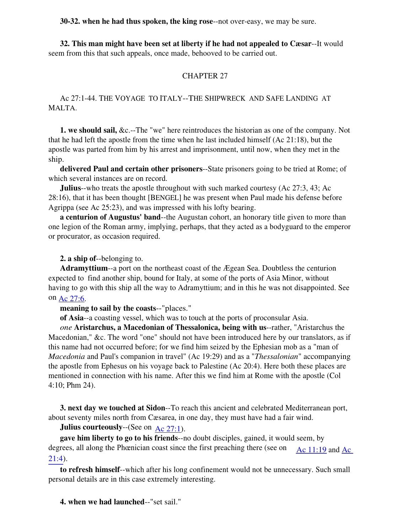**30-32. when he had thus spoken, the king rose**--not over-easy, we may be sure.

 **32. This man might have been set at liberty if he had not appealed to Cæsar**--It would seem from this that such appeals, once made, behooved to be carried out.

#### CHAPTER 27

# Ac 27:1-44. THE VOYAGE TO ITALY--THE SHIPWRECK AND SAFE LANDING AT MALTA.

 **1. we should sail,** &c.--The "we" here reintroduces the historian as one of the company. Not that he had left the apostle from the time when he last included himself (Ac 21:18), but the apostle was parted from him by his arrest and imprisonment, until now, when they met in the ship.

 **delivered Paul and certain other prisoners**--State prisoners going to be tried at Rome; of which several instances are on record.

 **Julius**--who treats the apostle throughout with such marked courtesy (Ac 27:3, 43; Ac 28:16), that it has been thought [BENGEL] he was present when Paul made his defense before Agrippa (see Ac 25:23), and was impressed with his lofty bearing.

 **a centurion of Augustus' band**--the Augustan cohort, an honorary title given to more than one legion of the Roman army, implying, perhaps, that they acted as a bodyguard to the emperor or procurator, as occasion required.

**2. a ship of**--belonging to.

on <u>Ac 27:6</u>. **Adramyttium**--a port on the northeast coast of the Ægean Sea. Doubtless the centurion expected to find another ship, bound for Italy, at some of the ports of Asia Minor, without having to go with this ship all the way to Adramyttium; and in this he was not disappointed. See

**meaning to sail by the coasts**--"places."

**of Asia**--a coasting vessel, which was to touch at the ports of proconsular Asia.

 *one* **Aristarchus, a Macedonian of Thessalonica, being with us**--rather, "Aristarchus the Macedonian," &c. The word "one" should not have been introduced here by our translators, as if this name had not occurred before; for we find him seized by the Ephesian mob as a "man of *Macedonia* and Paul's companion in travel" (Ac 19:29) and as a "*Thessalonian*" accompanying the apostle from Ephesus on his voyage back to Palestine (Ac 20:4). Here both these places are mentioned in connection with his name. After this we find him at Rome with the apostle (Col 4:10; Phm 24).

 **3. next day we touched at Sidon**--To reach this ancient and celebrated Mediterranean port, about seventy miles north from Cæsarea, in one day, they must have had a fair wind.

**Julius courteously**--(See on <u>Ac 27:1</u>).

degrees, all along the Phœnician coast since the first preaching there (see on  $Ac$  11:19 and  $Ac$  **gave him liberty to go to his friends**--no doubt disciples, gained, it would seem, by 21:4).

 **to refresh himself**--which after his long confinement would not be unnecessary. Such small personal details are in this case extremely interesting.

**4. when we had launched**--"set sail."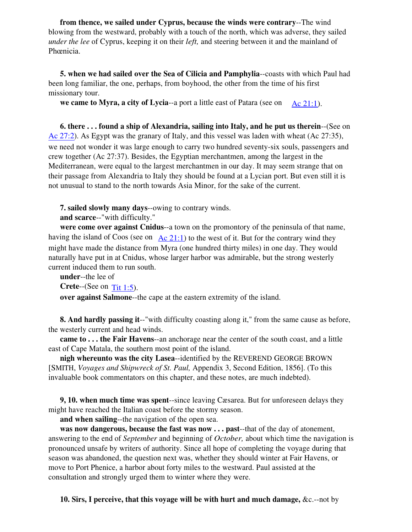**from thence, we sailed under Cyprus, because the winds were contrary**--The wind blowing from the westward, probably with a touch of the north, which was adverse, they sailed *under the lee* of Cyprus, keeping it on their *left,* and steering between it and the mainland of Phœnicia.

 **5. when we had sailed over the Sea of Cilicia and Pamphylia**--coasts with which Paul had been long familiar, the one, perhaps, from boyhood, the other from the time of his first missionary tour.

Ac  $21:1$ ). **we came to Myra, a city of Lycia**--a port a little east of Patara (see on

 **6. there . . . found a ship of Alexandria, sailing into Italy, and he put us therein**--(See on Ac 27:2). As Egypt was the granary of Italy, and this vessel was laden with wheat (Ac 27:35), we need not wonder it was large enough to carry two hundred seventy-six souls, passengers and crew together (Ac 27:37). Besides, the Egyptian merchantmen, among the largest in the Mediterranean, were equal to the largest merchantmen in our day. It may seem strange that on their passage from Alexandria to Italy they should be found at a Lycian port. But even still it is not unusual to stand to the north towards Asia Minor, for the sake of the current.

**7. sailed slowly many days**--owing to contrary winds.

**and scarce**--"with difficulty."

having the island of Coos (see on  $\underline{Ac 21:1}$ ) to the west of it. But for the contrary wind they **were come over against Cnidus**--a town on the promontory of the peninsula of that name, might have made the distance from Myra (one hundred thirty miles) in one day. They would naturally have put in at Cnidus, whose larger harbor was admirable, but the strong westerly current induced them to run south.

**Crete--(See on**  $\overline{\text{Tit 1:5}}$ **). under**--the lee of **over against Salmone**--the cape at the eastern extremity of the island.

 **8. And hardly passing it**--"with difficulty coasting along it," from the same cause as before, the westerly current and head winds.

 **came to . . . the Fair Havens**--an anchorage near the center of the south coast, and a little east of Cape Matala, the southern most point of the island.

 **nigh whereunto was the city Lasea**--identified by the REVEREND GEORGE BROWN [SMITH, *Voyages and Shipwreck of St. Paul,* Appendix 3, Second Edition, 1856]. (To this invaluable book commentators on this chapter, and these notes, are much indebted).

 **9, 10. when much time was spent**--since leaving Cæsarea. But for unforeseen delays they might have reached the Italian coast before the stormy season.

**and when sailing**--the navigation of the open sea.

 **was now dangerous, because the fast was now . . . past**--that of the day of atonement, answering to the end of *September* and beginning of *October,* about which time the navigation is pronounced unsafe by writers of authority. Since all hope of completing the voyage during that season was abandoned, the question next was, whether they should winter at Fair Havens, or move to Port Phenice, a harbor about forty miles to the westward. Paul assisted at the consultation and strongly urged them to winter where they were.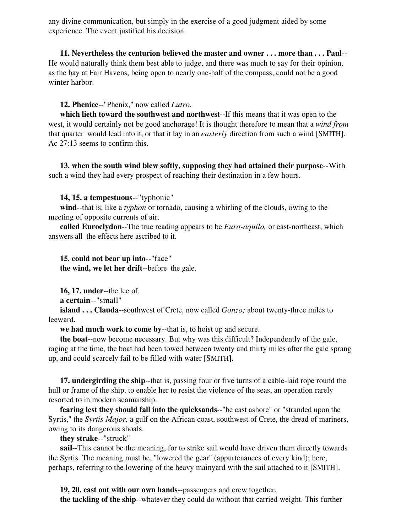any divine communication, but simply in the exercise of a good judgment aided by some experience. The event justified his decision.

 **11. Nevertheless the centurion believed the master and owner . . . more than . . . Paul**-- He would naturally think them best able to judge, and there was much to say for their opinion, as the bay at Fair Havens, being open to nearly one-half of the compass, could not be a good winter harbor.

#### **12. Phenice**--"Phenix," now called *Lutro.*

 **which lieth toward the southwest and northwest**--If this means that it was open to the west, it would certainly not be good anchorage! It is thought therefore to mean that a *wind from* that quarter would lead into it, or that it lay in an *easterly* direction from such a wind [SMITH]. Ac 27:13 seems to confirm this.

 **13. when the south wind blew softly, supposing they had attained their purpose**--With such a wind they had every prospect of reaching their destination in a few hours.

#### **14, 15. a tempestuous**--"typhonic"

 **wind**--that is, like a *typhon* or tornado, causing a whirling of the clouds, owing to the meeting of opposite currents of air.

 **called Euroclydon**--The true reading appears to be *Euro-aquilo,* or east-northeast, which answers all the effects here ascribed to it.

 **15. could not bear up into**--"face" **the wind, we let her drift**--before the gale.

**16, 17. under**--the lee of.

**a certain**--"small"

 **island . . . Clauda**--southwest of Crete, now called *Gonzo;* about twenty-three miles to leeward.

**we had much work to come by**--that is, to hoist up and secure.

 **the boat**--now become necessary. But why was this difficult? Independently of the gale, raging at the time, the boat had been towed between twenty and thirty miles after the gale sprang up, and could scarcely fail to be filled with water [SMITH].

 **17. undergirding the ship**--that is, passing four or five turns of a cable-laid rope round the hull or frame of the ship, to enable her to resist the violence of the seas, an operation rarely resorted to in modern seamanship.

 **fearing lest they should fall into the quicksands**--"be cast ashore" or "stranded upon the Syrtis," the *Syrtis Major,* a gulf on the African coast, southwest of Crete, the dread of mariners, owing to its dangerous shoals.

**they strake**--"struck"

**sail**--This cannot be the meaning, for to strike sail would have driven them directly towards the Syrtis. The meaning must be, "lowered the gear" (appurtenances of every kind); here, perhaps, referring to the lowering of the heavy mainyard with the sail attached to it [SMITH].

 **19, 20. cast out with our own hands**--passengers and crew together. **the tackling of the ship**--whatever they could do without that carried weight. This further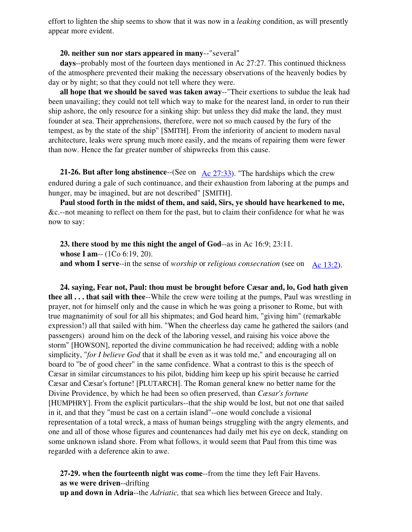effort to lighten the ship seems to show that it was now in a *leaking* condition, as will presently appear more evident.

#### **20. neither sun nor stars appeared in many**--"several"

 **days**--probably most of the fourteen days mentioned in Ac 27:27. This continued thickness of the atmosphere prevented their making the necessary observations of the heavenly bodies by day or by night; so that they could not tell where they were.

 **all hope that we should be saved was taken away**--"Their exertions to subdue the leak had been unavailing; they could not tell which way to make for the nearest land, in order to run their ship ashore, the only resource for a sinking ship: but unless they did make the land, they must founder at sea. Their apprehensions, therefore, were not so much caused by the fury of the tempest, as by the state of the ship" [SMITH]. From the inferiority of ancient to modern naval architecture, leaks were sprung much more easily, and the means of repairing them were fewer than now. Hence the far greater number of shipwrecks from this cause.

**21-26. But after long abstinence**--(See on  $\underline{Ac 27:33}$ ). "The hardships which the crew endured during a gale of such continuance, and their exhaustion from laboring at the pumps and hunger, may be imagined, but are not described" [SMITH].

 **Paul stood forth in the midst of them, and said, Sirs, ye should have hearkened to me,** &c.--not meaning to reflect on them for the past, but to claim their confidence for what he was now to say:

**and whom I serve**--in the sense of *worship* or *religious consecration* (see on  $\underline{Ac 13:2}$ ). **23. there stood by me this night the angel of God**--as in Ac 16:9; 23:11. **whose I am**-- (1Co 6:19, 20).

 **24. saying, Fear not, Paul: thou must be brought before Cæsar and, lo, God hath given thee all . . . that sail with thee**--While the crew were toiling at the pumps, Paul was wrestling in prayer, not for himself only and the cause in which he was going a prisoner to Rome, but with true magnanimity of soul for all his shipmates; and God heard him, "giving him" (remarkable expression!) all that sailed with him. "When the cheerless day came he gathered the sailors (and passengers) around him on the deck of the laboring vessel, and raising his voice above the storm" [HOWSON], reported the divine communication he had received; adding with a noble simplicity, "*for I believe God* that it shall be even as it was told me," and encouraging all on board to "be of good cheer" in the same confidence. What a contrast to this is the speech of Cæsar in similar circumstances to his pilot, bidding him keep up his spirit because he carried Cæsar and Cæsar's fortune! [PLUTARCH]. The Roman general knew no better name for the Divine Providence, by which he had been so often preserved, than *Cæsar's fortune* [HUMPHRY]. From the explicit particulars--that the ship would be lost, but not one that sailed in it, and that they "must be cast on a certain island"--one would conclude a visional representation of a total wreck, a mass of human beings struggling with the angry elements, and one and all of those whose figures and countenances had daily met his eye on deck, standing on some unknown island shore. From what follows, it would seem that Paul from this time was regarded with a deference akin to awe.

 **27-29. when the fourteenth night was come**--from the time they left Fair Havens. **as we were driven**--drifting

**up and down in Adria**--the *Adriatic,* that sea which lies between Greece and Italy.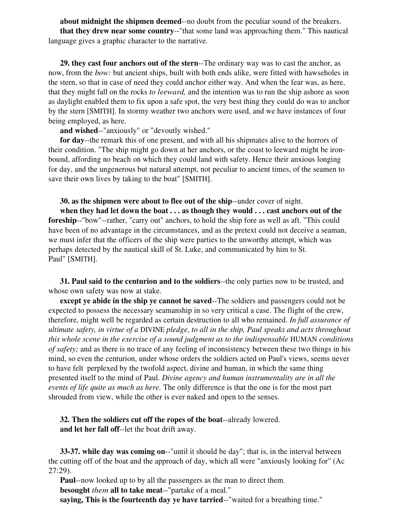**about midnight the shipmen deemed**--no doubt from the peculiar sound of the breakers. **that they drew near some country**--"that some land was approaching them." This nautical language gives a graphic character to the narrative.

 **29. they cast four anchors out of the stern**--The ordinary way was to cast the anchor, as now, from the *bow:* but ancient ships, built with both ends alike, were fitted with hawseholes in the stern, so that in case of need they could anchor either way. And when the fear was, as here, that they might fall on the rocks *to leeward,* and the intention was to run the ship ashore as soon as daylight enabled them to fix upon a safe spot, the very best thing they could do was to anchor by the stern [SMITH]. In stormy weather two anchors were used, and we have instances of four being employed, as here.

**and wished**--"anxiously" or "devoutly wished."

 **for day**--the remark this of one present, and with all his shipmates alive to the horrors of their condition. "The ship might go down at her anchors, or the coast to leeward might be ironbound, affording no beach on which they could land with safety. Hence their anxious longing for day, and the ungenerous but natural attempt, not peculiar to ancient times, of the seamen to save their own lives by taking to the boat" [SMITH].

**30. as the shipmen were about to flee out of the ship**--under cover of night.

 **when they had let down the boat . . . as though they would . . . cast anchors out of the foreship**--"bow"--rather, "carry out" anchors, to hold the ship fore as well as aft. "This could have been of no advantage in the circumstances, and as the pretext could not deceive a seaman, we must infer that the officers of the ship were parties to the unworthy attempt, which was perhaps detected by the nautical skill of St. Luke, and communicated by him to St. Paul" [SMITH].

 **31. Paul said to the centurion and to the soldiers**--the only parties now to be trusted, and whose own safety was now at stake.

 **except ye abide in the ship ye cannot be saved**--The soldiers and passengers could not be expected to possess the necessary seamanship in so very critical a case. The flight of the crew, therefore, might well be regarded as certain destruction to all who remained. *In full assurance of ultimate safety, in virtue of a* DIVINE *pledge, to all in the ship, Paul speaks and acts throughout this whole scene in the exercise of a sound judgment as to the indispensable* HUMAN *conditions of safety;* and as there is no trace of any feeling of inconsistency between these two things in his mind, so even the centurion, under whose orders the soldiers acted on Paul's views, seems never to have felt perplexed by the twofold aspect, divine and human, in which the same thing presented itself to the mind of Paul. *Divine agency and human instrumentality are in all the events of life quite as much as here.* The only difference is that the one is for the most part shrouded from view, while the other is ever naked and open to the senses.

# **32. Then the soldiers cut off the ropes of the boat**--already lowered. **and let her fall off**--let the boat drift away.

 **33-37. while day was coming on**--"until it should be day"; that is, in the interval between the cutting off of the boat and the approach of day, which all were "anxiously looking for" (Ac 27:29).

 **Paul**--now looked up to by all the passengers as the man to direct them. **besought** *them* **all to take meat**--"partake of a meal." **saying, This is the fourteenth day ye have tarried**--"waited for a breathing time."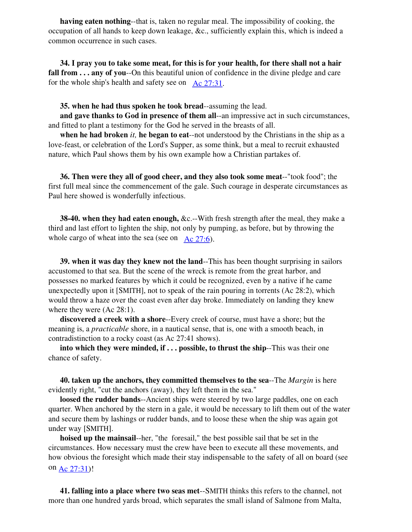**having eaten nothing**--that is, taken no regular meal. The impossibility of cooking, the occupation of all hands to keep down leakage, &c., sufficiently explain this, which is indeed a common occurrence in such cases.

for the whole ship's health and safety see on  $\text{Ac } 27:31$ . **34. I pray you to take some meat, for this is for your health, for there shall not a hair fall from . . . any of you**--On this beautiful union of confidence in the divine pledge and care

**35. when he had thus spoken he took bread**--assuming the lead.

 **and gave thanks to God in presence of them all**--an impressive act in such circumstances, and fitted to plant a testimony for the God he served in the breasts of all.

 **when he had broken** *it,* **he began to eat**--not understood by the Christians in the ship as a love-feast, or celebration of the Lord's Supper, as some think, but a meal to recruit exhausted nature, which Paul shows them by his own example how a Christian partakes of.

 **36. Then were they all of good cheer, and they also took some meat**--"took food"; the first full meal since the commencement of the gale. Such courage in desperate circumstances as Paul here showed is wonderfully infectious.

whole cargo of wheat into the sea (see on  $\overline{AC}$  27:6). **38-40. when they had eaten enough,** &c.--With fresh strength after the meal, they make a third and last effort to lighten the ship, not only by pumping, as before, but by throwing the

 **39. when it was day they knew not the land**--This has been thought surprising in sailors accustomed to that sea. But the scene of the wreck is remote from the great harbor, and possesses no marked features by which it could be recognized, even by a native if he came unexpectedly upon it [SMITH], not to speak of the rain pouring in torrents (Ac 28:2), which would throw a haze over the coast even after day broke. Immediately on landing they knew where they were (Ac 28:1).

 **discovered a creek with a shore**--Every creek of course, must have a shore; but the meaning is, a *practicable* shore, in a nautical sense, that is, one with a smooth beach, in contradistinction to a rocky coast (as Ac 27:41 shows).

 **into which they were minded, if . . . possible, to thrust the ship**--This was their one chance of safety.

 **40. taken up the anchors, they committed themselves to the sea**--The *Margin* is here evidently right, "cut the anchors (away), they left them in the sea."

 **loosed the rudder bands**--Ancient ships were steered by two large paddles, one on each quarter. When anchored by the stern in a gale, it would be necessary to lift them out of the water and secure them by lashings or rudder bands, and to loose these when the ship was again got under way [SMITH].

on <u>Ac 27:31</u>)! **hoised up the mainsail**--her, "the foresail," the best possible sail that be set in the circumstances. How necessary must the crew have been to execute all these movements, and how obvious the foresight which made their stay indispensable to the safety of all on board (see

 **41. falling into a place where two seas met**--SMITH thinks this refers to the channel, not more than one hundred yards broad, which separates the small island of Salmone from Malta,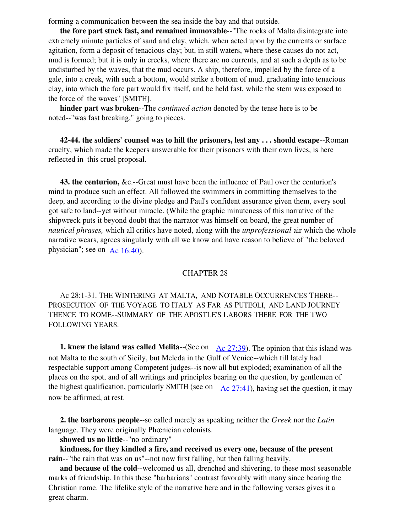forming a communication between the sea inside the bay and that outside.

 **the fore part stuck fast, and remained immovable**--"The rocks of Malta disintegrate into extremely minute particles of sand and clay, which, when acted upon by the currents or surface agitation, form a deposit of tenacious clay; but, in still waters, where these causes do not act, mud is formed; but it is only in creeks, where there are no currents, and at such a depth as to be undisturbed by the waves, that the mud occurs. A ship, therefore, impelled by the force of a gale, into a creek, with such a bottom, would strike a bottom of mud, graduating into tenacious clay, into which the fore part would fix itself, and be held fast, while the stern was exposed to the force of the waves" [SMITH].

 **hinder part was broken**--The *continued action* denoted by the tense here is to be noted--"was fast breaking," going to pieces.

 **42-44. the soldiers' counsel was to hill the prisoners, lest any . . . should escape**--Roman cruelty, which made the keepers answerable for their prisoners with their own lives, is here reflected in this cruel proposal.

physician"; see on  $\overline{Ac 16:40}$ . **43. the centurion,** &c.--Great must have been the influence of Paul over the centurion's mind to produce such an effect. All followed the swimmers in committing themselves to the deep, and according to the divine pledge and Paul's confident assurance given them, every soul got safe to land--yet without miracle. (While the graphic minuteness of this narrative of the shipwreck puts it beyond doubt that the narrator was himself on board, the great number of *nautical phrases,* which all critics have noted, along with the *unprofessional* air which the whole narrative wears, agrees singularly with all we know and have reason to believe of "the beloved

### CHAPTER 28

 Ac 28:1-31. THE WINTERING AT MALTA, AND NOTABLE OCCURRENCES THERE-- PROSECUTION OF THE VOYAGE TO ITALY AS FAR AS PUTEOLI, AND LAND JOURNEY THENCE TO ROME--SUMMARY OF THE APOSTLE'S LABORS THERE FOR THE TWO FOLLOWING YEARS.

**1. knew the island was called Melita--(See on**  $\underline{Ac}$   $27:39$ ). The opinion that this island was the highest qualification, particularly SMITH (see on  $\Delta c$  27:41), having set the question, it may not Malta to the south of Sicily, but Meleda in the Gulf of Venice--which till lately had respectable support among Competent judges--is now all but exploded; examination of all the places on the spot, and of all writings and principles bearing on the question, by gentlemen of now be affirmed, at rest.

 **2. the barbarous people**--so called merely as speaking neither the *Greek* nor the *Latin* language. They were originally Phœnician colonists.

**showed us no little**--"no ordinary"

 **kindness, for they kindled a fire, and received us every one, because of the present rain**--"the rain that was on us"--not now first falling, but then falling heavily.

 **and because of the cold**--welcomed us all, drenched and shivering, to these most seasonable marks of friendship. In this these "barbarians" contrast favorably with many since bearing the Christian name. The lifelike style of the narrative here and in the following verses gives it a great charm.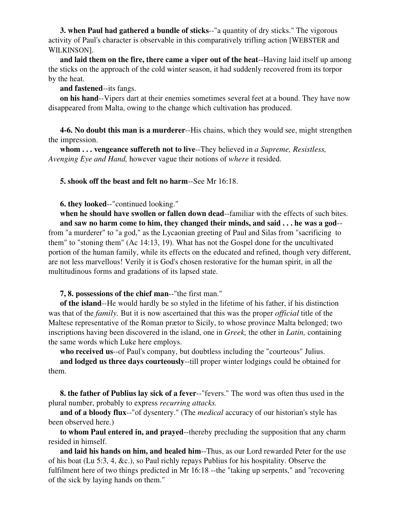**3. when Paul had gathered a bundle of sticks**--"a quantity of dry sticks." The vigorous activity of Paul's character is observable in this comparatively trifling action [WEBSTER and WILKINSON].

 **and laid them on the fire, there came a viper out of the heat**--Having laid itself up among the sticks on the approach of the cold winter season, it had suddenly recovered from its torpor by the heat.

**and fastened**--its fangs.

 **on his hand**--Vipers dart at their enemies sometimes several feet at a bound. They have now disappeared from Malta, owing to the change which cultivation has produced.

 **4-6. No doubt this man is a murderer**--His chains, which they would see, might strengthen the impression.

 **whom . . . vengeance suffereth not to live**--They believed in *a Supreme, Resistless, Avenging Eye and Hand,* however vague their notions of *where* it resided.

**5. shook off the beast and felt no harm**--See Mr 16:18.

**6. they looked**--"continued looking."

 **when he should have swollen or fallen down dead**--familiar with the effects of such bites. **and saw no harm come to him, they changed their minds, and said . . . he was a god**- from "a murderer" to "a god," as the Lycaonian greeting of Paul and Silas from "sacrificing to them" to "stoning them" (Ac 14:13, 19). What has not the Gospel done for the uncultivated portion of the human family, while its effects on the educated and refined, though very different, are not less marvellous! Verily it is God's chosen restorative for the human spirit, in all the multitudinous forms and gradations of its lapsed state.

**7, 8. possessions of the chief man**--"the first man."

 **of the island**--He would hardly be so styled in the lifetime of his father, if his distinction was that of the *family.* But it is now ascertained that this was the proper *official* title of the Maltese representative of the Roman prætor to Sicily, to whose province Malta belonged; two inscriptions having been discovered in the island, one in *Greek,* the other in *Latin,* containing the same words which Luke here employs.

 **who received us**--of Paul's company, but doubtless including the "courteous" Julius. **and lodged us three days courteously**--till proper winter lodgings could be obtained for them.

 **8. the father of Publius lay sick of a fever**--"fevers." The word was often thus used in the plural number, probably to express *recurring attacks.*

 **and of a bloody flux**--"of dysentery." (The *medical* accuracy of our historian's style has been observed here.)

 **to whom Paul entered in, and prayed**--thereby precluding the supposition that any charm resided in himself.

 **and laid his hands on him, and healed him**--Thus, as our Lord rewarded Peter for the use of his boat (Lu 5:3, 4, &c.), so Paul richly repays Publius for his hospitality. Observe the fulfilment here of two things predicted in Mr 16:18 --the "taking up serpents," and "recovering of the sick by laying hands on them."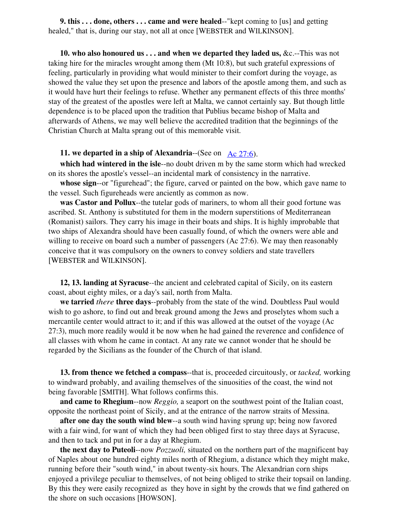**9. this ... done, others ... came and were healed--**"kept coming to [us] and getting healed," that is, during our stay, not all at once [WEBSTER and WILKINSON].

 **10. who also honoured us . . . and when we departed they laded us,** &c.--This was not taking hire for the miracles wrought among them (Mt 10:8), but such grateful expressions of feeling, particularly in providing what would minister to their comfort during the voyage, as showed the value they set upon the presence and labors of the apostle among them, and such as it would have hurt their feelings to refuse. Whether any permanent effects of this three months' stay of the greatest of the apostles were left at Malta, we cannot certainly say. But though little dependence is to be placed upon the tradition that Publius became bishop of Malta and afterwards of Athens, we may well believe the accredited tradition that the beginnings of the Christian Church at Malta sprang out of this memorable visit.

# **11. we departed in a ship of Alexandria**--(See on **Ac 27:6**).

 **which had wintered in the isle**--no doubt driven m by the same storm which had wrecked on its shores the apostle's vessel--an incidental mark of consistency in the narrative.

 **whose sign**--or "figurehead"; the figure, carved or painted on the bow, which gave name to the vessel. Such figureheads were anciently as common as now.

 **was Castor and Pollux**--the tutelar gods of mariners, to whom all their good fortune was ascribed. St. Anthony is substituted for them in the modern superstitions of Mediterranean (Romanist) sailors. They carry his image in their boats and ships. It is highly improbable that two ships of Alexandra should have been casually found, of which the owners were able and willing to receive on board such a number of passengers (Ac 27:6). We may then reasonably conceive that it was compulsory on the owners to convey soldiers and state travellers [WEBSTER and WILKINSON].

 **12, 13. landing at Syracuse**--the ancient and celebrated capital of Sicily, on its eastern coast, about eighty miles, or a day's sail, north from Malta.

 **we tarried** *there* **three days**--probably from the state of the wind. Doubtless Paul would wish to go ashore, to find out and break ground among the Jews and proselytes whom such a mercantile center would attract to it; and if this was allowed at the outset of the voyage (Ac 27:3), much more readily would it be now when he had gained the reverence and confidence of all classes with whom he came in contact. At any rate we cannot wonder that he should be regarded by the Sicilians as the founder of the Church of that island.

 **13. from thence we fetched a compass**--that is, proceeded circuitously, or *tacked,* working to windward probably, and availing themselves of the sinuosities of the coast, the wind not being favorable [SMITH]. What follows confirms this.

 **and came to Rhegium**--now *Reggio,* a seaport on the southwest point of the Italian coast, opposite the northeast point of Sicily, and at the entrance of the narrow straits of Messina.

 **after one day the south wind blew**--a south wind having sprung up; being now favored with a fair wind, for want of which they had been obliged first to stay three days at Syracuse, and then to tack and put in for a day at Rhegium.

 **the next day to Puteoli**--now *Pozzuoli,* situated on the northern part of the magnificent bay of Naples about one hundred eighty miles north of Rhegium, a distance which they might make, running before their "south wind," in about twenty-six hours. The Alexandrian corn ships enjoyed a privilege peculiar to themselves, of not being obliged to strike their topsail on landing. By this they were easily recognized as they hove in sight by the crowds that we find gathered on the shore on such occasions [HOWSON].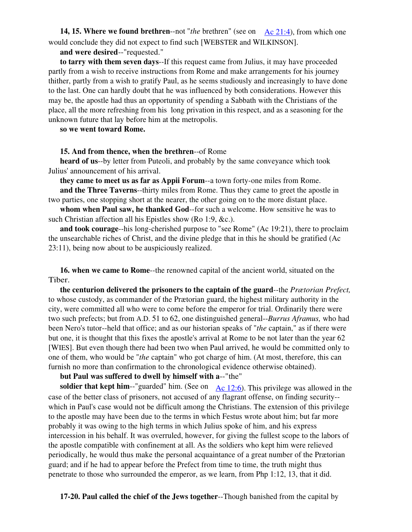**14, 15. Where we found brethren**--not "*the* brethren" (see on  $\underline{Ac 21:4}$ ), from which one would conclude they did not expect to find such [WEBSTER and WILKINSON].

**and were desired**--"requested."

 **to tarry with them seven days**--If this request came from Julius, it may have proceeded partly from a wish to receive instructions from Rome and make arrangements for his journey thither, partly from a wish to gratify Paul, as he seems studiously and increasingly to have done to the last. One can hardly doubt that he was influenced by both considerations. However this may be, the apostle had thus an opportunity of spending a Sabbath with the Christians of the place, all the more refreshing from his long privation in this respect, and as a seasoning for the unknown future that lay before him at the metropolis.

**so we went toward Rome.**

#### **15. And from thence, when the brethren**--of Rome

 **heard of us**--by letter from Puteoli, and probably by the same conveyance which took Julius' announcement of his arrival.

**they came to meet us as far as Appii Forum**--a town forty-one miles from Rome.

 **and the Three Taverns**--thirty miles from Rome. Thus they came to greet the apostle in two parties, one stopping short at the nearer, the other going on to the more distant place.

 **whom when Paul saw, he thanked God**--for such a welcome. How sensitive he was to such Christian affection all his Epistles show (Ro 1:9, &c.).

 **and took courage**--his long-cherished purpose to "see Rome" (Ac 19:21), there to proclaim the unsearchable riches of Christ, and the divine pledge that in this he should be gratified (Ac 23:11), being now about to be auspiciously realized.

 **16. when we came to Rome**--the renowned capital of the ancient world, situated on the Tiber.

 **the centurion delivered the prisoners to the captain of the guard**--the *Prætorian Prefect,* to whose custody, as commander of the Prætorian guard, the highest military authority in the city, were committed all who were to come before the emperor for trial. Ordinarily there were two such prefects; but from A.D. 51 to 62, one distinguished general--*Burrus Aframus,* who had been Nero's tutor--held that office; and as our historian speaks of "*the* captain," as if there were but one, it is thought that this fixes the apostle's arrival at Rome to be not later than the year 62 [WIES]. But even though there had been two when Paul arrived, he would be committed only to one of them, who would be "*the* captain" who got charge of him. (At most, therefore, this can furnish no more than confirmation to the chronological evidence otherwise obtained).

# **but Paul was suffered to dwell by himself with a**--"the"

**soldier that kept him-**-"guarded" him. (See on  $\overline{Ac}$  12:6). This privilege was allowed in the case of the better class of prisoners, not accused of any flagrant offense, on finding security- which in Paul's case would not be difficult among the Christians. The extension of this privilege to the apostle may have been due to the terms in which Festus wrote about him; but far more probably it was owing to the high terms in which Julius spoke of him, and his express intercession in his behalf. It was overruled, however, for giving the fullest scope to the labors of the apostle compatible with confinement at all. As the soldiers who kept him were relieved periodically, he would thus make the personal acquaintance of a great number of the Prætorian guard; and if he had to appear before the Prefect from time to time, the truth might thus penetrate to those who surrounded the emperor, as we learn, from Php 1:12, 13, that it did.

**17-20. Paul called the chief of the Jews together**--Though banished from the capital by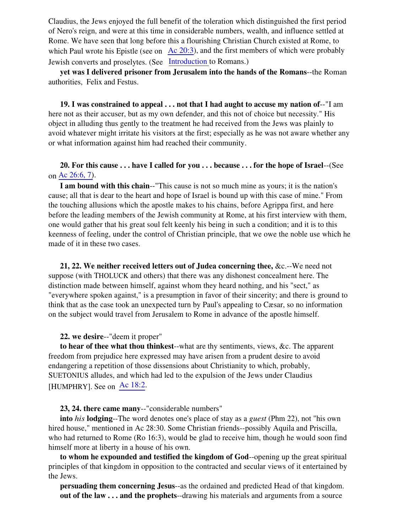Jewish converts and proselytes. (See Introduction to Romans.) which Paul wrote his Epistle (see on  $\Delta c$  20:3), and the first members of which were probably Claudius, the Jews enjoyed the full benefit of the toleration which distinguished the first period of Nero's reign, and were at this time in considerable numbers, wealth, and influence settled at Rome. We have seen that long before this a flourishing Christian Church existed at Rome, to

 **yet was I delivered prisoner from Jerusalem into the hands of the Romans**--the Roman authorities, Felix and Festus.

 **19. I was constrained to appeal . . . not that I had aught to accuse my nation of**--"I am here not as their accuser, but as my own defender, and this not of choice but necessity." His object in alluding thus gently to the treatment he had received from the Jews was plainly to avoid whatever might irritate his visitors at the first; especially as he was not aware whether any or what information against him had reached their community.

# on Ac 26:6, 7). **20. For this cause . . . have I called for you . . . because . . . for the hope of Israel**--(See

 **I am bound with this chain**--"This cause is not so much mine as yours; it is the nation's cause; all that is dear to the heart and hope of Israel is bound up with this case of mine." From the touching allusions which the apostle makes to his chains, before Agrippa first, and here before the leading members of the Jewish community at Rome, at his first interview with them, one would gather that his great soul felt keenly his being in such a condition; and it is to this keenness of feeling, under the control of Christian principle, that we owe the noble use which he made of it in these two cases.

 **21, 22. We neither received letters out of Judea concerning thee,** &c.--We need not suppose (with THOLUCK and others) that there was any dishonest concealment here. The distinction made between himself, against whom they heard nothing, and his "sect," as "everywhere spoken against," is a presumption in favor of their sincerity; and there is ground to think that as the case took an unexpected turn by Paul's appealing to Cæsar, so no information on the subject would travel from Jerusalem to Rome in advance of the apostle himself.

## **22. we desire**--"deem it proper"

[HUMPHRY]. See on  $\frac{\text{Ac }18:2.}{\text{Ac }18:2.}$  **to hear of thee what thou thinkest**--what are thy sentiments, views, &c. The apparent freedom from prejudice here expressed may have arisen from a prudent desire to avoid endangering a repetition of those dissensions about Christianity to which, probably, SUETONIUS alludes, and which had led to the expulsion of the Jews under Claudius

### **23, 24. there came many**--"considerable numbers"

 **into** *his* **lodging**--The word denotes one's place of stay as a *guest* (Phm 22), not "his own hired house," mentioned in Ac 28:30. Some Christian friends--possibly Aquila and Priscilla, who had returned to Rome (Ro 16:3), would be glad to receive him, though he would soon find himself more at liberty in a house of his own.

 **to whom he expounded and testified the kingdom of God**--opening up the great spiritual principles of that kingdom in opposition to the contracted and secular views of it entertained by the Jews.

 **persuading them concerning Jesus**--as the ordained and predicted Head of that kingdom. **out of the law . . . and the prophets**--drawing his materials and arguments from a source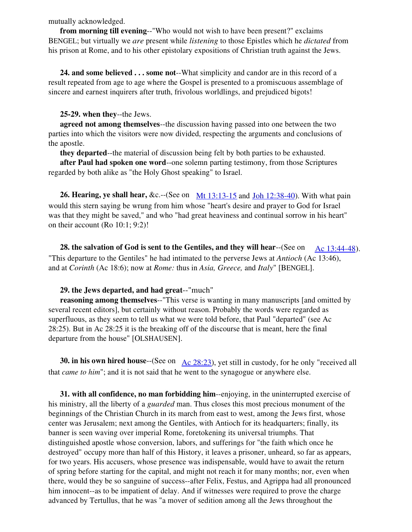mutually acknowledged.

**from morning till evening--"Who would not wish to have been present?" exclaims** BENGEL; but virtually we *are* present while *listening* to those Epistles which he *dictated* from his prison at Rome, and to his other epistolary expositions of Christian truth against the Jews.

 **24. and some believed . . . some not**--What simplicity and candor are in this record of a result repeated from age to age where the Gospel is presented to a promiscuous assemblage of sincere and earnest inquirers after truth, frivolous worldlings, and prejudiced bigots!

### **25-29. when they**--the Jews.

 **agreed not among themselves**--the discussion having passed into one between the two parties into which the visitors were now divided, respecting the arguments and conclusions of the apostle.

**they departed**--the material of discussion being felt by both parties to be exhausted.

 **after Paul had spoken one word**--one solemn parting testimony, from those Scriptures regarded by both alike as "the Holy Ghost speaking" to Israel.

**26. Hearing, ye shall hear,** &c. --(See on **Mt 13:13-15** and **Joh 12:38-40**). With what pain would this stern saying be wrung from him whose "heart's desire and prayer to God for Israel was that they might be saved," and who "had great heaviness and continual sorrow in his heart" on their account (Ro 10:1; 9:2)!

Ac 13:44-48). **28. the salvation of God is sent to the Gentiles, and they will hear**--(See on "This departure to the Gentiles" he had intimated to the perverse Jews at *Antioch* (Ac 13:46), and at *Corinth* (Ac 18:6); now at *Rome:* thus in *Asia, Greece,* and *Italy*" [BENGEL].

## **29. the Jews departed, and had great**--"much"

 **reasoning among themselves**--"This verse is wanting in many manuscripts [and omitted by several recent editors], but certainly without reason. Probably the words were regarded as superfluous, as they seem to tell us what we were told before, that Paul "departed" (see Ac 28:25). But in Ac 28:25 it is the breaking off of the discourse that is meant, here the final departure from the house" [OLSHAUSEN].

**30. in his own hired house--**(See on  $\underline{Ac}$  28:23), yet still in custody, for he only "received all that *came to him*"; and it is not said that he went to the synagogue or anywhere else.

 **31. with all confidence, no man forbidding him**--enjoying, in the uninterrupted exercise of his ministry, all the liberty of a *guarded* man. Thus closes this most precious monument of the beginnings of the Christian Church in its march from east to west, among the Jews first, whose center was Jerusalem; next among the Gentiles, with Antioch for its headquarters; finally, its banner is seen waving over imperial Rome, foretokening its universal triumphs. That distinguished apostle whose conversion, labors, and sufferings for "the faith which once he destroyed" occupy more than half of this History, it leaves a prisoner, unheard, so far as appears, for two years. His accusers, whose presence was indispensable, would have to await the return of spring before starting for the capital, and might not reach it for many months; nor, even when there, would they be so sanguine of success--after Felix, Festus, and Agrippa had all pronounced him innocent--as to be impatient of delay. And if witnesses were required to prove the charge advanced by Tertullus, that he was "a mover of sedition among all the Jews throughout the